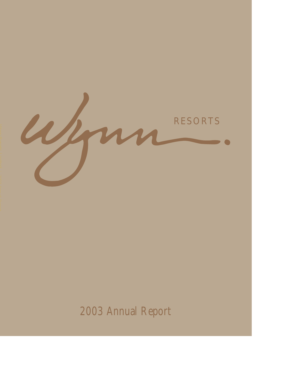

2003 Annual Report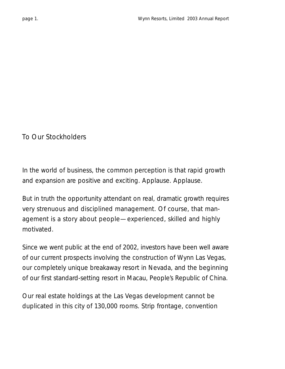To Our Stockholders

In the world of business, the common perception is that rapid growth and expansion are positive and exciting. Applause. Applause.

But in truth the opportunity attendant on real, dramatic growth requires very strenuous and disciplined management. Of course, that management is a story about people—experienced, skilled and highly motivated.

Since we went public at the end of 2002, investors have been well aware of our current prospects involving the construction of Wynn Las Vegas, our completely unique breakaway resort in Nevada, and the beginning of our first standard-setting resort in Macau, People's Republic of China.

Our real estate holdings at the Las Vegas development cannot be duplicated in this city of 130,000 rooms. Strip frontage, convention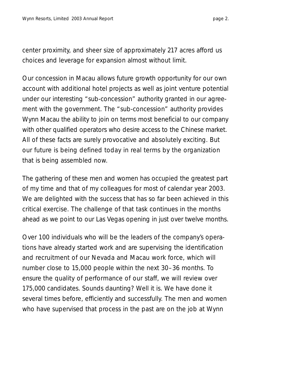center proximity, and sheer size of approximately 217 acres afford us choices and leverage for expansion almost without limit.

Our concession in Macau allows future growth opportunity for our own account with additional hotel projects as well as joint venture potential under our interesting "sub-concession" authority granted in our agreement with the government. The "sub-concession" authority provides Wynn Macau the ability to join on terms most beneficial to our company with other qualified operators who desire access to the Chinese market. All of these facts are surely provocative and absolutely exciting. But our future is being defined today in real terms by the organization that is being assembled now.

The gathering of these men and women has occupied the greatest part of my time and that of my colleagues for most of calendar year 2003. We are delighted with the success that has so far been achieved in this critical exercise. The challenge of that task continues in the months ahead as we point to our Las Vegas opening in just over twelve months.

Over 100 individuals who will be the leaders of the company's operations have already started work and are supervising the identification and recruitment of our Nevada and Macau work force, which will number close to 15,000 people within the next 30–36 months. To ensure the quality of performance of our staff, we will review over 175,000 candidates. Sounds daunting? Well it is. We have done it several times before, efficiently and successfully. The men and women who have supervised that process in the past are on the job at Wynn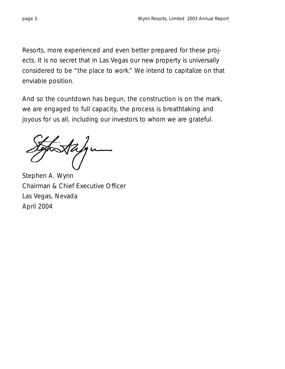Resorts, more experienced and even better prepared for these projects. It is no secret that in Las Vegas our new property is universally considered to be "the place to work." We intend to capitalize on that enviable position.

And so the countdown has begun, the construction is on the mark, we are engaged to full capacity, the process is breathtaking and joyous for us all, including our investors to whom we are grateful.

Stephen A. Wynn Chairman & Chief Executive Officer Las Vegas, Nevada April 2004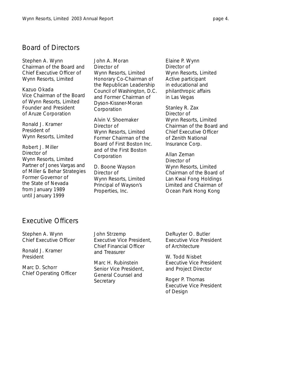# Board of Directors

Stephen A. Wynn *Chairman of the Board and Chief Executive Officer of Wynn Resorts, Limited*

Kazuo Okada *Vice Chairman of the Board of Wynn Resorts, Limited Founder and President of Aruze Corporation*

Ronald J. Kramer *President of Wynn Resorts, Limited*

Robert J. Miller *Director of Wynn Resorts, Limited Partner of Jones Vargas and of Miller & Behar Strategies Former Governor of the State of Nevada from January 1989 until January 1999*

John A. Moran *Director of Wynn Resorts, Limited Honorary Co-Chairman of the Republican Leadership Council of Washington, D.C. and Former Chairman of Dyson-Kissner-Moran Corporation*

Alvin V. Shoemaker *Director of Wynn Resorts, Limited Former Chairman of the Board of First Boston Inc. and of the First Boston Corporation*

D. Boone Wayson *Director of Wynn Resorts, Limited Principal of Wayson's Properties, Inc.*

Elaine P. Wynn

*Director of Wynn Resorts, Limited Active participant in educational and philanthropic affairs in Las Vegas*

Stanley R. Zax

*Director of Wynn Resorts, Limited Chairman of the Board and Chief Executive Officer of Zenith National Insurance Corp.*

#### Allan Zeman

*Director of Wynn Resorts, Limited Chairman of the Board of Lan Kwai Fong Holdings Limited and Chairman of Ocean Park Hong Kong*

### Executive Officers

Stephen A. Wynn *Chief Executive Officer*

Ronald J. Kramer *President*

Marc D. Schorr *Chief Operating Officer* John Strzemp *Executive Vice President, Chief Financial Officer and Treasurer*

Marc H. Rubinstein *Senior Vice President, General Counsel and Secretary*

DeRuyter O. Butler *Executive Vice President of Architecture*

W. Todd Nisbet *Executive Vice President and Project Director*

Roger P. Thomas *Executive Vice President of Design*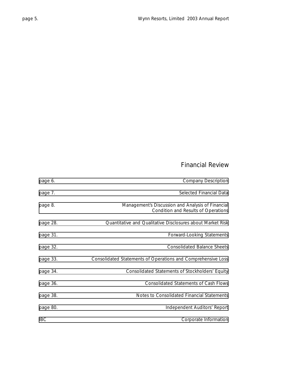# Financial Review

| <b>Company Description</b>                                                               | page 6.    |
|------------------------------------------------------------------------------------------|------------|
| Selected Financial Data                                                                  | page 7.    |
| Management's Discussion and Analysis of Financial<br>Condition and Results of Operations | page 8.    |
| Quantitative and Qualitative Disclosures about Market Risk                               | page 28.   |
| Forward-Looking Statements                                                               | page 31.   |
| <b>Consolidated Balance Sheets</b>                                                       | page 32.   |
| Consolidated Statements of Operations and Comprehensive Loss                             | page 33.   |
| Consolidated Statements of Stockholders' Equity                                          | page 34.   |
| <b>Consolidated Statements of Cash Flows</b>                                             | page 36.   |
| Notes to Consolidated Financial Statements                                               | page 38.   |
| Independent Auditors' Report                                                             | page 80.   |
| Corporate Information                                                                    | <b>IBC</b> |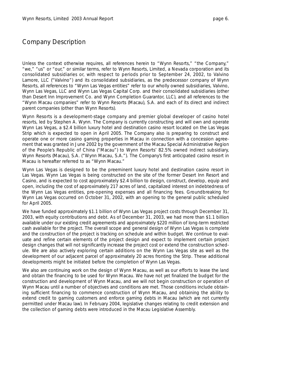### <span id="page-7-0"></span>Company Description

Unless the context otherwise requires, all references herein to "Wynn Resorts," "the Company," "we," "us" or "our," or similar terms, refer to Wynn Resorts, Limited, a Nevada corporation and its consolidated subsidiaries or, with respect to periods prior to September 24, 2002, to Valvino Lamore, LLC ("Valvino") and its consolidated subsidiaries, as the predecessor company of Wynn Resorts, all references to "Wynn Las Vegas entities" refer to our wholly owned subsidiaries, Valvino, Wynn Las Vegas, LLC and Wynn Las Vegas Capital Corp. and their consolidated subsidiaries (other than Desert Inn Improvement Co. and Wynn Completion Guarantor, LLC), and all references to the "Wynn Macau companies" refer to Wynn Resorts (Macau), S.A. and each of its direct and indirect parent companies (other than Wynn Resorts).

Wynn Resorts is a development-stage company and premier global developer of casino hotel resorts, led by Stephen A. Wynn. The Company is currently constructing and will own and operate Wynn Las Vegas, a \$2.4 billion luxury hotel and destination casino resort located on the Las Vegas Strip which is expected to open in April 2005. The Company also is preparing to construct and operate one or more casino gaming properties in Macau in connection with a concession agreement that was granted in June 2002 by the government of the Macau Special Administrative Region of the People's Republic of China ("Macau") to Wynn Resorts' 82.5% owned indirect subsidiary, Wynn Resorts (Macau), S.A. ("Wynn Macau, S.A."). The Company's first anticipated casino resort in Macau is hereafter referred to as "Wynn Macau."

Wynn Las Vegas is designed to be the preeminent luxury hotel and destination casino resort in Las Vegas. Wynn Las Vegas is being constructed on the site of the former Desert Inn Resort and Casino, and is expected to cost approximately \$2.4 billion to design, construct, develop, equip and open, including the cost of approximately 217 acres of land, capitalized interest on indebtedness of the Wynn Las Vegas entities, pre-opening expenses and all financing fees. Groundbreaking for Wynn Las Vegas occurred on October 31, 2002, with an opening to the general public scheduled for April 2005.

We have funded approximately \$1.1 billion of Wynn Las Vegas project costs through December 31, 2003, with equity contributions and debt. As of December 31, 2003, we had more than \$1.1 billion available under our existing credit agreements and approximately \$220 million of long-term restricted cash available for the project. The overall scope and general design of Wynn Las Vegas is complete and the construction of the project is tracking on schedule and within budget. We continue to evaluate and refine certain elements of the project design and expect to implement certain project design changes that will not significantly increase the project cost or extend the construction schedule. We are also actively exploring certain additions on the Wynn Las Vegas site as well as the development of our adjacent parcel of approximately 20 acres fronting the Strip. These additional developments might be initiated before the completion of Wynn Las Vegas.

We also are continuing work on the design of Wynn Macau, as well as our efforts to lease the land and obtain the financing to be used for Wynn Macau. We have not yet finalized the budget for the construction and development of Wynn Macau, and we will not begin construction or operation of Wynn Macau until a number of objectives and conditions are met. Those conditions include obtaining sufficient financing to commence construction of Wynn Macau, and obtaining the ability to extend credit to gaming customers and enforce gaming debts in Macau (which are not currently permitted under Macau law). In February 2004, legislative changes relating to credit extension and the collection of gaming debts were introduced in the Macau Legislative Assembly.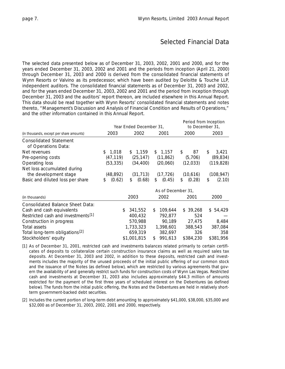# Selected Financial Data

<span id="page-8-0"></span>The selected data presented below as of December 31, 2003, 2002, 2001 and 2000, and for the years ended December 31, 2003, 2002 and 2001 and the periods from inception (April 21, 2000) through December 31, 2003 and 2000 is derived from the consolidated financial statements of Wynn Resorts or Valvino as its predecessor, which have been audited by Deloitte & Touche LLP, independent auditors. The consolidated financial statements as of December 31, 2003 and 2002, and for the years ended December 31, 2003, 2002 and 2001 and the period from inception through December 31, 2003 and the auditors' report thereon, are included elsewhere in this Annual Report. This data should be read together with Wynn Resorts' consolidated financial statements and notes thereto, "Management's Discussion and Analysis of Financial Condition and Results of Operations," and the other information contained in this Annual Report.

|                                                |              | Year Ended December 31, | Period from Inception<br>to December 31, |              |              |  |
|------------------------------------------------|--------------|-------------------------|------------------------------------------|--------------|--------------|--|
| (in thousands, except per share amounts)       | 2003         | 2002                    | 2001                                     | 2000         | 2003         |  |
| <b>Consolidated Statement</b>                  |              |                         |                                          |              |              |  |
| of Operations Data:                            |              |                         |                                          |              |              |  |
| Net revenues                                   | \$1,018      | \$1,159                 | \$1,157                                  | \$<br>87     | \$<br>3,421  |  |
| Pre-opening costs                              | (47, 119)    | (25, 147)               | (11, 862)                                | (5,706)      | (89, 834)    |  |
| Operating loss                                 | (53, 335)    | (34, 400)               | (20,060)                                 | (12, 033)    | (119, 828)   |  |
| Net loss accumulated during                    |              |                         |                                          |              |              |  |
| the development stage                          | (48,892)     | (31, 713)               | (17, 726)                                | (10,616)     | (108, 947)   |  |
| Basic and diluted loss per share               | (0.62)<br>\$ | (0.68)<br>\$            | (0.45)<br>\$                             | (0.28)<br>\$ | (2.10)<br>\$ |  |
|                                                |              |                         | As of December 31.                       |              |              |  |
| (in thousands)                                 |              | 2003                    | 2002                                     | 2001         | 2000         |  |
| Consolidated Balance Sheet Data:               |              |                         |                                          |              |              |  |
| Cash and cash equivalents                      | \$           | 341,552                 | 109,644<br>\$                            | \$39,268     | \$ 54,429    |  |
| Restricted cash and investments <sup>[1]</sup> |              | 400,432                 | 792,877                                  | 524          |              |  |
| Construction in progress                       |              | 570,988                 | 90,189                                   | 27,475       | 8,484        |  |
| Total assets                                   |              | 1,733,323               | 1,398,601                                | 388,543      | 387,084      |  |
| Total long-term obligations <sup>[2]</sup>     |              | 659,319                 | 382,697                                  | 326          | 358          |  |
| Stockholders' equity                           |              | \$1,001,815             | 991,613<br>\$                            | \$384,230    | \$381,956    |  |

- *[1] As of December 31, 2001, restricted cash and investments balances related primarily to certain certificates of deposits to collateralize certain construction insurance claims as well as required sales tax deposits. At December 31, 2003 and 2002, in addition to these deposits, restricted cash and investments includes the majority of the unused proceeds of the initial public offering of our common stock and the issuance of the Notes (as defined below), which are restricted by various agreements that govern the availability of and generally restrict such funds for construction costs of Wynn Las Vegas. Restricted cash and investments at December 31, 2003 also includes approximately \$44.3 million of amounts restricted for the payment of the first three years of scheduled interest on the Debentures (as defined below). The funds from the initial public offering, the Notes and the Debentures are held in relatively shortterm government-backed debt securities.*
- *[2] Includes the current portion of long-term debt amounting to approximately \$41,000, \$38,000, \$35,000 and \$32,000 as of December 31, 2003, 2002, 2001 and 2000, respectively.*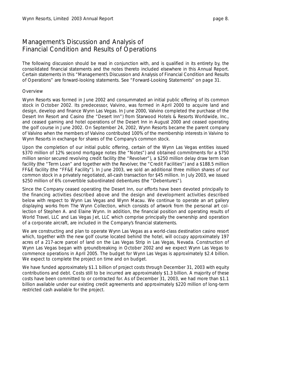<span id="page-9-0"></span>The following discussion should be read in conjunction with, and is qualified in its entirety by, the consolidated financial statements and the notes thereto included elsewhere in this Annual Report. Certain statements in this "Management's Discussion and Analysis of Financial Condition and Results of Operations" are forward-looking statements. See "Forward-Looking Statements" on page 31.

#### **Overview**

Wynn Resorts was formed in June 2002 and consummated an initial public offering of its common stock in October 2002. Its predecessor, Valvino, was formed in April 2000 to acquire land and design, develop and finance Wynn Las Vegas. In June 2000, Valvino completed the purchase of the Desert Inn Resort and Casino (the "Desert Inn") from Starwood Hotels & Resorts Worldwide, Inc., and ceased gaming and hotel operations of the Desert Inn in August 2000 and ceased operating the golf course in June 2002. On September 24, 2002, Wynn Resorts became the parent company of Valvino when the members of Valvino contributed 100% of the membership interests in Valvino to Wynn Resorts in exchange for shares of the Company's common stock.

Upon the completion of our initial public offering, certain of the Wynn Las Vegas entities issued \$370 million of 12% second mortgage notes (the "Notes") and obtained commitments for a \$750 million senior secured revolving credit facility (the "Revolver"), a \$250 million delay draw term loan facility (the "Term Loan" and together with the Revolver, the "Credit Facilities") and a \$188.5 million FF&E facility (the "FF&E Facility"). In June 2003, we sold an additional three million shares of our common stock in a privately negotiated, all-cash transaction for \$45 million. In July 2003, we issued \$250 million of 6% convertible subordinated debentures (the "Debentures").

Since the Company ceased operating the Desert Inn, our efforts have been devoted principally to the financing activities described above and the design and development activities described below with respect to Wynn Las Vegas and Wynn Macau. We continue to operate an art gallery displaying works from The Wynn Collection, which consists of artwork from the personal art collection of Stephen A. and Elaine Wynn. In addition, the financial position and operating results of World Travel, LLC and Las Vegas Jet, LLC which comprise principally the ownership and operation of a corporate aircraft, are included in the Company's financial statements.

We are constructing and plan to operate Wynn Las Vegas as a world-class destination casino resort which, together with the new golf course located behind the hotel, will occupy approximately 197 acres of a 217-acre parcel of land on the Las Vegas Strip in Las Vegas, Nevada. Construction of Wynn Las Vegas began with groundbreaking in October 2002 and we expect Wynn Las Vegas to commence operations in April 2005. The budget for Wynn Las Vegas is approximately \$2.4 billion. We expect to complete the project on time and on budget.

We have funded approximately \$1.1 billion of project costs through December 31, 2003 with equity contributions and debt. Costs still to be incurred are approximately \$1.3 billion. A majority of these costs have been committed to or contracted for. As of December 31, 2003, we had more than \$1.1 billion available under our existing credit agreements and approximately \$220 million of long-term restricted cash available for the project.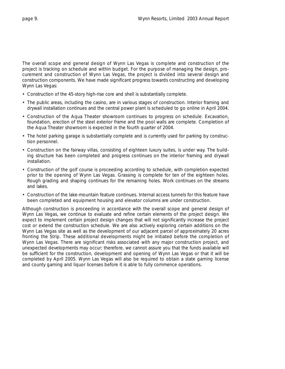The overall scope and general design of Wynn Las Vegas is complete and construction of the project is tracking on schedule and within budget. For the purpose of managing the design, procurement and construction of Wynn Las Vegas, the project is divided into several design and construction components. We have made significant progress towards constructing and developing Wynn Las Vegas:

- Construction of the 45-story high-rise core and shell is substantially complete.
- The public areas, including the casino, are in various stages of construction. Interior framing and drywall installation continues and the central power plant is scheduled to go online in April 2004.
- Construction of the Aqua Theater showroom continues to progress on schedule. Excavation, foundation, erection of the steel exterior frame and the pool walls are complete. Completion of the Aqua Theater showroom is expected in the fourth quarter of 2004.
- The hotel parking garage is substantially complete and is currently used for parking by construction personnel.
- Construction on the fairway villas, consisting of eighteen luxury suites, is under way. The building structure has been completed and progress continues on the interior framing and drywall installation.
- Construction of the golf course is proceeding according to schedule, with completion expected prior to the opening of Wynn Las Vegas. Grassing is complete for ten of the eighteen holes. Rough grading and shaping continues for the remaining holes. Work continues on the streams and lakes.
- Construction of the lake-mountain feature continues. Internal access tunnels for this feature have been completed and equipment housing and elevator columns are under construction.

Although construction is proceeding in accordance with the overall scope and general design of Wynn Las Vegas, we continue to evaluate and refine certain elements of the project design. We expect to implement certain project design changes that will not significantly increase the project cost or extend the construction schedule. We are also actively exploring certain additions on the Wynn Las Vegas site as well as the development of our adjacent parcel of approximately 20 acres fronting the Strip. These additional developments might be initiated before the completion of Wynn Las Vegas. There are significant risks associated with any major construction project, and unexpected developments may occur; therefore, we cannot assure you that the funds available will be sufficient for the construction, development and opening of Wynn Las Vegas or that it will be completed by April 2005. Wynn Las Vegas will also be required to obtain a state gaming license and county gaming and liquor licenses before it is able to fully commence operations.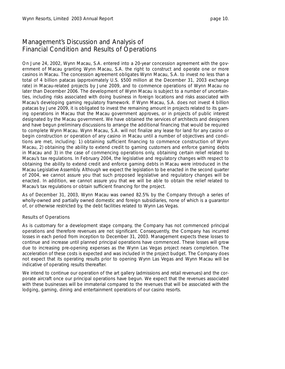On June 24, 2002, Wynn Macau, S.A. entered into a 20-year concession agreement with the government of Macau granting Wynn Macau, S.A. the right to construct and operate one or more casinos in Macau. The concession agreement obligates Wynn Macau, S.A. to invest no less than a total of 4 billion patacas (approximately U.S. \$500 million at the December 31, 2003 exchange rate) in Macau-related projects by June 2009, and to commence operations of Wynn Macau no later than December 2006. The development of Wynn Macau is subject to a number of uncertainties, including risks associated with doing business in foreign locations and risks associated with Macau's developing gaming regulatory framework. If Wynn Macau, S.A. does not invest 4 billion patacas by June 2009, it is obligated to invest the remaining amount in projects related to its gaming operations in Macau that the Macau government approves, or in projects of public interest designated by the Macau government. We have obtained the services of architects and designers and have begun preliminary discussions to arrange the additional financing that would be required to complete Wynn Macau. Wynn Macau, S.A. will not finalize any lease for land for any casino or begin construction or operation of any casino in Macau until a number of objectives and conditions are met, including: 1) obtaining sufficient financing to commence construction of Wynn Macau, 2) obtaining the ability to extend credit to gaming customers and enforce gaming debts in Macau and 3) in the case of commencing operations only, obtaining certain relief related to Macau's tax regulations. In February 2004, the legislative and regulatory changes with respect to obtaining the ability to extend credit and enforce gaming debts in Macau were introduced in the Macau Legislative Assembly. Although we expect the legislation to be enacted in the second quarter of 2004, we cannot assure you that such proposed legislative and regulatory changes will be enacted. In addition, we cannot assure you that we will be able to obtain the relief related to Macau's tax regulations or obtain sufficient financing for the project.

As of December 31, 2003, Wynn Macau was owned 82.5% by the Company through a series of wholly-owned and partially owned domestic and foreign subsidiaries, none of which is a guarantor of, or otherwise restricted by, the debt facilities related to Wynn Las Vegas.

#### Results of Operations

As is customary for a development stage company, the Company has not commenced principal operations and therefore revenues are not significant. Consequently, the Company has incurred losses in each period from inception to December 31, 2003. Management expects these losses to continue and increase until planned principal operations have commenced. These losses will grow due to increasing pre-opening expenses as the Wynn Las Vegas project nears completion. The acceleration of these costs is expected and was included in the project budget. The Company does not expect that its operating results prior to opening Wynn Las Vegas and Wynn Macau will be indicative of operating results thereafter.

We intend to continue our operation of the art gallery (admissions and retail revenues) and the corporate aircraft once our principal operations have begun. We expect that the revenues associated with these businesses will be immaterial compared to the revenues that will be associated with the lodging, gaming, dining and entertainment operations of our casino resorts.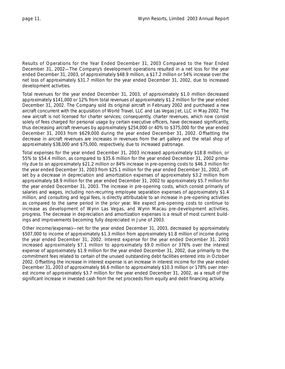*Results of Operations for the Year Ended December 31, 2003 Compared to the Year Ended December 31, 2002—*The Company's development operations resulted in a net loss for the year ended December 31, 2003, of approximately \$48.9 million, a \$17.2 million or 54% increase over the net loss of approximately \$31.7 million for the year ended December 31, 2002, due to increased development activities.

Total revenues for the year ended December 31, 2003, of approximately \$1.0 million decreased approximately \$141,000 or 12% from total revenues of approximately \$1.2 million for the year ended December 31, 2002. The Company sold its original aircraft in February 2002 and purchased a new aircraft concurrent with the acquisition of World Travel, LLC and Las Vegas Jet, LLC in May 2002. The new aircraft is not licensed for charter services; consequently, charter revenues, which now consist solely of fees charged for personal usage by certain executive officers, have decreased significantly, thus decreasing aircraft revenues by approximately \$254,000 or 40% to \$375,000 for the year ended December 31, 2003 from \$629,000 during the year ended December 31, 2002. Offsetting the decrease in aircraft revenues are increases in revenues from the art gallery and the retail shop of approximately \$38,000 and \$75,000, respectively, due to increased patronage.

Total expenses for the year ended December 31, 2003 increased approximately \$18.8 million, or 55% to \$54.4 million, as compared to \$35.6 million for the year ended December 31, 2002 primarily due to an approximately \$21.2 million or 84% increase in pre-opening costs to \$46.3 million for the year ended December 31, 2003 from \$25.1 million for the year ended December 31, 2002, offset by a decrease in depreciation and amortization expenses of approximately \$3.2 million from approximately \$8.9 million for the year ended December 31, 2002 to approximately \$5.7 million for the year ended December 31, 2003. The increase in pre-opening costs, which consist primarily of salaries and wages, including non-recurring employee separation expenses of approximately \$1.4 million, and consulting and legal fees, is directly attributable to an increase in pre-opening activities as compared to the same period in the prior year. We expect pre-opening costs to continue to increase as development of Wynn Las Vegas, and Wynn Macau pre-development activities, progress. The decrease in depreciation and amortization expenses is a result of most current buildings and improvements becoming fully depreciated in June of 2003.

Other income/(expense)—net for the year ended December 31, 2003, decreased by approximately \$507,000 to income of approximately \$1.3 million from approximately \$1.8 million of income during the year ended December 31, 2002. Interest expense for the year ended December 31, 2003 increased approximately \$7.1 million to approximately \$9.0 million or 376% over the interest expense of approximately \$1.9 million for the year ended December 31, 2002, due primarily to the commitment fees related to certain of the unused outstanding debt facilities entered into in October 2002. Offsetting the increase in interest expense is an increase in interest income for the year ended December 31, 2003 of approximately \$6.6 million to approximately \$10.3 million or 178% over interest income of approximately \$3.7 million for the year ended December 31, 2002, as a result of the significant increase in invested cash from the net proceeds from equity and debt financing activity.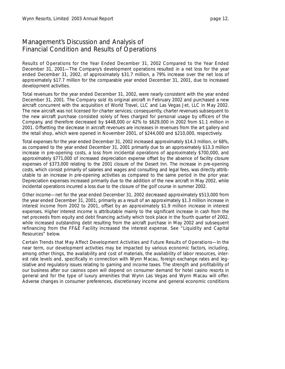*Results of Operations for the Year Ended December 31, 2002 Compared to the Year Ended December 31, 2001—*The Company's development operations resulted in a net loss for the year ended December 31, 2002, of approximately \$31.7 million, a 79% increase over the net loss of approximately \$17.7 million for the comparable year ended December 31, 2001, due to increased development activities.

Total revenues for the year ended December 31, 2002, were nearly consistent with the year ended December 31, 2001. The Company sold its original aircraft in February 2002 and purchased a new aircraft concurrent with the acquisition of World Travel, LLC and Las Vegas Jet, LLC in May 2002. The new aircraft was not licensed for charter services; consequently, charter revenues subsequent to the new aircraft purchase consisted solely of fees charged for personal usage by officers of the Company, and therefore decreased by \$448,000 or 42% to \$629,000 in 2002 from \$1.1 million in 2001. Offsetting the decrease in aircraft revenues are increases in revenues from the art gallery and the retail shop, which were opened in November 2001, of \$244,000 and \$210,000, respectively.

Total expenses for the year ended December 31, 2002 increased approximately \$14.3 million, or 68%, as compared to the year ended December 31, 2001 primarily due to an approximately \$13.3 million increase in pre-opening costs, a loss from incidental operations of approximately \$700,000, and approximately \$771,000 of increased depreciation expense offset by the absence of facility closure expenses of \$373,000 relating to the 2001 closure of the Desert Inn. The increase in pre-opening costs, which consist primarily of salaries and wages and consulting and legal fees, was directly attributable to an increase in pre-opening activities as compared to the same period in the prior year. Depreciation expenses increased primarily due to the addition of the new aircraft in May 2002, while incidental operations incurred a loss due to the closure of the golf course in summer 2002.

Other income—net for the year ended December 31, 2002 decreased approximately \$513,000 from the year ended December 31, 2001, primarily as a result of an approximately \$1.3 million increase in interest income from 2002 to 2001, offset by an approximately \$1.9 million increase in interest expenses. Higher interest income is attributable mainly to the significant increase in cash from the net proceeds from equity and debt financing activity which took place in the fourth quarter of 2002, while increased outstanding debt resulting from the aircraft purchase in May 2002 and subsequent refinancing from the FF&E Facility increased the interest expense. See "Liquidity and Capital Resources" below.

*Certain Trends that May Affect Development Activities and Future Results of Operations—*In the near term, our development activities may be impacted by various economic factors, including, among other things, the availability and cost of materials, the availability of labor resources, interest rate levels and, specifically in connection with Wynn Macau, foreign exchange rates and legislative and regulatory issues relating to gaming and income taxes. The strength and profitability of our business after our casinos open will depend on consumer demand for hotel casino resorts in general and for the type of luxury amenities that Wynn Las Vegas and Wynn Macau will offer. Adverse changes in consumer preferences, discretionary income and general economic conditions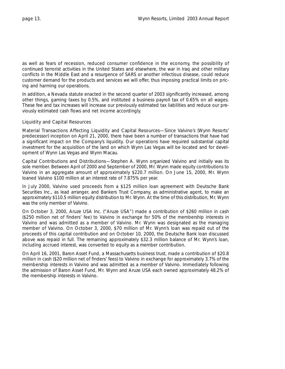as well as fears of recession, reduced consumer confidence in the economy, the possibility of continued terrorist activities in the United States and elsewhere, the war in Iraq and other military conflicts in the Middle East and a resurgence of SARS or another infectious disease, could reduce customer demand for the products and services we will offer, thus imposing practical limits on pricing and harming our operations.

In addition, a Nevada statute enacted in the second quarter of 2003 significantly increased, among other things, gaming taxes by 0.5%, and instituted a business payroll tax of 0.65% on all wages. These fee and tax increases will increase our previously estimated tax liabilities and reduce our previously estimated cash flows and net income accordingly.

#### Liquidity and Capital Resources

*Material Transactions Affecting Liquidity and Capital Resources—*Since Valvino's (Wynn Resorts' predecessor) inception on April 21, 2000, there have been a number of transactions that have had a significant impact on the Company's liquidity. Our operations have required substantial capital investment for the acquisition of the land on which Wynn Las Vegas will be located and for development of Wynn Las Vegas and Wynn Macau.

*Capital Contributions and Distributions—*Stephen A. Wynn organized Valvino and initially was its sole member. Between April of 2000 and September of 2000, Mr. Wynn made equity contributions to Valvino in an aggregate amount of approximately \$220.7 million. On June 15, 2000, Mr. Wynn loaned Valvino \$100 million at an interest rate of 7.875% per year.

In July 2000, Valvino used proceeds from a \$125 million loan agreement with Deutsche Bank Securities Inc., as lead arranger, and Bankers Trust Company, as administrative agent, to make an approximately \$110.5 million equity distribution to Mr. Wynn. At the time of this distribution, Mr. Wynn was the only member of Valvino.

On October 3, 2000, Aruze USA Inc. ("Aruze USA") made a contribution of \$260 million in cash (\$250 million net of finders' fee) to Valvino in exchange for 50% of the membership interests in Valvino and was admitted as a member of Valvino. Mr. Wynn was designated as the managing member of Valvino. On October 3, 2000, \$70 million of Mr. Wynn's loan was repaid out of the proceeds of this capital contribution and on October 10, 2000, the Deutsche Bank loan discussed above was repaid in full. The remaining approximately \$32.3 million balance of Mr. Wynn's loan, including accrued interest, was converted to equity as a member contribution.

On April 16, 2001, Baron Asset Fund, a Massachusetts business trust, made a contribution of \$20.8 million in cash (\$20 million net of finders' fees) to Valvino in exchange for approximately 3.7% of the membership interests in Valvino and was admitted as a member of Valvino. Immediately following the admission of Baron Asset Fund, Mr. Wynn and Aruze USA each owned approximately 48.2% of the membership interests in Valvino.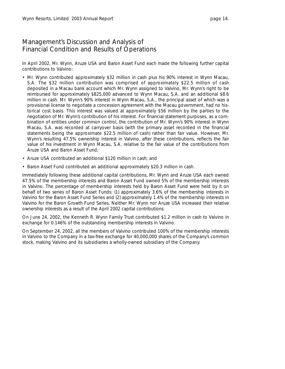In April 2002, Mr. Wynn, Aruze USA and Baron Asset Fund each made the following further capital contributions to Valvino:

- Mr. Wynn contributed approximately \$32 million in cash plus his 90% interest in Wynn Macau, S.A. The \$32 million contribution was comprised of approximately \$22.5 million of cash deposited in a Macau bank account which Mr. Wynn assigned to Valvino, Mr. Wynn's right to be reimbursed for approximately \$825,000 advanced to Wynn Macau, S.A. and an additional \$8.6 million in cash. Mr. Wynn's 90% interest in Wynn Macau, S.A., the principal asset of which was a provisional license to negotiate a concession agreement with the Macau government, had no historical cost basis. This interest was valued at approximately \$56 million by the parties to the negotiation of Mr. Wynn's contribution of his interest. For financial statement purposes, as a combination of entities under common control, the contribution of Mr. Wynn's 90% interest in Wynn Macau, S.A. was recorded at carryover basis (with the primary asset recorded in the financial statements being the approximate \$22.5 million of cash) rather than fair value. However, Mr. Wynn's resulting 47.5% ownership interest in Valvino, after these contributions, reflects the fair value of his investment in Wynn Macau, S.A. relative to the fair value of the contributions from Aruze USA and Baron Asset Fund;
- Aruze USA contributed an additional \$120 million in cash; and
- Baron Asset Fund contributed an additional approximately \$20.3 million in cash.

Immediately following these additional capital contributions, Mr. Wynn and Aruze USA each owned 47.5% of the membership interests and Baron Asset Fund owned 5% of the membership interests in Valvino. The percentage of membership interests held by Baron Asset Fund were held by it on behalf of two series of Baron Asset Funds: (1) approximately 3.6% of the membership interests in Valvino for the Baron Asset Fund Series and (2) approximately 1.4% of the membership interests in Valvino for the Baron Growth Fund Series. Neither Mr. Wynn nor Aruze USA increased their relative ownership interests as a result of the April 2002 capital contributions.

On June 24, 2002, the Kenneth R. Wynn Family Trust contributed \$1.2 million in cash to Valvino in exchange for 0.146% of the outstanding membership interests in Valvino.

On September 24, 2002, all the members of Valvino contributed 100% of the membership interests in Valvino to the Company in a tax-free exchange for 40,000,000 shares of the Company's common stock, making Valvino and its subsidiaries a wholly-owned subsidiary of the Company.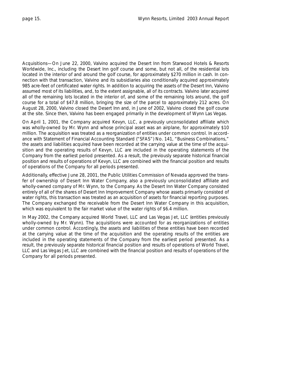*Acquisitions—*On June 22, 2000, Valvino acquired the Desert Inn from Starwood Hotels & Resorts Worldwide, Inc., including the Desert Inn golf course and some, but not all, of the residential lots located in the interior of and around the golf course, for approximately \$270 million in cash. In connection with that transaction, Valvino and its subsidiaries also conditionally acquired approximately 985 acre-feet of certificated water rights. In addition to acquiring the assets of the Desert Inn, Valvino assumed most of its liabilities, and, to the extent assignable, all of its contracts. Valvino later acquired all of the remaining lots located in the interior of, and some of the remaining lots around, the golf course for a total of \$47.8 million, bringing the size of the parcel to approximately 212 acres. On August 28, 2000, Valvino closed the Desert Inn and, in June of 2002, Valvino closed the golf course at the site. Since then, Valvino has been engaged primarily in the development of Wynn Las Vegas.

On April 1, 2001, the Company acquired Kevyn, LLC, a previously unconsolidated affiliate which was wholly-owned by Mr. Wynn and whose principal asset was an airplane, for approximately \$10 million. The acquisition was treated as a reorganization of entities under common control. In accordance with Statement of Financial Accounting Standard ("SFAS") No. 141, "Business Combinations," the assets and liabilities acquired have been recorded at the carrying value at the time of the acquisition and the operating results of Kevyn, LLC are included in the operating statements of the Company from the earliest period presented. As a result, the previously separate historical financial position and results of operations of Kevyn, LLC are combined with the financial position and results of operations of the Company for all periods presented.

Additionally, effective June 28, 2001, the Public Utilities Commission of Nevada approved the transfer of ownership of Desert Inn Water Company, also a previously unconsolidated affiliate and wholly-owned company of Mr. Wynn, to the Company. As the Desert Inn Water Company consisted entirely of all of the shares of Desert Inn Improvement Company whose assets primarily consisted of water rights, this transaction was treated as an acquisition of assets for financial reporting purposes. The Company exchanged the receivable from the Desert Inn Water Company in this acquisition, which was equivalent to the fair market value of the water rights of \$6.4 million.

In May 2002, the Company acquired World Travel, LLC and Las Vegas Jet, LLC (entities previously wholly-owned by Mr. Wynn). The acquisitions were accounted for as reorganizations of entities under common control. Accordingly, the assets and liabilities of these entities have been recorded at the carrying value at the time of the acquisition and the operating results of the entities are included in the operating statements of the Company from the earliest period presented. As a result, the previously separate historical financial position and results of operations of World Travel, LLC and Las Vegas Jet, LLC are combined with the financial position and results of operations of the Company for all periods presented.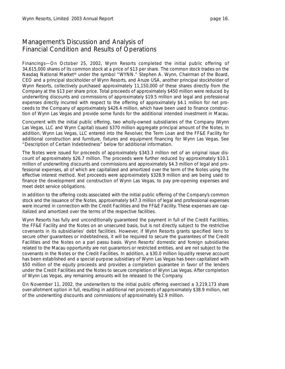*Financings—*On October 25, 2002, Wynn Resorts completed the initial public offering of 34,615,000 shares of its common stock at a price of \$13 per share. The common stock trades on the Nasdaq National Market® under the symbol "WYNN." Stephen A. Wynn, Chairman of the Board, CEO and a principal stockholder of Wynn Resorts, and Aruze USA, another principal stockholder of Wynn Resorts, collectively purchased approximately 11,150,000 of these shares directly from the Company at the \$13 per share price. Total proceeds of approximately \$450 million were reduced by underwriting discounts and commissions of approximately \$19.5 million and legal and professional expenses directly incurred with respect to the offering of approximately \$4.1 million for net proceeds to the Company of approximately \$426.4 million, which have been used to finance construction of Wynn Las Vegas and provide some funds for the additional intended investment in Macau.

Concurrent with the initial public offering, two wholly-owned subsidiaries of the Company (Wynn Las Vegas, LLC and Wynn Capital) issued \$370 million aggregate principal amount of the Notes. In addition, Wynn Las Vegas, LLC entered into the Revolver, the Term Loan and the FF&E Facility for additional construction and furniture, fixtures and equipment financing for Wynn Las Vegas. See "Description of Certain Indebtedness" below for additional information.

The Notes were issued for proceeds of approximately \$343.3 million net of an original issue discount of approximately \$26.7 million. The proceeds were further reduced by approximately \$10.1 million of underwriting discounts and commissions and approximately \$4.3 million of legal and professional expenses, all of which are capitalized and amortized over the term of the Notes using the effective interest method. Net proceeds were approximately \$328.9 million and are being used to finance the development and construction of Wynn Las Vegas, to pay pre-opening expenses and meet debt service obligations.

In addition to the offering costs associated with the initial public offering of the Company's common stock and the issuance of the Notes, approximately \$47.3 million of legal and professional expenses were incurred in connection with the Credit Facilities and the FF&E Facility. These expenses are capitalized and amortized over the terms of the respective facilities.

Wynn Resorts has fully and unconditionally guaranteed the payment in full of the Credit Facilities, the FF&E Facility and the Notes on an unsecured basis, but is not directly subject to the restrictive covenants in its subsidiaries' debt facilities. However, if Wynn Resorts grants specified liens to secure other guarantees or indebtedness, it will be required to secure the guarantees of the Credit Facilities and the Notes on a *pari passu* basis. Wynn Resorts' domestic and foreign subsidiaries related to the Macau opportunity are not guarantors or restricted entities, and are not subject to the covenants in the Notes or the Credit Facilities. In addition, a \$30.0 million liquidity reserve account has been established and a special purpose subsidiary of Wynn Las Vegas has been capitalized with \$50 million of the equity proceeds and provides a completion guarantee in favor of the lenders under the Credit Facilities and the Notes to secure completion of Wynn Las Vegas. After completion of Wynn Las Vegas, any remaining amounts will be released to the Company.

On November 11, 2002, the underwriters to the initial public offering exercised a 3,219,173 share over-allotment option in full, resulting in additional net proceeds of approximately \$38.9 million, net of the underwriting discounts and commissions of approximately \$2.9 million.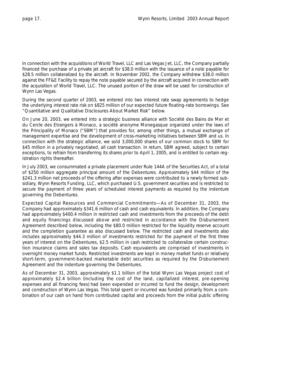In connection with the acquisitions of World Travel, LLC and Las Vegas Jet, LLC, the Company partially financed the purchase of a private jet aircraft for \$38.0 million with the issuance of a note payable for \$28.5 million collateralized by the aircraft. In November 2002, the Company withdrew \$38.0 million against the FF&E Facility to repay the note payable secured by the aircraft acquired in connection with the acquisition of World Travel, LLC. The unused portion of the draw will be used for construction of Wynn Las Vegas.

During the second quarter of 2003, we entered into two interest rate swap agreements to hedge the underlying interest rate risk on \$825 million of our expected future floating-rate borrowings. See "Quantitative and Qualitative Disclosures About Market Risk" below.

On June 20, 2003, we entered into a strategic business alliance with Société des Bains de Mer et du Cercle des Etrangers à Monaco, a société anonyme Monegasque organized under the laws of the Principality of Monaco ("SBM") that provides for, among other things, a mutual exchange of management expertise and the development of cross-marketing initiatives between SBM and us. In connection with the strategic alliance, we sold 3,000,000 shares of our common stock to SBM for \$45 million in a privately negotiated, all cash transaction. In return, SBM agreed, subject to certain exceptions, to refrain from transferring its shares prior to April 1, 2005, and is entitled to certain registration rights thereafter.

In July 2003, we consummated a private placement under Rule 144A of the Securities Act, of a total of \$250 million aggregate principal amount of the Debentures. Approximately \$44 million of the \$241.3 million net proceeds of the offering after expenses were contributed to a newly formed subsidiary, Wynn Resorts Funding, LLC, which purchased U.S. government securities and is restricted to secure the payment of three years of scheduled interest payments as required by the indenture governing the Debentures.

*Expected Capital Resources and Commercial Commitments—*As of December 31, 2003, the Company had approximately \$341.6 million of cash and cash equivalents. In addition, the Company had approximately \$400.4 million in restricted cash and investments from the proceeds of the debt and equity financings discussed above and restricted in accordance with the Disbursement Agreement described below, including the \$80.0 million restricted for the liquidity reserve account and the completion guarantee as also discussed below. The restricted cash and investments also includes approximately \$44.3 million of investments restricted for the payment of the first three years of interest on the Debentures, \$2.5 million in cash restricted to collateralize certain construction insurance claims and sales tax deposits. Cash equivalents are comprised of investments in overnight money market funds. Restricted investments are kept in money market funds or relatively short-term, government-backed marketable debt securities as required by the Disbursement Agreement and the indenture governing the Debentures.

As of December 31, 2003, approximately \$1.1 billion of the total Wynn Las Vegas project cost of approximately \$2.4 billion (including the cost of the land, capitalized interest, pre-opening expenses and all financing fees) had been expended or incurred to fund the design, development and construction of Wynn Las Vegas. This total spent or incurred was funded primarily from a combination of our cash on hand from contributed capital and proceeds from the initial public offering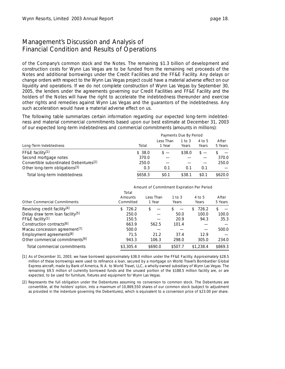of the Company's common stock and the Notes. The remaining \$1.3 billion of development and construction costs for Wynn Las Vegas are to be funded from the remaining net proceeds of the Notes and additional borrowings under the Credit Facilities and the FF&E Facility. Any delays or change orders with respect to the Wynn Las Vegas project could have a material adverse effect on our liquidity and operations. If we do not complete construction of Wynn Las Vegas by September 30, 2005, the lenders under the agreements governing our Credit Facilities and FF&E Facility and the holders of the Notes will have the right to accelerate the indebtedness thereunder and exercise other rights and remedies against Wynn Las Vegas and the guarantors of the indebtedness. Any such acceleration would have a material adverse effect on us.

The following table summarizes certain information regarding our expected long-term indebtedness and material commercial commitments based upon our best estimate at December 31, 2003 of our expected long-term indebtedness and commercial commitments (amounts in millions):

|                                                    |         | Payments Due By Period |                   |                 |                  |
|----------------------------------------------------|---------|------------------------|-------------------|-----------------|------------------|
| Long-Term Indebtedness                             | Total   | Less Than<br>1 Year    | 1 to $3$<br>Years | 4 to 5<br>Years | After<br>5 Years |
| FF&E facility[1]                                   | \$38.0  |                        | \$38.0            |                 |                  |
| Second mortgage notes                              | 370.0   |                        |                   |                 | 370.0            |
| Convertible subordinated Debentures <sup>[2]</sup> | 250.0   |                        |                   |                 | 250.0            |
| Other long-term obligations <sup>[3]</sup>         | 0.3     | 0.1                    | 0.1               | 0.1             |                  |
| Total long-term indebtedness                       | \$658.3 | \$0.1                  | \$38.1            | \$0.1           | \$620.0          |

|                                              | Amount of Commitment Expiration Per Period |                     |                     |                 |                  |  |  |  |
|----------------------------------------------|--------------------------------------------|---------------------|---------------------|-----------------|------------------|--|--|--|
| <b>Other Commercial Commitments</b>          | Total<br>Amounts<br>Committed              | Less Than<br>1 Year | $1$ to $3$<br>Years | 4 to 5<br>Years | After<br>5 Years |  |  |  |
| Revolving credit facility <sup>[4]</sup>     | 726.2<br>S.                                | S                   |                     | 726.2<br>S.     | \$               |  |  |  |
| Delay draw term loan facility <sup>[5]</sup> | 250.0                                      |                     | 50.0                | 100.0           | 100.0            |  |  |  |
| FF&E facility <sup>[1]</sup>                 | 150.5                                      |                     | 20.9                | 94.3            | 35.3             |  |  |  |
| Construction contracts <sup>[6]</sup>        | 663.9                                      | 562.5               | 101.4               |                 |                  |  |  |  |
| Macau concession agreement <sup>[7]</sup>    | 500.0                                      |                     |                     |                 | 500.0            |  |  |  |
| Employment agreements <sup>[8]</sup>         | 71.5                                       | 21.2                | 37.4                | 12.9            |                  |  |  |  |
| Other commercial commitments <sup>[9]</sup>  | 943.3                                      | 106.3               | 298.0               | 305.0           | 234.0            |  |  |  |
| Total commercial commitments                 | \$3,305.4                                  | \$690.0             | \$507.7             | \$1,238.4       | \$869.3          |  |  |  |

*[1] As of December 31, 2003, we have borrowed approximately \$38.0 million under the FF&E Facility. Approximately \$28.5 million of these borrowings were used to refinance a loan, secured by a mortgage on World Travel's Bombardier Global Express aircraft, made by Bank of America, N.A. to World Travel, LLC, a wholly-owned subsidiary of Wynn Las Vegas. The remaining \$9.5 million of currently borrowed funds and the unused portion of the \$188.5 million facility are, or are expected, to be used for furniture, fixtures and equipment for Wynn Las Vegas.*

*[2] Represents the full obligation under the Debentures assuming no conversion to common stock. The Debentures are convertible, at the holders' option, into a maximum of 10,869,550 shares of our common stock (subject to adjustment as provided in the indenture governing the Debentures), which is equivalent to a conversion price of \$23.00 per share.*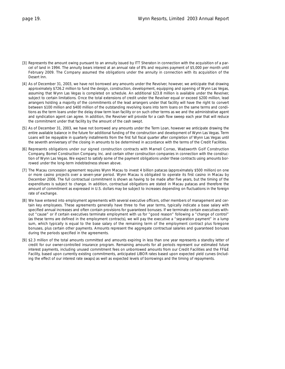- *[3] Represents the amount owing pursuant to an annuity issued by ITT Sheraton in connection with the acquisition of a parcel of land in 1994. The annuity bears interest at an annual rate of 8% and requires payment of \$5,000 per month until February 2009. The Company assumed the obligations under the annuity in connection with its acquisition of the Desert Inn.*
- *[4] As of December 31, 2003, we have not borrowed any amounts under the Revolver, however, we anticipate that drawing approximately \$726.2 million to fund the design, construction, development, equipping and opening of Wynn Las Vegas, assuming that Wynn Las Vegas is completed on schedule. An additional \$23.8 million is available under the Revolver, subject to certain limitations. Once the total extensions of credit under the Revolver equal or exceed \$200 million, lead arrangers holding a majority of the commitments of the lead arrangers under that facility will have the right to convert between \$100 million and \$400 million of the outstanding revolving loans into term loans on the same terms and conditions as the term loans under the delay draw term loan facility or on such other terms as we and the administrative agent and syndication agent can agree. In addition, the Revolver will provide for a cash flow sweep each year that will reduce the commitment under that facility by the amount of the cash swept.*
- *[5] As of December 31, 2003, we have not borrowed any amounts under the Term Loan, however we anticipate drawing the entire available balance in the future for additional funding of the construction and development of Wynn Las Vegas. Term Loans will be repayable in quarterly installments from the first full fiscal quarter after completion of Wynn Las Vegas until the seventh anniversary of the closing in amounts to be determined in accordance with the terms of the Credit Facilities.*
- *[6] Represents obligations under our signed construction contracts with Marnell Corrao, Wadsworth Golf Construction Company, Bomel Construction Company, Inc. and certain other construction companies in connection with the construction of Wynn Las Vegas. We expect to satisfy some of the payment obligations under these contracts using amounts borrowed under the long-term indebtedness shown above.*
- *[7] The Macau concession agreement requires Wynn Macau to invest 4 billion patacas (approximately \$500 million) on one or more casino projects over a seven-year period. Wynn Macau is obligated to operate its first casino in Macau by December 2006. The full contractual commitment is shown as having to be made after five years, but the timing of the expenditures is subject to change. In addition, contractual obligations are stated in Macau patacas and therefore the amount of commitment as expressed in U.S. dollars may be subject to increases depending on fluctuations in the foreign rate of exchange.*
- *[8] We have entered into employment agreements with several executive officers, other members of management and certain key employees. These agreements generally have three to five year terms, typically indicate a base salary with specified annual increases and often contain provisions for guaranteed bonuses. If we terminate certain executives without "cause" or if certain executives terminate employment with us for "good reason" following a "change of control" (as these terms are defined in the employment contracts), we will pay the executive a "separation payment" in a lump sum, which typically is equal to the base salary of the remaining term of the employment contract plus foregone bonuses, plus certain other payments. Amounts represent the aggregate contractual salaries and guaranteed bonuses during the periods specified in the agreements.*
- *[9] \$2.3 million of the total amounts committed and amounts expiring in less than one year represents a standby letter of credit for our owner-controlled insurance program. Remaining amounts for all periods represent our estimated future interest payments, including unused commitment fees on unborrowed amounts from our Credit Facilities and the FF&E Facility, based upon currently existing commitments, anticipated LIBOR rates based upon expected yield curves (including the effect of our interest rate swaps) as well as expected levels of borrowings and the timing of repayments.*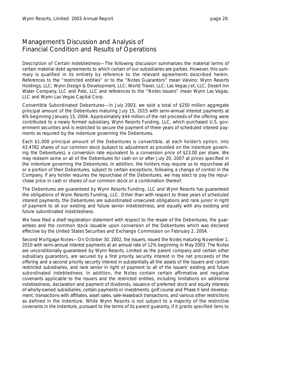*Description of Certain Indebtedness—*The following discussion summarizes the material terms of certain material debt agreements to which certain of our subsidiaries are parties. However, this summary is qualified in its entirety by reference to the relevant agreements described herein. References to the "restricted entities" or to the "Notes Guarantors" mean Valvino; Wynn Resorts Holdings, LLC; Wynn Design & Development, LLC; World Travel, LLC; Las Vegas Jet, LLC; Desert Inn Water Company, LLC and Palo, LLC and references to the "Notes Issuers" mean Wynn Las Vegas, LLC and Wynn Las Vegas Capital Corp.

*Convertible Subordinated Debentures—*In July 2003, we sold a total of \$250 million aggregate principal amount of the Debentures maturing July 15, 2015 with semi-annual interest payments at 6% beginning January 15, 2004. Approximately \$44 million of the net proceeds of the offering were contributed to a newly formed subsidiary, Wynn Resorts Funding, LLC, which purchased U.S. government securities and is restricted to secure the payment of three years of scheduled interest payments as required by the indenture governing the Debentures.

Each \$1,000 principal amount of the Debentures is convertible, at each holder's option, into 43.4782 shares of our common stock (subject to adjustment as provided on the indenture governing the Debentures), a conversion rate equivalent to a conversion price of \$23.00 per share. We may redeem some or all of the Debentures for cash on or after July 20, 2007 at prices specified in the indenture governing the Debentures. In addition, the holders may require us to repurchase all or a portion of their Debentures, subject to certain exceptions, following a change of control in the Company. If any holder requires the repurchase of the Debentures, we may elect to pay the repurchase price in cash or shares of our common stock or a combination thereof.

The Debentures are guaranteed by Wynn Resorts Funding, LLC and Wynn Resorts has guaranteed the obligations of Wynn Resorts Funding, LLC. Other than with respect to three years of scheduled interest payments, the Debentures are subordinated unsecured obligations and rank junior in right of payment to all our existing and future senior indebtedness, and equally with any existing and future subordinated indebtedness.

We have filed a shelf registration statement with respect to the resale of the Debentures, the guarantees and the common stock issuable upon conversion of the Debentures which was declared effective by the United States Securities and Exchange Commission on February 2, 2004.

*Second Mortgage Notes—*On October 30, 2002, the Issuers, issued the Notes maturing November 1, 2010 with semi-annual interest payments at an annual rate of 12% beginning in May 2003. The Notes are unconditionally guaranteed by Wynn Resorts, Limited as the parent company and certain other subsidiary guarantors, are secured by a first priority security interest in the net proceeds of the offering and a second priority security interest in substantially all the assets of the Issuers and certain restricted subsidiaries, and rank senior in right of payment to all of the Issuers' existing and future subordinated indebtedness. In addition, the Notes contain certain affirmative and negative covenants applicable to the Issuers and the restricted entities, including limitations on additional indebtedness, declaration and payment of dividends, issuance of preferred stock and equity interests of wholly-owned subsidiaries, certain payments or investments, golf course and Phase II land development, transactions with affiliates, asset sales, sale-leaseback transactions, and various other restrictions as defined in the Indenture. While Wynn Resorts is not subject to a majority of the restrictive covenants in the Indenture, pursuant to the terms of its parent guaranty, if it grants specified liens to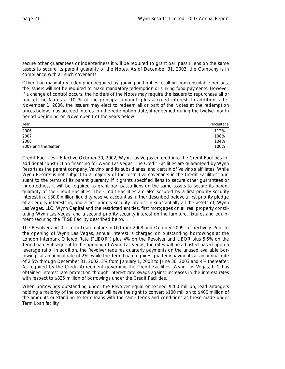secure other guarantees or indebtedness it will be required to grant *pari passu* liens on the same assets to secure its parent guaranty of the Notes. As of December 31, 2003, the Company is in compliance with all such covenants.

Other than mandatory redemption required by gaming authorities resulting from unsuitable persons, the Issuers will not be required to make mandatory redemption or sinking fund payments. However, if a change of control occurs, the holders of the Notes may require the Issuers to repurchase all or part of the Notes at 101% of the principal amount, plus accrued interest. In addition, after November 1, 2006, the Issuers may elect to redeem all or part of the Notes at the redemption prices below, plus accrued interest on the redemption date, if redeemed during the twelve-month period beginning on November 1 of the years below:

| Year                | Percentage |
|---------------------|------------|
| 2006                | 112%       |
| 2007                | 108%       |
| 2008                | 104%       |
| 2009 and thereafter | 100%       |

*Credit Facilities—*Effective October 30, 2002, Wynn Las Vegas entered into the Credit Facilities for additional construction financing for Wynn Las Vegas. The Credit Facilities are guaranteed by Wynn Resorts as the parent company, Valvino and its subsidiaries, and certain of Valvino's affiliates. While Wynn Resorts is not subject to a majority of the restrictive covenants in the Credit Facilities, pursuant to the terms of its parent guaranty, if it grants specified liens to secure other guarantees or indebtedness it will be required to grant *pari passu* liens on the same assets to secure its parent guaranty of the Credit Facilities. The Credit Facilities are also secured by a first priority security interest in a \$30.0 million liquidity reserve account as further described below, a first priority pledge of all equity interests in, and a first priority security interest in substantially all the assets of, Wynn Las Vegas, LLC, Wynn Capital and the restricted entities, first mortgages on all real property constituting Wynn Las Vegas, and a second priority security interest on the furniture, fixtures and equipment securing the FF&E Facility described below.

The Revolver and the Term Loan mature in October 2008 and October 2009, respectively. Prior to the opening of Wynn Las Vegas, annual interest is charged on outstanding borrowings at the London Interbank Offered Rate ("LIBOR") plus 4% on the Revolver and LIBOR plus 5.5% on the Term Loan. Subsequent to the opening of Wynn Las Vegas, the rates will be adjusted based upon a leverage ratio. In addition, the Revolver requires quarterly payments on the unused available borrowings at an annual rate of 2%, while the Term Loan requires quarterly payments at an annual rate of 2.5% through December 31, 2002, 3% from January 1, 2003 to June 30, 2003 and 4% thereafter. As required by the Credit Agreement governing the Credit Facilities, Wynn Las Vegas, LLC has obtained interest rate protection through interest rate swaps against increases in the interest rates with respect to \$825 million of borrowings under the Credit Facilities.

When borrowings outstanding under the Revolver equal or exceed \$200 million, lead arrangers holding a majority of the commitments will have the right to convert \$100 million to \$400 million of the amounts outstanding to term loans with the same terms and conditions as those made under Term Loan facility.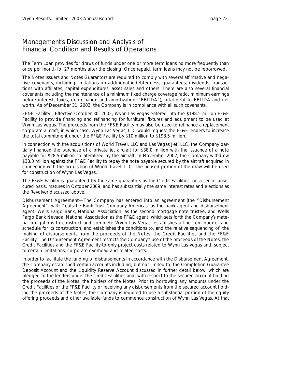The Term Loan provides for draws of funds under one or more term loans no more frequently than once per month for 27 months after the closing. Once repaid, term loans may not be reborrowed.

The Notes Issuers and Notes Guarantors are required to comply with several affirmative and negative covenants, including limitations on additional indebtedness, guarantees, dividends, transactions with affiliates, capital expenditures, asset sales and others. There are also several financial covenants including the maintenance of a minimum fixed charge coverage ratio, minimum earnings before interest, taxes, depreciation and amortization ("EBITDA"), total debt to EBITDA and net worth. As of December 31, 2003, the Company is in compliance with all such covenants.

*FF&E Facility—*Effective October 30, 2002, Wynn Las Vegas entered into the \$188.5 million FF&E Facility to provide financing and refinancing for furniture, fixtures and equipment to be used at Wynn Las Vegas. The proceeds from the FF&E Facility may also be used to refinance a replacement corporate aircraft, in which case, Wynn Las Vegas, LLC would request the FF&E lenders to increase the total commitment under the FF&E Facility by \$10 million to \$198.5 million.

In connection with the acquisitions of World Travel, LLC and Las Vegas Jet, LLC, the Company partially financed the purchase of a private jet aircraft for \$38.0 million with the issuance of a note payable for \$28.5 million collateralized by the aircraft. In November 2002, the Company withdrew \$38.0 million against the FF&E Facility to repay the note payable secured by the aircraft acquired in connection with the acquisition of World Travel, LLC. The unused portion of the draw will be used for construction of Wynn Las Vegas.

The FF&E Facility is guaranteed by the same guarantors as the Credit Facilities, on a senior unsecured basis, matures in October 2009, and has substantially the same interest rates and elections as the Revolver discussed above.

*Disbursement Agreement—*The Company has entered into an agreement (the "Disbursement Agreement") with Deutsche Bank Trust Company Americas, as the bank agent and disbursement agent, Wells Fargo Bank, National Association, as the second mortgage note trustee, and Wells Fargo Bank Nevada, National Association as the FF&E agent, which sets forth the Company's material obligations to construct and complete Wynn Las Vegas, establishes a line-item budget and schedule for its construction, and establishes the conditions to, and the relative sequencing of, the making of disbursements from the proceeds of the Notes, the Credit Facilities and the FF&E Facility. The Disbursement Agreement restricts the Company's use of the proceeds of the Notes, the Credit Facilities and the FF&E Facility to only project costs related to Wynn Las Vegas and, subject to certain limitations, corporate overhead and related costs.

In order to facilitate the funding of disbursements in accordance with the Disbursement Agreement, the Company established certain accounts including, but not limited to, the Completion Guarantee Deposit Account and the Liquidity Reserve Account discussed in further detail below, which are pledged to the lenders under the Credit Facilities and, with respect to the secured account holding the proceeds of the Notes, the holders of the Notes. Prior to borrowing any amounts under the Credit Facilities or the FF&E Facility or receiving any disbursements from the secured account holding the proceeds of the Notes, the Company is required to use a substantial portion of the equity offering proceeds and other available funds to commence construction of Wynn Las Vegas. At that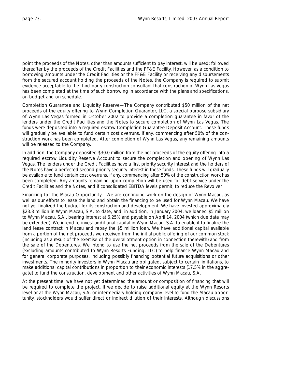point the proceeds of the Notes, other than amounts sufficient to pay interest, will be used; followed thereafter by the proceeds of the Credit Facilities and the FF&E Facility. However, as a condition to borrowing amounts under the Credit Facilities or the FF&E Facility or receiving any disbursements from the secured account holding the proceeds of the Notes, the Company is required to submit evidence acceptable to the third-party construction consultant that construction of Wynn Las Vegas has been completed at the time of such borrowing in accordance with the plans and specifications, on budget and on schedule.

*Completion Guarantee and Liquidity Reserve—*The Company contributed \$50 million of the net proceeds of the equity offering to Wynn Completion Guarantor, LLC, a special purpose subsidiary of Wynn Las Vegas formed in October 2002 to provide a completion guarantee in favor of the lenders under the Credit Facilities and the Notes to secure completion of Wynn Las Vegas. The funds were deposited into a required escrow Completion Guarantee Deposit Account. These funds will gradually be available to fund certain cost overruns, if any, commencing after 50% of the construction work has been completed. After completion of Wynn Las Vegas, any remaining amounts will be released to the Company.

In addition, the Company deposited \$30.0 million from the net proceeds of the equity offering into a required escrow Liquidity Reserve Account to secure the completion and opening of Wynn Las Vegas. The lenders under the Credit Facilities have a first priority security interest and the holders of the Notes have a perfected second priority security interest in these funds. These funds will gradually be available to fund certain cost overruns, if any, commencing after 50% of the construction work has been completed. Any amounts remaining upon completion will be used for debt service under the Credit Facilities and the Notes, and if consolidated EBITDA levels permit, to reduce the Revolver.

*Financing for the Macau Opportunity—*We are continuing work on the design of Wynn Macau, as well as our efforts to lease the land and obtain the financing to be used for Wynn Macau. We have not yet finalized the budget for its construction and development. We have invested approximately \$23.8 million in Wynn Macau, S.A. to date, and, in addition, in January 2004, we loaned \$5 million to Wynn Macau, S.A., bearing interest at 6.25% and payable on April 14, 2004 (which due date may be extended). We intend to invest additional capital in Wynn Macau, S.A. to enable it to finalize the land lease contract in Macau and repay the \$5 million loan. We have additional capital available from a portion of the net proceeds we received from the initial public offering of our common stock (including as a result of the exercise of the overallotment option in connection therewith) and from the sale of the Debentures. We intend to use the net proceeds from the sale of the Debentures (excluding amounts contributed to Wynn Resorts Funding, LLC) to help finance Wynn Macau and for general corporate purposes, including possibly financing potential future acquisitions or other investments. The minority investors in Wynn Macau are obligated, subject to certain limitations, to make additional capital contributions in proportion to their economic interests (17.5% in the aggregate) to fund the construction, development and other activities of Wynn Macau, S.A.

At the present time, we have not yet determined the amount or composition of financing that will be required to complete the project. If we decide to raise additional equity at the Wynn Resorts level or at the Wynn Macau, S.A. or intermediary holding company level to fund the Macau opportunity, stockholders would suffer direct or indirect dilution of their interests. Although discussions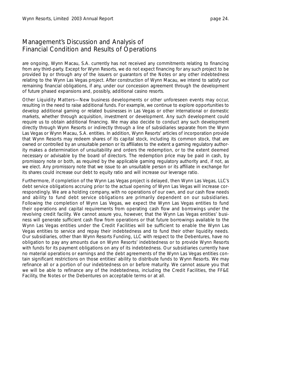are ongoing, Wynn Macau, S.A. currently has not received any commitments relating to financing from any third-party. Except for Wynn Resorts, we do not expect financing for any such project to be provided by or through any of the issuers or guarantors of the Notes or any other indebtedness relating to the Wynn Las Vegas project. After construction of Wynn Macau, we intend to satisfy our remaining financial obligations, if any, under our concession agreement through the development of future phased expansions and, possibly, additional casino resorts.

*Other Liquidity Matters—*New business developments or other unforeseen events may occur, resulting in the need to raise additional funds. For example, we continue to explore opportunities to develop additional gaming or related businesses in Las Vegas or other international or domestic markets, whether through acquisition, investment or development. Any such development could require us to obtain additional financing. We may also decide to conduct any such development directly through Wynn Resorts or indirectly through a line of subsidiaries separate from the Wynn Las Vegas or Wynn Macau, S.A. entities. In addition, Wynn Resorts' articles of incorporation provide that Wynn Resorts may redeem shares of its capital stock, including its common stock, that are owned or controlled by an unsuitable person or its affiliates to the extent a gaming regulatory authority makes a determination of unsuitability and orders the redemption, or to the extent deemed necessary or advisable by the board of directors. The redemption price may be paid in cash, by promissory note or both, as required by the applicable gaming regulatory authority and, if not, as we elect. Any promissory note that we issue to an unsuitable person or its affiliate in exchange for its shares could increase our debt to equity ratio and will increase our leverage ratio.

Furthermore, if completion of the Wynn Las Vegas project is delayed, then Wynn Las Vegas, LLC's debt service obligations accruing prior to the actual opening of Wynn Las Vegas will increase correspondingly. We are a holding company, with no operations of our own, and our cash flow needs and ability to fund debt service obligations are primarily dependent on our subsidiaries. Following the completion of Wynn Las Vegas, we expect the Wynn Las Vegas entities to fund their operations and capital requirements from operating cash flow and borrowings under the revolving credit facility. We cannot assure you, however, that the Wynn Las Vegas entities' business will generate sufficient cash flow from operations or that future borrowings available to the Wynn Las Vegas entities under the Credit Facilities will be sufficient to enable the Wynn Las Vegas entities to service and repay their indebtedness and to fund their other liquidity needs. Our subsidiaries, other than Wynn Resorts Funding, LLC with respect to the Debentures, have no obligation to pay any amounts due on Wynn Resorts' indebtedness or to provide Wynn Resorts with funds for its payment obligations on any of its indebtedness. Our subsidiaries currently have no material operations or earnings and the debt agreements of the Wynn Las Vegas entities contain significant restrictions on those entities' ability to distribute funds to Wynn Resorts. We may refinance all or a portion of our indebtedness on or before maturity. We cannot assure you that we will be able to refinance any of the indebtedness, including the Credit Facilities, the FF&E Facility, the Notes or the Debentures on acceptable terms or at all.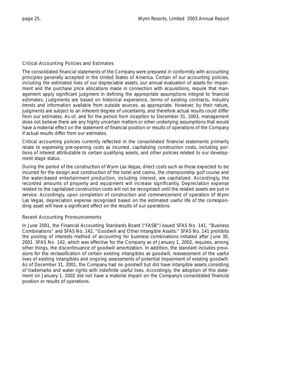#### Critical Accounting Policies and Estimates

The consolidated financial statements of the Company were prepared in conformity with accounting principles generally accepted in the United States of America. Certain of our accounting policies, including the estimated lives of our depreciable assets, our annual evaluation of assets for impairment and the purchase price allocations made in connection with acquisitions, require that management apply significant judgment in defining the appropriate assumptions integral to financial estimates. Judgments are based on historical experience, terms of existing contracts, industry trends and information available from outside sources, as appropriate. However, by their nature, judgments are subject to an inherent degree of uncertainty, and therefore actual results could differ from our estimates. As of, and for the period from inception to December 31, 2003, management does not believe there are any highly uncertain matters or other underlying assumptions that would have a material effect on the statement of financial position or results of operations of the Company if actual results differ from our estimates.

Critical accounting policies currently reflected in the consolidated financial statements primarily relate to expensing pre-opening costs as incurred, capitalizing construction costs, including portions of interest attributable to certain qualifying assets, and other policies related to our development stage status.

During the period of the construction of Wynn Las Vegas, direct costs such as those expected to be incurred for the design and construction of the hotel and casino, the championship golf course and the water-based entertainment production, including interest, are capitalized. Accordingly, the recorded amounts of property and equipment will increase significantly. Depreciation expense related to the capitalized construction costs will not be recognized until the related assets are put in service. Accordingly, upon completion of construction and commencement of operation of Wynn Las Vegas, depreciation expense recognized based on the estimated useful life of the corresponding asset will have a significant effect on the results of our operations.

#### Recent Accounting Pronouncements

In June 2001, the Financial Accounting Standards Board ("FASB") issued SFAS No. 141, "Business Combinations" and SFAS No. 142, "Goodwill and Other Intangible Assets." SFAS No. 141 prohibits the pooling of interests method of accounting for business combinations initiated after June 30, 2001. SFAS No. 142, which was effective for the Company as of January 1, 2002, requires, among other things, the discontinuance of goodwill amortization. In addition, the standard includes provisions for the reclassification of certain existing intangibles as goodwill, reassessment of the useful lives of existing intangibles and ongoing assessments of potential impairment of existing goodwill. As of December 31, 2001, the Company had no goodwill but did have intangible assets consisting of trademarks and water rights with indefinite useful lives. Accordingly, the adoption of this statement on January 1, 2002 did not have a material impact on the Company's consolidated financial position or results of operations.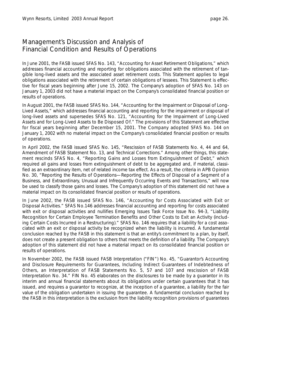In June 2001, the FASB issued SFAS No. 143, "Accounting for Asset Retirement Obligations," which addresses financial accounting and reporting for obligations associated with the retirement of tangible long-lived assets and the associated asset retirement costs. This Statement applies to legal obligations associated with the retirement of certain obligations of lessees. This Statement is effective for fiscal years beginning after June 15, 2002. The Company's adoption of SFAS No. 143 on January 1, 2003 did not have a material impact on the Company's consolidated financial position or results of operations.

In August 2001, the FASB issued SFAS No. 144, "Accounting for the Impairment or Disposal of Long-Lived Assets," which addresses financial accounting and reporting for the impairment or disposal of long-lived assets and supersedes SFAS No. 121, "Accounting for the Impairment of Long-Lived Assets and for Long-Lived Assets to Be Disposed Of." The provisions of this Statement are effective for fiscal years beginning after December 15, 2001. The Company adopted SFAS No. 144 on January 1, 2002 with no material impact on the Company's consolidated financial position or results of operations.

In April 2002, the FASB issued SFAS No. 145, "Rescission of FASB Statements No. 4, 44 and 64, Amendment of FASB Statement No. 13, and Technical Corrections." Among other things, this statement rescinds SFAS No. 4, "Reporting Gains and Losses from Extinguishment of Debt," which required all gains and losses from extinguishment of debt to be aggregated and, if material, classified as an extraordinary item, net of related income tax effect. As a result, the criteria in APB Opinion No. 30, "Reporting the Results of Operations—Reporting the Effects of Disposal of a Segment of a Business, and Extraordinary, Unusual and Infrequently Occurring Events and Transactions," will now be used to classify those gains and losses. The Company's adoption of this statement did not have a material impact on its consolidated financial position or results of operations.

In June 2002, the FASB issued SFAS No. 146, "Accounting for Costs Associated with Exit or Disposal Activities." SFAS No.146 addresses financial accounting and reporting for costs associated with exit or disposal activities and nullifies Emerging Issues Task Force Issue No. 94-3, "Liability Recognition for Certain Employee Termination Benefits and Other Costs to Exit an Activity (including Certain Costs Incurred in a Restructuring)." SFAS No. 146 requires that a liability for a cost associated with an exit or disposal activity be recognized when the liability is incurred. A fundamental conclusion reached by the FASB in this statement is that an entity's commitment to a plan, by itself, does not create a present obligation to others that meets the definition of a liability. The Company's adoption of this statement did not have a material impact on its consolidated financial position or results of operations.

In November 2002, the FASB issued FASB Interpretation ("FIN") No. 45, "Guarantor's Accounting and Disclosure Requirements for Guarantees, Including Indirect Guarantees of Indebtedness of Others, an Interpretation of FASB Statements No. 5, 57 and 107 and rescission of FASB Interpretation No. 34." FIN No. 45 elaborates on the disclosures to be made by a guarantor in its interim and annual financial statements about its obligations under certain guarantees that it has issued, and requires a guarantor to recognize, at the inception of a guarantee, a liability for the fair value of the obligation undertaken in issuing the guarantee. A fundamental conclusion reached by the FASB in this interpretation is the exclusion from the liability recognition provisions of guarantees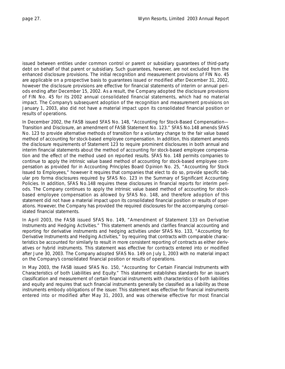issued between entities under common control or parent or subsidiary guarantees of third-party debt on behalf of that parent or subsidiary. Such guarantees, however, are not excluded from the enhanced disclosure provisions. The initial recognition and measurement provisions of FIN No. 45 are applicable on a prospective basis to guarantees issued or modified after December 31, 2002, however the disclosure provisions are effective for financial statements of interim or annual periods ending after December 15, 2002. As a result, the Company adopted the disclosure provisions of FIN No. 45 for its 2002 annual consolidated financial statements, which had no material impact. The Company's subsequent adoption of the recognition and measurement provisions on January 1, 2003, also did not have a material impact upon its consolidated financial position or results of operations.

In December 2002, the FASB issued SFAS No. 148, "Accounting for Stock-Based Compensation— Transition and Disclosure, an amendment of FASB Statement No. 123." SFAS No.148 amends SFAS No. 123 to provide alternative methods of transition for a voluntary change to the fair value based method of accounting for stock-based employee compensation. In addition, this statement amends the disclosure requirements of Statement 123 to require prominent disclosures in both annual and interim financial statements about the method of accounting for stock-based employee compensation and the effect of the method used on reported results. SFAS No. 148 permits companies to continue to apply the intrinsic value based method of accounting for stock-based employee compensation as provided for in Accounting Principles Board Opinion No. 25, "Accounting for Stock Issued to Employees," however it requires that companies that elect to do so, provide specific tabular pro forma disclosures required by SFAS No. 123 in the Summary of Significant Accounting Policies. In addition, SFAS No.148 requires these disclosures in financial reports for interim periods. The Company continues to apply the intrinsic value based method of accounting for stockbased employee compensation as allowed by SFAS No. 148, and therefore adoption of this statement did not have a material impact upon its consolidated financial position or results of operations. However, the Company has provided the required disclosures for the accompanying consolidated financial statements.

In April 2003, the FASB issued SFAS No. 149, "Amendment of Statement 133 on Derivative Instruments and Hedging Activities." This statement amends and clarifies financial accounting and reporting for derivative instruments and hedging activities under SFAS No. 133, "Accounting for Derivative Instruments and Hedging Activities," by requiring that contracts with comparable characteristics be accounted for similarly to result in more consistent reporting of contracts as either derivatives or hybrid instruments. This statement was effective for contracts entered into or modified after June 30, 2003. The Company adopted SFAS No. 149 on July 1, 2003 with no material impact on the Company's consolidated financial position or results of operations.

In May 2003, the FASB issued SFAS No. 150, "Accounting for Certain Financial Instruments with Characteristics of both Liabilities and Equity." This statement establishes standards for an issuer's classification and measurement of certain financial instruments with characteristics of both liabilities and equity and requires that such financial instruments generally be classified as a liability as those instruments embody obligations of the issuer. This statement was effective for financial instruments entered into or modified after May 31, 2003, and was otherwise effective for most financial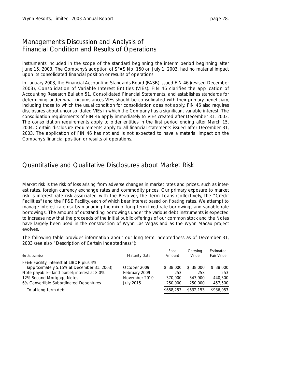<span id="page-29-0"></span>instruments included in the scope of the standard beginning the interim period beginning after June 15, 2003. The Company's adoption of SFAS No. 150 on July 1, 2003, had no material impact upon its consolidated financial position or results of operations.

In January 2003, the Financial Accounting Standards Board (FASB) issued FIN 46 (revised December 2003), *Consolidation of Variable Interest Entities* (VIEs). FIN 46 clarifies the application of Accounting Research Bulletin 51, *Consolidated Financial Statements,* and establishes standards for determining under what circumstances VIEs should be consolidated with their primary beneficiary, including those to which the usual condition for consolidation does not apply. FIN 46 also requires disclosures about unconsolidated VIEs in which the Company has a significant variable interest. The consolidation requirements of FIN 46 apply immediately to VIEs created after December 31, 2003. The consolidation requirements apply to older entities in the first period ending after March 15, 2004. Certain disclosure requirements apply to all financial statements issued after December 31, 2003. The application of FIN 46 has not and is not expected to have a material impact on the Company's financial position or results of operations.

#### Quantitative and Qualitative Disclosures about Market Risk

Market risk is the risk of loss arising from adverse changes in market rates and prices, such as interest rates, foreign currency exchange rates and commodity prices. Our primary exposure to market risk is interest rate risk associated with the Revolver, the Term Loans (collectively, the "Credit Facilities") and the FF&E Facility, each of which bear interest based on floating rates. We attempt to manage interest rate risk by managing the mix of long-term fixed rate borrowings and variable rate borrowings. The amount of outstanding borrowings under the various debt instruments is expected to increase now that the proceeds of the initial public offerings of our common stock and the Notes have largely been used in the construction of Wynn Las Vegas and as the Wynn Macau project evolves.

The following table provides information about our long-term indebtedness as of December 31, 2003 (see also "Description of Certain Indebtedness"):

| (in thousands)                             | Maturity Date | Face<br>Amount | Carrying<br>Value | Estimated<br><b>Fair Value</b> |
|--------------------------------------------|---------------|----------------|-------------------|--------------------------------|
| FF&E Facility, interest at LIBOR plus 4%   |               |                |                   |                                |
| (approximately 5.15% at December 31, 2003) | October 2009  | \$ 38,000      | \$ 38,000         | \$38,000                       |
| Note payable-land parcel; interest at 8.0% | February 2009 | 253            | 253               | 253                            |
| 12% Second Mortgage Notes                  | November 2010 | 370,000        | 343,900           | 440,300                        |
| 6% Convertible Subordinated Debentures     | July 2015     | 250,000        | 250,000           | 457,500                        |
| Total long-term debt                       |               | \$658,253      | \$632,153         | \$936,053                      |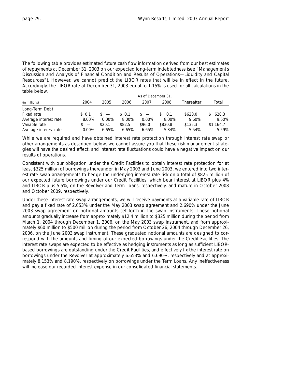The following table provides estimated future cash flow information derived from our best estimates of repayments at December 31, 2003 on our expected long-term indebtedness (see "Management's Discussion and Analysis of Financial Condition and Results of Operations—Liquidity and Capital Resources"). However, we cannot predict the LIBOR rates that will be in effect in the future. Accordingly, the LIBOR rate at December 31, 2003 equal to 1.15% is used for all calculations in the table below.

|                       | As of December 31, |          |        |          |           |            |           |
|-----------------------|--------------------|----------|--------|----------|-----------|------------|-----------|
| (in millions)         | 2004               | 2005     | 2006   | 2007     | 2008      | Thereafter | Total     |
| Long-Term Debt:       |                    |          |        |          |           |            |           |
| Fixed rate            | \$ 0.1             | $S =$    | \$ 0.1 | $s =$    | 0.1<br>S. | \$620.0    | \$620.3   |
| Average interest rate | 8.00%              | $0.00\%$ | 8.00%  | $0.00\%$ | 8.00%     | 9.60%      | 9.60%     |
| Variable rate         | $s =$              | \$20.1   | \$82.5 | \$96.0   | \$830.8   | \$135.3    | \$1,164.7 |
| Average interest rate | 0.00%              | 6.65%    | 6.65%  | 6.65%    | 5.34%     | 5.54%      | 5.59%     |

While we are required and have obtained interest rate protection through interest rate swap or other arrangements as described below, we cannot assure you that these risk management strategies will have the desired effect, and interest rate fluctuations could have a negative impact on our results of operations.

Consistent with our obligation under the Credit Facilities to obtain interest rate protection for at least \$325 million of borrowings thereunder, in May 2003 and June 2003, we entered into two interest rate swap arrangements to hedge the underlying interest rate risk on a total of \$825 million of our expected future borrowings under our Credit Facilities, which bear interest at LIBOR plus 4% and LIBOR plus 5.5%, on the Revolver and Term Loans, respectively, and mature in October 2008 and October 2009, respectively.

Under these interest rate swap arrangements, we will receive payments at a variable rate of LIBOR and pay a fixed rate of 2.653% under the May 2003 swap agreement and 2.690% under the June 2003 swap agreement on notional amounts set forth in the swap instruments. These notional amounts gradually increase from approximately \$12.4 million to \$325 million during the period from March 1, 2004 through December 1, 2006, on the May 2003 swap instrument, and from approximately \$60 million to \$500 million during the period from October 26, 2004 through December 26, 2006, on the June 2003 swap instrument. These graduated notional amounts are designed to correspond with the amounts and timing of our expected borrowings under the Credit Facilities. The interest rate swaps are expected to be effective as hedging instruments as long as sufficient LIBORbased borrowings are outstanding under the Credit Facilities, and effectively fix the interest rate on borrowings under the Revolver at approximately 6.653% and 6.690%, respectively and at approximately 8.153% and 8.190%, respectively on borrowings under the Term Loans. Any ineffectiveness will increase our recorded interest expense in our consolidated financial statements.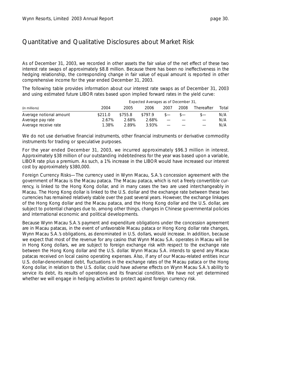# Quantitative and Qualitative Disclosures about Market Risk

As of December 31, 2003, we recorded in other assets the fair value of the net effect of these two interest rate swaps of approximately \$8.8 million. Because there has been no ineffectiveness in the hedging relationship, the corresponding change in fair value of equal amount is reported in other comprehensive income for the year ended December 31, 2003.

The following table provides information about our interest rate swaps as of December 31, 2003 and using estimated future LIBOR rates based upon implied forward rates in the yield curve:

|                         | Expected Averages as of December 31, |         |         |      |      |            |       |
|-------------------------|--------------------------------------|---------|---------|------|------|------------|-------|
| (in millions)           | 2004                                 | 2005    | 2006    | 2007 | 2008 | Thereafter | Total |
| Average notional amount | \$211.0                              | \$755.8 | \$797.9 |      |      |            | N/A   |
| Average pay rate        | 2.67%                                | 2.68%   | 2.68%   |      |      |            | N/A   |
| Average receive rate    | 1.38%                                | 2.89%   | 3.93%   |      |      |            | N/A   |

We do not use derivative financial instruments, other financial instruments or derivative commodity instruments for trading or speculative purposes.

For the year ended December 31, 2003, we incurred approximately \$96.3 million in interest. Approximately \$38 million of our outstanding indebtedness for the year was based upon a variable, LIBOR rate plus a premium. As such, a 1% increase in the LIBOR would have increased our interest cost by approximately \$380,000.

*Foreign Currency Risks—*The currency used in Wynn Macau, S.A.'s concession agreement with the government of Macau is the Macau pataca. The Macau pataca, which is not a freely convertible currency, is linked to the Hong Kong dollar, and in many cases the two are used interchangeably in Macau. The Hong Kong dollar is linked to the U.S. dollar and the exchange rate between these two currencies has remained relatively stable over the past several years. However, the exchange linkages of the Hong Kong dollar and the Macau pataca, and the Hong Kong dollar and the U.S. dollar, are subject to potential changes due to, among other things, changes in Chinese governmental policies and international economic and political developments.

Because Wynn Macau S.A.'s payment and expenditure obligations under the concession agreement are in Macau patacas, in the event of unfavorable Macau pataca or Hong Kong dollar rate changes, Wynn Macau S.A.'s obligations, as denominated in U.S. dollars, would increase. In addition, because we expect that most of the revenue for any casino that Wynn Macau S.A. operates in Macau will be in Hong Kong dollars, we are subject to foreign exchange risk with respect to the exchange rate between the Hong Kong dollar and the U.S. dollar. Wynn Macau S.A. intends to spend any Macau patacas received on local casino operating expenses. Also, if any of our Macau-related entities incur U.S. dollar-denominated debt, fluctuations in the exchange rates of the Macau pataca or the Hong Kong dollar, in relation to the U.S. dollar, could have adverse effects on Wynn Macau S.A.'s ability to service its debt, its results of operations and its financial condition. We have not yet determined whether we will engage in hedging activities to protect against foreign currency risk.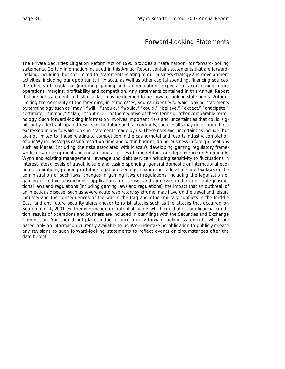### Forward-Looking Statements

<span id="page-32-0"></span>The Private Securities Litigation Reform Act of 1995 provides a "safe harbor" for forward-looking statements. Certain information included in this Annual Report contains statements that are forwardlooking, including, but not limited to, statements relating to our business strategy and development activities, including our opportunity in Macau, as well as other capital spending, financing sources, the effects of regulation (including gaming and tax regulation), expectations concerning future operations, margins, profitability and competition. Any statements contained in this Annual Report that are not statements of historical fact may be deemed to be forward-looking statements. Without limiting the generality of the foregoing, in some cases, you can identify forward-looking statements by terminology such as "may," "will," "should," "would," "could," "believe," "expect," "anticipate," "estimate," "intend," "plan," "continue," or the negative of these terms or other comparable terminology. Such forward-looking information involves important risks and uncertainties that could significantly affect anticipated results in the future and, accordingly, such results may differ from those expressed in any forward-looking statements made by us. These risks and uncertainties include, but are not limited to, those relating to competition in the casino/hotel and resorts industry, completion of our Wynn Las Vegas casino resort on time and within budget, doing business in foreign locations such as Macau (including the risks associated with Macau's developing gaming regulatory framework), new development and construction activities of competitors, our dependence on Stephen A. Wynn and existing management, leverage and debt service (including sensitivity to fluctuations in interest rates), levels of travel, leisure and casino spending, general domestic or international economic conditions, pending or future legal proceedings, changes in federal or state tax laws or the administration of such laws, changes in gaming laws or regulations (including the legalization of gaming in certain jurisdictions), applications for licenses and approvals under applicable jurisdictional laws and regulations (including gaming laws and regulations), the impact that an outbreak of an infectious disease, such as severe acute respiratory syndrome, may have on the travel and leisure industry and the consequences of the war in the Iraq and other military conflicts in the Middle East, and any future security alerts and/or terrorist attacks such as the attacks that occurred on September 11, 2001. Further information on potential factors which could affect our financial condition, results of operations and business are included in our filings with the Securities and Exchange Commission. You should not place undue reliance on any forward-looking statements, which are based only on information currently available to us. We undertake no obligation to publicly release any revisions to such forward-looking statements to reflect events or circumstances after the date hereof.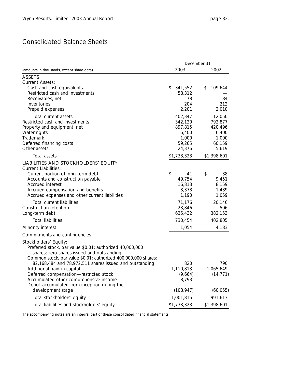# <span id="page-33-0"></span>Consolidated Balance Sheets

|                                                                                                                                                                                                                                                                                                                                                                                                                                 | December 31, |                                                                                    |    |                                                                                   |  |
|---------------------------------------------------------------------------------------------------------------------------------------------------------------------------------------------------------------------------------------------------------------------------------------------------------------------------------------------------------------------------------------------------------------------------------|--------------|------------------------------------------------------------------------------------|----|-----------------------------------------------------------------------------------|--|
| (amounts in thousands, except share data)                                                                                                                                                                                                                                                                                                                                                                                       |              | 2003                                                                               |    | 2002                                                                              |  |
| <b>ASSETS</b>                                                                                                                                                                                                                                                                                                                                                                                                                   |              |                                                                                    |    |                                                                                   |  |
| <b>Current Assets:</b><br>Cash and cash equivalents<br>Restricted cash and investments<br>Receivables, net<br>Inventories<br>Prepaid expenses                                                                                                                                                                                                                                                                                   | \$           | 341,552<br>58,312<br>78<br>204<br>2,201                                            | \$ | 109,644<br>184<br>212<br>2,010                                                    |  |
| Total current assets<br>Restricted cash and investments<br>Property and equipment, net<br>Water rights<br>Trademark<br>Deferred financing costs<br>Other assets<br>Total assets                                                                                                                                                                                                                                                 |              | 402,347<br>342,120<br>897,815<br>6,400<br>1,000<br>59,265<br>24,376<br>\$1,733,323 |    | 112,050<br>792,877<br>420,496<br>6,400<br>1,000<br>60,159<br>5,619<br>\$1,398,601 |  |
| LIABILITIES AND STOCKHOLDERS' EQUITY                                                                                                                                                                                                                                                                                                                                                                                            |              |                                                                                    |    |                                                                                   |  |
| <b>Current Liabilities:</b><br>Current portion of long-term debt<br>Accounts and construction payable<br>Accrued interest<br>Accrued compensation and benefits<br>Accrued expenses and other current liabilities                                                                                                                                                                                                                | \$           | 41<br>49,754<br>16,813<br>3,378<br>1,190                                           | \$ | 38<br>9,451<br>8,159<br>1,439<br>1,059                                            |  |
| Total current liabilities<br>Construction retention<br>Long-term debt                                                                                                                                                                                                                                                                                                                                                           |              | 71,176<br>23,846<br>635,432                                                        |    | 20,146<br>506<br>382,153                                                          |  |
| <b>Total liabilities</b>                                                                                                                                                                                                                                                                                                                                                                                                        |              | 730,454                                                                            |    | 402,805                                                                           |  |
| Minority interest                                                                                                                                                                                                                                                                                                                                                                                                               |              | 1,054                                                                              |    | 4,183                                                                             |  |
| Commitments and contingencies                                                                                                                                                                                                                                                                                                                                                                                                   |              |                                                                                    |    |                                                                                   |  |
| Stockholders' Equity:<br>Preferred stock, par value \$0.01; authorized 40,000,000<br>shares; zero shares issued and outstanding<br>Common stock, par value \$0.01; authorized 400,000,000 shares;<br>82,168,484 and 78,972,511 shares issued and outstanding<br>Additional paid-in capital<br>Deferred compensation-restricted stock<br>Accumulated other comprehensive income<br>Deficit accumulated from inception during the |              | 820<br>1,110,813<br>(9,664)<br>8,793                                               |    | 790<br>1,065,649<br>(14, 771)                                                     |  |
| development stage                                                                                                                                                                                                                                                                                                                                                                                                               |              | (108, 947)                                                                         |    | (60, 055)                                                                         |  |
| Total stockholders' equity                                                                                                                                                                                                                                                                                                                                                                                                      |              | 1,001,815                                                                          |    | 991,613                                                                           |  |
| Total liabilities and stockholders' equity                                                                                                                                                                                                                                                                                                                                                                                      |              | \$1,733,323                                                                        |    | \$1,398,601                                                                       |  |

*The accompanying notes are an integral part of these consolidated financial statements*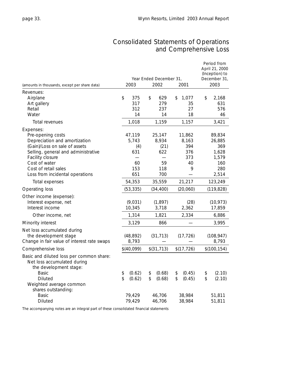# Consolidated Statements of Operations and Comprehensive Loss

<span id="page-34-0"></span>

|                                                                                                   | Year Ended December 31, |            |    |             |    |             | Period from<br>April 21, 2000<br>(Inception) to<br>December 31, |              |  |
|---------------------------------------------------------------------------------------------------|-------------------------|------------|----|-------------|----|-------------|-----------------------------------------------------------------|--------------|--|
| (amounts in thousands, except per share data)                                                     |                         | 2003       |    | 2002        |    | 2001        |                                                                 | 2003         |  |
| Revenues:                                                                                         |                         |            |    |             |    |             |                                                                 |              |  |
| Airplane<br>Art gallery                                                                           | \$                      | 375<br>317 | \$ | 629<br>279  | \$ | 1,077<br>35 | \$                                                              | 2,168<br>631 |  |
| Retail                                                                                            |                         | 312        |    | 237         |    | 27          |                                                                 | 576          |  |
| Water                                                                                             |                         | 14         |    | 14          |    | 18          |                                                                 | 46           |  |
| Total revenues                                                                                    |                         | 1,018      |    | 1,159       |    | 1,157       |                                                                 | 3,421        |  |
| Expenses:                                                                                         |                         |            |    |             |    |             |                                                                 |              |  |
| Pre-opening costs                                                                                 |                         | 47,119     |    | 25,147      |    | 11,862      |                                                                 | 89,834       |  |
| Depreciation and amortization                                                                     |                         | 5.743      |    | 8,934       |    | 8,163       |                                                                 | 26,885       |  |
| (Gain)/Loss on sale of assets                                                                     |                         | (4)        |    | (21)        |    | 394         |                                                                 | 369          |  |
| Selling, general and administrative                                                               |                         | 631        |    | 622         |    | 376         |                                                                 | 1,628        |  |
| Facility closure                                                                                  |                         |            |    |             |    | 373         |                                                                 | 1,579        |  |
| Cost of water                                                                                     |                         | 60         |    | 59          |    | 40          |                                                                 | 160          |  |
| Cost of retail sales<br>Loss from incidental operations                                           |                         | 153<br>651 |    | 118<br>700  |    | 9           |                                                                 | 280<br>2,514 |  |
|                                                                                                   |                         |            |    |             |    |             |                                                                 |              |  |
| Total expenses                                                                                    |                         | 54,353     |    | 35,559      |    | 21,217      |                                                                 | 123,249      |  |
| Operating loss                                                                                    |                         | (53, 335)  |    | (34, 400)   |    | (20,060)    |                                                                 | (119, 828)   |  |
| Other income (expense):                                                                           |                         |            |    |             |    |             |                                                                 |              |  |
| Interest expense, net                                                                             |                         | (9,031)    |    | (1, 897)    |    | (28)        |                                                                 | (10, 973)    |  |
| Interest income                                                                                   |                         | 10,345     |    | 3,718       |    | 2,362       |                                                                 | 17,859       |  |
| Other income, net                                                                                 |                         | 1,314      |    | 1,821       |    | 2,334       |                                                                 | 6,886        |  |
| Minority interest                                                                                 |                         | 3,129      |    | 866         |    |             |                                                                 | 3,995        |  |
| Net loss accumulated during                                                                       |                         |            |    |             |    |             |                                                                 |              |  |
| the development stage                                                                             |                         | (48, 892)  |    | (31, 713)   |    | (17, 726)   |                                                                 | (108, 947)   |  |
| Change in fair value of interest rate swaps                                                       |                         | 8,793      |    |             |    |             |                                                                 | 8,793        |  |
| Comprehensive loss                                                                                |                         | \$(40,099) |    | \$(31, 713) |    | \$(17, 726) |                                                                 | \$(100, 154) |  |
| Basic and diluted loss per common share:<br>Net loss accumulated during<br>the development stage: |                         |            |    |             |    |             |                                                                 |              |  |
| Basic                                                                                             | \$                      | (0.62)     | \$ | (0.68)      | \$ | (0.45)      | \$                                                              | (2.10)       |  |
| Diluted                                                                                           | \$                      | (0.62)     | \$ | (0.68)      | \$ | (0.45)      | \$                                                              | (2.10)       |  |
| Weighted average common                                                                           |                         |            |    |             |    |             |                                                                 |              |  |
| shares outstanding:                                                                               |                         |            |    |             |    |             |                                                                 |              |  |
| <b>Basic</b>                                                                                      |                         | 79,429     |    | 46,706      |    | 38,984      |                                                                 | 51,811       |  |
| <b>Diluted</b>                                                                                    |                         | 79,429     |    | 46,706      |    | 38,984      |                                                                 | 51,811       |  |

*The accompanying notes are an integral part of these consolidated financial statements*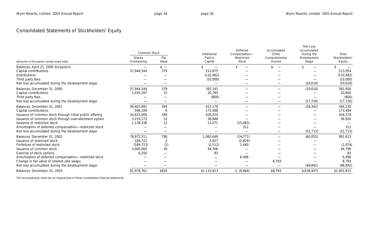# Consolidated Statements of Stockholders' Equity

|                                                          | <b>Common Stock</b>          |               | Additional                    | Deferred<br>Compensation- | Accumulated<br>Other    | Net Loss<br>Accumulated<br>During the | Total                               |
|----------------------------------------------------------|------------------------------|---------------|-------------------------------|---------------------------|-------------------------|---------------------------------------|-------------------------------------|
| (amounts in thousands, except share data)                | <b>Shares</b><br>Outstanding | Par<br>Value  | Paid-in<br>Capital            | Restricted<br>Stock       | Comprehensive<br>Income | Development<br>Stage                  | Stockholders <sup>®</sup><br>Equity |
| Balances, April 21, 2000 (Inception)                     |                              | $\frac{1}{2}$ | $\overbrace{\phantom{aaaaa}}$ | \$.                       |                         |                                       |                                     |
| Capital contributions                                    | 37,944,544                   | 379           | 512,675                       |                           |                         |                                       | 513,054                             |
| <b>Distributions</b>                                     |                              |               | (110, 482)                    |                           |                         |                                       | (110, 482)                          |
| Third party fees                                         |                              |               | (10,000)                      |                           |                         |                                       | (10,000)                            |
| Net loss accumulated during the development stage        |                              |               | $\hspace{0.05cm}$             |                           |                         | (10,616)                              | (10,616)                            |
| Balances, December 31, 2000                              | 37,944,544                   | 379           | 392,193                       |                           |                         | (10,616)                              | 381,956                             |
| Capital contributions                                    | 1,459,347                    | 15            | 20,785                        |                           |                         |                                       | 20,800                              |
| Third party fees                                         |                              |               | (800)                         |                           |                         |                                       | (800)                               |
| Net loss accumulated during the development stage        |                              |               |                               |                           |                         | (17, 726)                             | (17, 726)                           |
| Balances, December 31, 2001                              | 39,403,891                   | 394           | 412,178                       |                           |                         | (28, 342)                             | 384,230                             |
| Capital contributions                                    | 596,109                      | 6             | 173,488                       |                           |                         |                                       | 173,494                             |
| Issuance of common stock through initial public offering | 34,615,000                   | 346           | 426,024                       |                           |                         |                                       | 426,370                             |
| Issuance of common stock through over-allotment option   | 3,219,173                    | 32            | 38,888                        |                           |                         |                                       | 38,920                              |
| Issuance of restricted stock                             | 1,138,338                    | 12            | 15,071                        | (15,083)                  |                         |                                       |                                     |
| Amortization of deferred compensation-restricted stock   |                              |               |                               | 312                       |                         |                                       | 312                                 |
| Net loss accumulated during the development stage        |                              |               |                               |                           |                         | (31, 713)                             | (31, 713)                           |
| Balances, December 31, 2002                              | 78,972,511                   | 790           | 1,065,649                     | (14, 771)                 |                         | (60, 055)                             | 991,613                             |
| Issuance of restricted stock                             | 189,723                      | 2             | 2,827                         | (2,829)                   |                         |                                       |                                     |
| Forfeiture of restricted stock                           | (189, 723)                   | (2)           | (2, 512)                      | 1,440                     |                         |                                       | (1,074)                             |
| Issuance of common stock                                 | 3,000,000                    | 30            | 44,766                        |                           |                         |                                       | 44,796                              |
| Exercise of stock options                                | 6,250                        |               | 83                            |                           |                         |                                       | 83                                  |
| Amortization of deferred compensation-restricted stock   |                              |               |                               | 6,496                     |                         |                                       | 6,496                               |
| Change in fair value of interest rate swaps              |                              |               |                               |                           | 8,793                   |                                       | 8,793                               |
| Net loss accumulated during the development stage        |                              |               |                               |                           |                         | (48, 892)                             | (48, 892)                           |
| Balances, December 31, 2003                              | 81,978,761                   | \$820         | \$1,110,813                   | \$ (9,664)                | \$8,793                 | \$(108, 947)                          | \$1,001,815                         |

*The accompanying notes are an integral part of these consolidated financial statements*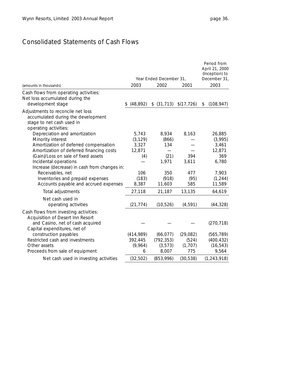# Consolidated Statements of Cash Flows

|                                                                                                                               | Year Ended December 31, | Period from<br>April 21, 2000<br>(Inception) to<br>December 31, |             |                  |
|-------------------------------------------------------------------------------------------------------------------------------|-------------------------|-----------------------------------------------------------------|-------------|------------------|
| (amounts in thousands)                                                                                                        | 2003                    | 2002                                                            | 2001        | 2003             |
| Cash flows from operating activities:<br>Net loss accumulated during the<br>development stage                                 | (48, 892)<br>\$         | (31, 713)<br>\$                                                 | \$(17, 726) | (108, 947)<br>\$ |
| Adjustments to reconcile net loss<br>accumulated during the development<br>stage to net cash used in<br>operating activities: |                         |                                                                 |             |                  |
| Depreciation and amortization                                                                                                 | 5,743                   | 8,934                                                           | 8,163       | 26,885           |
| Minority interest                                                                                                             | (3, 129)                | (866)                                                           |             | (3,995)          |
| Amortization of deferred compensation                                                                                         | 3,327                   | 134                                                             |             | 3,461            |
| Amortization of deferred financing costs                                                                                      | 12,871                  |                                                                 |             | 12,871           |
| (Gain)/Loss on sale of fixed assets                                                                                           | (4)                     | (21)                                                            | 394         | 369              |
| Incidental operations                                                                                                         |                         | 1,971                                                           | 3,611       | 6,780            |
| Increase (decrease) in cash from changes in:                                                                                  |                         |                                                                 |             |                  |
| Receivables, net                                                                                                              | 106                     | 350                                                             | 477         | 7,903            |
| Inventories and prepaid expenses                                                                                              | (183)                   | (918)                                                           | (95)        | (1, 244)         |
| Accounts payable and accrued expenses                                                                                         | 8,387                   | 11,603                                                          | 585         | 11,589           |
| Total adjustments                                                                                                             | 27,118                  | 21,187                                                          | 13,135      | 64,619           |
| Net cash used in<br>operating activities                                                                                      | (21, 774)               | (10, 526)                                                       | (4, 591)    | (44, 328)        |
| Cash flows from investing activities:<br>Acquisition of Desert Inn Resort<br>and Casino, net of cash acquired                 |                         |                                                                 |             | (270, 718)       |
| Capital expenditures, net of                                                                                                  |                         |                                                                 |             |                  |
| construction payables                                                                                                         | (414, 989)              | (66, 077)                                                       | (29, 082)   | (565, 789)       |
| Restricted cash and investments                                                                                               | 392,445                 | (792, 353)                                                      | (524)       | (400, 432)       |
| Other assets                                                                                                                  | (9,964)                 | (3, 573)                                                        | (1,707)     | (16, 543)        |
| Proceeds from sale of equipment                                                                                               | 6                       | 8,007                                                           | 775         | 9,564            |
| Net cash used in investing activities                                                                                         | (32, 502)               | (853,996)                                                       | (30, 538)   | (1, 243, 918)    |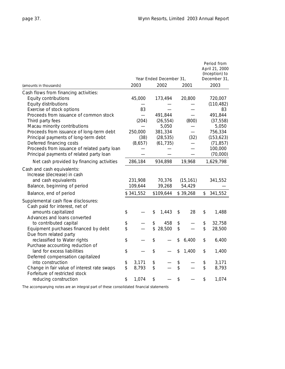|                                                                                                                              |                    | Year Ended December 31, |                |                     | Period from<br>April 21, 2000<br>(Inception) to<br>December 31, |
|------------------------------------------------------------------------------------------------------------------------------|--------------------|-------------------------|----------------|---------------------|-----------------------------------------------------------------|
| (amounts in thousands)                                                                                                       | 2003               | 2002                    |                | 2001                | 2003                                                            |
| Cash flows from financing activities:                                                                                        |                    |                         |                |                     |                                                                 |
| Equity contributions                                                                                                         | 45,000             | 173,494                 |                | 20,800              | 720,007                                                         |
| Equity distributions                                                                                                         |                    |                         |                |                     | (110, 482)                                                      |
| Exercise of stock options                                                                                                    | 83                 |                         |                |                     | 83                                                              |
| Proceeds from issuance of common stock                                                                                       |                    | 491,844                 |                |                     | 491,844                                                         |
| Third party fees                                                                                                             | (204)              | (26, 554)               |                | (800)               | (37, 558)                                                       |
| Macau minority contributions                                                                                                 |                    | 5,050                   |                |                     | 5,050                                                           |
| Proceeds from issuance of long-term debt                                                                                     | 250,000            | 381,334                 |                |                     | 756,334                                                         |
| Principal payments of long-term debt                                                                                         | (38)               | (28, 535)               |                | (32)                | (153, 623)                                                      |
| Deferred financing costs                                                                                                     | (8,657)            | (61, 735)               |                |                     | (71, 857)                                                       |
| Proceeds from issuance of related party loan                                                                                 |                    |                         |                |                     | 100,000                                                         |
| Principal payments of related party loan                                                                                     |                    |                         |                |                     | (70,000)                                                        |
| Net cash provided by financing activities                                                                                    | 286,184            | 934,898                 |                | 19,968              | 1,629,798                                                       |
| Cash and cash equivalents:<br>Increase (decrease) in cash<br>and cash equivalents<br>Balance, beginning of period            | 231,908<br>109,644 | 70,376<br>39,268        |                | (15, 161)<br>54,429 | 341,552                                                         |
| Balance, end of period                                                                                                       | \$341,552          | \$109,644               |                | \$39,268            | \$<br>341,552                                                   |
| Supplemental cash flow disclosures:<br>Cash paid for interest, net of<br>amounts capitalized<br>Advances and loans converted | \$                 | \$<br>1,443             | \$             | 28                  | \$<br>1,488                                                     |
| to contributed capital                                                                                                       | \$                 | \$<br>458               | \$             |                     | \$<br>32,758                                                    |
| Equipment purchases financed by debt                                                                                         | \$                 | \$<br>28,500            | \$             |                     | \$<br>28,500                                                    |
| Due from related party                                                                                                       |                    |                         |                |                     |                                                                 |
| reclassified to Water rights                                                                                                 | \$                 | \$                      | \$             | 6,400               | \$<br>6,400                                                     |
| Purchase accounting reduction of                                                                                             |                    |                         |                |                     |                                                                 |
| land for excess liabilities                                                                                                  | \$                 | \$                      | \$             | 1,400               | \$<br>1,400                                                     |
| Deferred compensation capitalized                                                                                            |                    |                         |                |                     |                                                                 |
| into construction                                                                                                            | \$<br>3,171        | \$                      | $\updownarrow$ |                     | \$<br>3,171                                                     |
| Change in fair value of interest rate swaps                                                                                  | \$<br>8,793        | \$                      | \$             |                     | \$<br>8,793                                                     |
| Forfeiture of restricted stock<br>reducing construction                                                                      | \$<br>1,074        | \$                      | \$             |                     | \$<br>1,074                                                     |

*The accompanying notes are an integral part of these consolidated financial statements*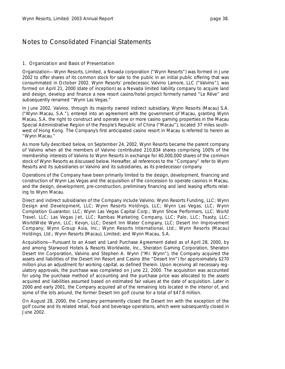### 1. Organization and Basis of Presentation

*Organization—*Wynn Resorts, Limited, a Nevada corporation ("Wynn Resorts") was formed in June 2002 to offer shares of its common stock for sale to the public in an initial public offering that was consummated in October 2002. Wynn Resorts' predecessor, Valvino Lamore, LLC ("Valvino"), was formed on April 21, 2000 (date of inception) as a Nevada limited liability company to acquire land and design, develop and finance a new resort casino/hotel project formerly named "Le Rêve" and subsequently renamed "Wynn Las Vegas."

In June 2002, Valvino, through its majority owned indirect subsidiary, Wynn Resorts (Macau) S.A. ("Wynn Macau, S.A."), entered into an agreement with the government of Macau, granting Wynn Macau, S.A. the right to construct and operate one or more casino gaming properties in the Macau Special Administrative Region of the People's Republic of China ("Macau"), located 37 miles southwest of Hong Kong. The Company's first anticipated casino resort in Macau is referred to herein as "Wynn Macau."

As more fully described below, on September 24, 2002, Wynn Resorts became the parent company of Valvino when all the members of Valvino contributed 210,834 shares comprising 100% of the membership interests of Valvino to Wynn Resorts in exchange for 40,000,000 shares of the common stock of Wynn Resorts as discussed below. Hereafter, all references to the "Company" refer to Wynn Resorts and its subsidiaries or Valvino and its subsidiaries, as its predecessor company.

Operations of the Company have been primarily limited to the design, development, financing and construction of Wynn Las Vegas and the acquisition of the concession to operate casinos in Macau, and the design, development, pre-construction, preliminary financing and land leasing efforts relating to Wynn Macau.

Direct and indirect subsidiaries of the Company include Valvino; Wynn Resorts Funding, LLC; Wynn Design and Development, LLC; Wynn Resorts Holdings, LLC; Wynn Las Vegas, LLC; Wynn Completion Guarantor, LLC; Wynn Las Vegas Capital Corp.; Wynn Show Performers, LLC; World Travel, LLC; Las Vegas Jet, LLC; Rambas Marketing Company, LLC; Palo, LLC; Toasty, LLC; WorldWide Wynn, LLC; Kevyn, LLC; Desert Inn Water Company, LLC; Desert Inn Improvement Company; Wynn Group Asia, Inc.; Wynn Resorts International, Ltd.; Wynn Resorts (Macau) Holdings, Ltd.; Wynn Resorts (Macau), Limited; and Wynn Macau, S.A.

*Acquisitions—*Pursuant to an Asset and Land Purchase Agreement dated as of April 28, 2000, by and among Starwood Hotels & Resorts Worldwide, Inc., Sheraton Gaming Corporation, Sheraton Desert Inn Corporation, Valvino and Stephen A. Wynn ("Mr. Wynn"), the Company acquired the assets and liabilities of the Desert Inn Resort and Casino (the "Desert Inn") for approximately \$270 million plus an adjustment for working capital, as defined therein. Upon receiving all necessary regulatory approvals, the purchase was completed on June 22, 2000. The acquisition was accounted for using the purchase method of accounting and the purchase price was allocated to the assets acquired and liabilities assumed based on estimated fair values at the date of acquisition. Later in 2000 and early 2001, the Company acquired all of the remaining lots located in the interior of, and some of the lots around, the former Desert Inn golf course for a total of \$47.8 million.

On August 28, 2000, the Company permanently closed the Desert Inn with the exception of the golf course and its related retail, food and beverage operations, which were subsequently closed in June 2002.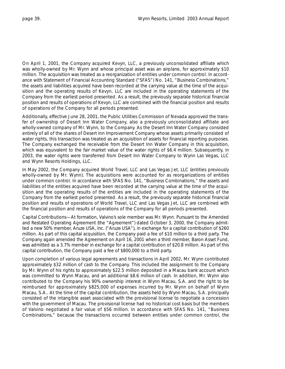On April 1, 2001, the Company acquired Kevyn, LLC, a previously unconsolidated affiliate which was wholly-owned by Mr. Wynn and whose principal asset was an airplane, for approximately \$10 million. The acquisition was treated as a reorganization of entities under common control. In accordance with Statement of Financial Accounting Standard ("SFAS") No. 141, "Business Combinations," the assets and liabilities acquired have been recorded at the carrying value at the time of the acquisition and the operating results of Kevyn, LLC are included in the operating statements of the Company from the earliest period presented. As a result, the previously separate historical financial position and results of operations of Kevyn, LLC are combined with the financial position and results of operations of the Company for all periods presented.

Additionally, effective June 28, 2001, the Public Utilities Commission of Nevada approved the transfer of ownership of Desert Inn Water Company, also a previously unconsolidated affiliate and wholly-owned company of Mr. Wynn, to the Company. As the Desert Inn Water Company consisted entirely of all of the shares of Desert Inn Improvement Company whose assets primarily consisted of water rights, this transaction was treated as an acquisition of assets for financial reporting purposes. The Company exchanged the receivable from the Desert Inn Water Company in this acquisition, which was equivalent to the fair market value of the water rights of \$6.4 million. Subsequently, in 2003, the water rights were transferred from Desert Inn Water Company to Wynn Las Vegas, LLC and Wynn Resorts Holdings, LLC.

In May 2002, the Company acquired World Travel, LLC and Las Vegas Jet, LLC (entities previously wholly-owned by Mr. Wynn). The acquisitions were accounted for as reorganizations of entities under common control. In accordance with SFAS No. 141, "Business Combinations," the assets and liabilities of the entities acquired have been recorded at the carrying value at the time of the acquisition and the operating results of the entities are included in the operating statements of the Company from the earliest period presented. As a result, the previously separate historical financial position and results of operations of World Travel, LLC and Las Vegas Jet, LLC are combined with the financial position and results of operations of the Company for all periods presented.

*Capital Contributions—*At formation, Valvino's sole member was Mr. Wynn. Pursuant to the Amended and Restated Operating Agreement (the "Agreement") dated October 3, 2000, the Company admitted a new 50% member, Aruze USA, Inc. ("Aruze USA"), in exchange for a capital contribution of \$260 million. As part of this capital acquisition, the Company paid a fee of \$10 million to a third party. The Company again amended the Agreement on April 16, 2001 when a third member, Baron Asset Fund, was admitted as a 3.7% member in exchange for a capital contribution of \$20.8 million. As part of this capital contribution, the Company paid a fee of \$800,000 to a third party.

Upon completion of various legal agreements and transactions in April 2002, Mr. Wynn contributed approximately \$32 million of cash to the Company. This included the assignment to the Company by Mr. Wynn of his rights to approximately \$22.5 million deposited in a Macau bank account which was committed to Wynn Macau, and an additional \$8.6 million of cash. In addition, Mr. Wynn also contributed to the Company his 90% ownership interest in Wynn Macau, S.A. and the right to be reimbursed for approximately \$825,000 of expenses incurred by Mr. Wynn on behalf of Wynn Macau, S.A.. At the time of the capital contribution, the assets held by Wynn Macau, S.A. principally consisted of the intangible asset associated with the provisional license to negotiate a concession with the government of Macau. The provisional license had no historical cost basis but the members of Valvino negotiated a fair value of \$56 million. In accordance with SFAS No. 141, "Business Combinations," because the transactions occurred between entities under common control, the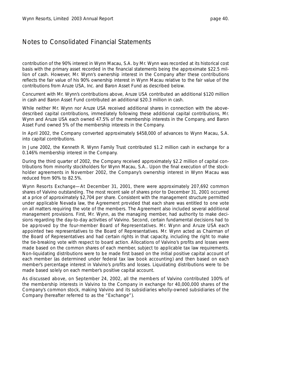contribution of the 90% interest in Wynn Macau, S.A. by Mr. Wynn was recorded at its historical cost basis with the primary asset recorded in the financial statements being the approximate \$22.5 million of cash. However, Mr. Wynn's ownership interest in the Company after these contributions reflects the fair value of his 90% ownership interest in Wynn Macau relative to the fair value of the contributions from Aruze USA, Inc. and Baron Asset Fund as described below.

Concurrent with Mr. Wynn's contributions above, Aruze USA contributed an additional \$120 million in cash and Baron Asset Fund contributed an additional \$20.3 million in cash.

While neither Mr. Wynn nor Aruze USA received additional shares in connection with the abovedescribed capital contributions, immediately following these additional capital contributions, Mr. Wynn and Aruze USA each owned 47.5% of the membership interests in the Company, and Baron Asset Fund owned 5% of the membership interests in the Company.

In April 2002, the Company converted approximately \$458,000 of advances to Wynn Macau, S.A. into capital contributions.

In June 2002, the Kenneth R. Wynn Family Trust contributed \$1.2 million cash in exchange for a 0.146% membership interest in the Company.

During the third quarter of 2002, the Company received approximately \$2.2 million of capital contributions from minority stockholders for Wynn Macau, S.A.. Upon the final execution of the stockholder agreements in November 2002, the Company's ownership interest in Wynn Macau was reduced from 90% to 82.5%.

*Wynn Resorts Exchange—*At December 31, 2001, there were approximately 207,692 common shares of Valvino outstanding. The most recent sale of shares prior to December 31, 2001 occurred at a price of approximately \$2,704 per share. Consistent with the management structure permitted under applicable Nevada law, the Agreement provided that each share was entitled to one vote on all matters requiring the vote of the members. The Agreement also included several additional management provisions. First, Mr. Wynn, as the managing member, had authority to make decisions regarding the day-to-day activities of Valvino. Second, certain fundamental decisions had to be approved by the four-member Board of Representatives. Mr. Wynn and Aruze USA each appointed two representatives to the Board of Representatives. Mr. Wynn acted as Chairman of the Board of Representatives and had certain rights in that capacity, including the right to make the tie-breaking vote with respect to board action. Allocations of Valvino's profits and losses were made based on the common shares of each member, subject to applicable tax law requirements. Non-liquidating distributions were to be made first based on the initial positive capital account of each member (as determined under federal tax law book accounting) and then based on each member's percentage interest in Valvino's profits and losses. Liquidating distributions were to be made based solely on each member's positive capital account.

As discussed above, on September 24, 2002, all the members of Valvino contributed 100% of the membership interests in Valvino to the Company in exchange for 40,000,000 shares of the Company's common stock, making Valvino and its subsidiaries wholly-owned subsidiaries of the Company (hereafter referred to as the "Exchange").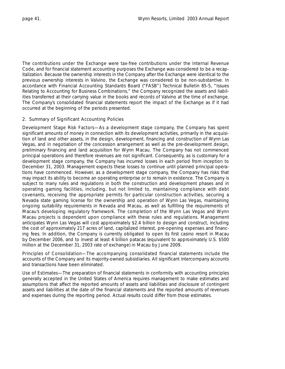The contributions under the Exchange were tax-free contributions under the Internal Revenue Code, and for financial statement accounting purposes the Exchange was considered to be a recapitalization. Because the ownership interests in the Company after the Exchange were identical to the previous ownership interests in Valvino, the Exchange was considered to be non-substantive. In accordance with Financial Accounting Standards Board ("FASB") Technical Bulletin 85-5, "Issues Relating to Accounting for Business Combinations," the Company recognized the assets and liabilities transferred at their carrying value in the books and records of Valvino at the time of exchange. The Company's consolidated financial statements report the impact of the Exchange as if it had occurred at the beginning of the periods presented.

### 2. Summary of Significant Accounting Policies

*Development Stage Risk Factors—*As a development stage company, the Company has spent significant amounts of money in connection with its development activities, primarily in the acquisition of land and other assets, in the design, development, financing and construction of Wynn Las Vegas, and in negotiation of the concession arrangement as well as the pre-development design, preliminary financing and land acquisition for Wynn Macau. The Company has not commenced principal operations and therefore revenues are not significant. Consequently, as is customary for a development stage company, the Company has incurred losses in each period from inception to December 31, 2003. Management expects these losses to continue until planned principal operations have commenced. However, as a development stage company, the Company has risks that may impact its ability to become an operating enterprise or to remain in existence. The Company is subject to many rules and regulations in both the construction and development phases and in operating gaming facilities, including, but not limited to, maintaining compliance with debt covenants, receiving the appropriate permits for particular construction activities, securing a Nevada state gaming license for the ownership and operation of Wynn Las Vegas, maintaining ongoing suitability requirements in Nevada and Macau, as well as fulfilling the requirements of Macau's developing regulatory framework. The completion of the Wynn Las Vegas and Wynn Macau projects is dependent upon compliance with these rules and regulations. Management anticipates Wynn Las Vegas will cost approximately \$2.4 billion to design and construct, including the cost of approximately 217 acres of land, capitalized interest, pre-opening expenses and financing fees. In addition, the Company is currently obligated to open its first casino resort in Macau by December 2006, and to invest at least 4 billion patacas (equivalent to approximately U.S. \$500 million at the December 31, 2003 rate of exchange) in Macau by June 2009.

*Principles of Consolidation—*The accompanying consolidated financial statements include the accounts of the Company and its majority-owned subsidiaries. All significant intercompany accounts and transactions have been eliminated.

*Use of Estimates—*The preparation of financial statements in conformity with accounting principles generally accepted in the United States of America requires management to make estimates and assumptions that affect the reported amounts of assets and liabilities and disclosure of contingent assets and liabilities at the date of the financial statements and the reported amounts of revenues and expenses during the reporting period. Actual results could differ from those estimates.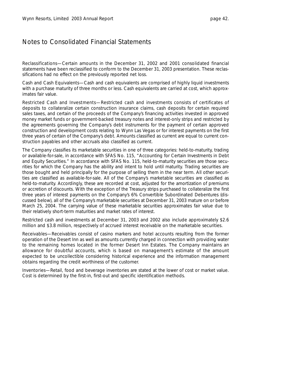*Reclassifications—*Certain amounts in the December 31, 2002 and 2001 consolidated financial statements have been reclassified to conform to the December 31, 2003 presentation. These reclassifications had no effect on the previously reported net loss.

*Cash and Cash Equivalents—*Cash and cash equivalents are comprised of highly liquid investments with a purchase maturity of three months or less. Cash equivalents are carried at cost, which approximates fair value.

*Restricted Cash and Investments—*Restricted cash and investments consists of certificates of deposits to collateralize certain construction insurance claims, cash deposits for certain required sales taxes, and certain of the proceeds of the Company's financing activities invested in approved money market funds or government-backed treasury notes and interest-only strips and restricted by the agreements governing the Company's debt instruments for the payment of certain approved construction and development costs relating to Wynn Las Vegas or for interest payments on the first three years of certain of the Company's debt. Amounts classified as current are equal to current construction payables and other accruals also classified as current.

The Company classifies its marketable securities in one of three categories: held-to-maturity, trading or available-for-sale, in accordance with SFAS No. 115, "Accounting for Certain Investments in Debt and Equity Securities." In accordance with SFAS No. 115, held-to-maturity securities are those securities for which the Company has the ability and intent to hold until maturity. Trading securities are those bought and held principally for the purpose of selling them in the near term. All other securities are classified as available-for-sale. All of the Company's marketable securities are classified as held-to-maturity. Accordingly, these are recorded at cost, adjusted for the amortization of premiums or accretion of discounts. With the exception of the Treasury strips purchased to collateralize the first three years of interest payments on the Company's 6% Convertible Subordinated Debentures (discussed below), all of the Company's marketable securities at December 31, 2003 mature on or before March 25, 2004. The carrying value of these marketable securities approximates fair value due to their relatively short-term maturities and market rates of interest.

Restricted cash and investments at December 31, 2003 and 2002 also include approximately \$2.6 million and \$3.8 million, respectively of accrued interest receivable on the marketable securities.

*Receivables—*Receivables consist of casino markers and hotel accounts resulting from the former operation of the Desert Inn as well as amounts currently charged in connection with providing water to the remaining homes located in the former Desert Inn Estates. The Company maintains an allowance for doubtful accounts, which is based on management's estimate of the amount expected to be uncollectible considering historical experience and the information management obtains regarding the credit worthiness of the customer.

*Inventories—*Retail, food and beverage inventories are stated at the lower of cost or market value. Cost is determined by the first-in, first-out and specific identification methods.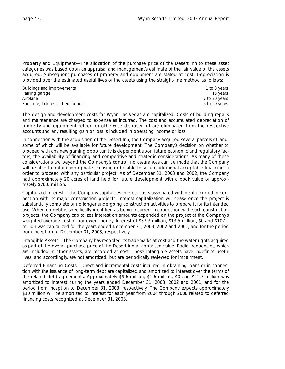*Property and Equipment—*The allocation of the purchase price of the Desert Inn to these asset categories was based upon an appraisal and management's estimate of the fair value of the assets acquired. Subsequent purchases of property and equipment are stated at cost. Depreciation is provided over the estimated useful lives of the assets using the straight-line method as follows:

| Buildings and improvements        | 1 to 3 years  |
|-----------------------------------|---------------|
| Parking garage                    | 15 years      |
| Airplane                          | 7 to 20 years |
| Furniture, fixtures and equipment | 5 to 20 years |

The design and development costs for Wynn Las Vegas are capitalized. Costs of building repairs and maintenance are charged to expense as incurred. The cost and accumulated depreciation of property and equipment retired or otherwise disposed of are eliminated from the respective accounts and any resulting gain or loss is included in operating income or loss.

In connection with the acquisition of the Desert Inn, the Company acquired several parcels of land, some of which will be available for future development. The Company's decision on whether to proceed with any new gaming opportunity is dependent upon future economic and regulatory factors, the availability of financing and competitive and strategic considerations. As many of these considerations are beyond the Company's control, no assurances can be made that the Company will be able to obtain appropriate licensing or be able to secure additional acceptable financing in order to proceed with any particular project. As of December 31, 2003 and 2002, the Company had approximately 20 acres of land held for future development with a book value of approximately \$78.6 million.

*Capitalized Interest—*The Company capitalizes interest costs associated with debt incurred in connection with its major construction projects. Interest capitalization will cease once the project is substantially complete or no longer undergoing construction activities to prepare it for its intended use. When no debt is specifically identified as being incurred in connection with such construction projects, the Company capitalizes interest on amounts expended on the project at the Company's weighted average cost of borrowed money. Interest of \$87.3 million, \$13.5 million, \$0 and \$107.1 million was capitalized for the years ended December 31, 2003, 2002 and 2001, and for the period from inception to December 31, 2003, respectively.

*Intangible Assets—*The Company has recorded its trademarks at cost and the water rights acquired as part of the overall purchase price of the Desert Inn at appraised value. Radio frequencies, which are included in other assets, are recorded at cost. These intangible assets have indefinite useful lives, and accordingly, are not amortized, but are periodically reviewed for impairment.

*Deferred Financing Costs—*Direct and incremental costs incurred in obtaining loans or in connection with the issuance of long-term debt are capitalized and amortized to interest over the terms of the related debt agreements. Approximately \$9.6 million, \$1.6 million, \$0 and \$12.7 million was amortized to interest during the years ended December 31, 2003, 2002 and 2001, and for the period from inception to December 31, 2003, respectively. The Company expects approximately \$10 million will be amortized to interest for each year from 2004 through 2008 related to deferred financing costs recognized at December 31, 2003.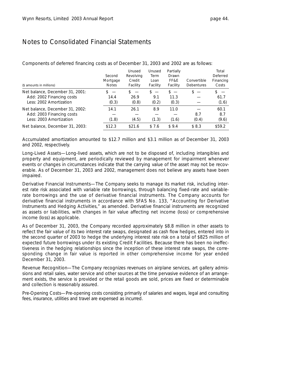| (\$ amounts in millions)                             | Second<br>Mortgage<br><b>Notes</b> | Unused<br>Revolving<br>Credit<br>Facility | Unused<br><b>Term</b><br>Loan<br>Facility | Partially<br>Drawn<br>FF&E<br>Facility | Convertible<br><b>Debentures</b> | Total<br>Deferred<br>Financing<br>Costs |
|------------------------------------------------------|------------------------------------|-------------------------------------------|-------------------------------------------|----------------------------------------|----------------------------------|-----------------------------------------|
| Net balance, December 31, 2001:                      | $\overline{\phantom{a}}$           | $s =$                                     | $\hspace{0.1mm}-\hspace{0.1mm}$           | S.<br>$\hspace{0.1mm}-\hspace{0.1mm}$  | $s =$                            | \$.                                     |
| Add: 2002 Financing costs<br>Less: 2002 Amortization | 14.4<br>(0.3)                      | 26.9<br>(0.8)                             | 9.1<br>(0.2)                              | 11.3<br>(0.3)                          |                                  | 61.7<br>(1.6)                           |
| Net balance, December 31, 2002:                      | 14.1                               | 26.1                                      | 8.9                                       | 11.0                                   |                                  | 60.1                                    |
| Add: 2003 Financing costs                            |                                    |                                           |                                           |                                        | 8.7                              | 8.7                                     |
| Less: 2003 Amortization                              | (1.8)                              | (4.5)                                     | (1.3)                                     | (1.6)                                  | (0.4)                            | (9.6)                                   |
| Net balance, December 31, 2003:                      | \$12.3                             | \$21.6                                    | \$7.6                                     | \$9.4                                  | \$8.3                            | \$59.2                                  |

Components of deferred financing costs as of December 31, 2003 and 2002 are as follows:

Accumulated amortization amounted to \$12.7 million and \$3.1 million as of December 31, 2003 and 2002, respectively.

*Long-Lived Assets—*Long-lived assets, which are not to be disposed of, including intangibles and property and equipment, are periodically reviewed by management for impairment whenever events or changes in circumstances indicate that the carrying value of the asset may not be recoverable. As of December 31, 2003 and 2002, management does not believe any assets have been impaired.

*Derivative Financial Instruments—*The Company seeks to manage its market risk, including interest rate risk associated with variable rate borrowings, through balancing fixed-rate and variablerate borrowings and the use of derivative financial instruments. The Company accounts for derivative financial instruments in accordance with SFAS No. 133, "Accounting for Derivative Instruments and Hedging Activities," as amended. Derivative financial instruments are recognized as assets or liabilities, with changes in fair value affecting net income (loss) or comprehensive income (loss) as applicable.

As of December 31, 2003, the Company recorded approximately \$8.8 million in other assets to reflect the fair value of its two interest rate swaps, designated as cash flow hedges, entered into in the second quarter of 2003 to hedge the underlying interest rate risk on a total of \$825 million of expected future borrowings under its existing Credit Facilities. Because there has been no ineffectiveness in the hedging relationships since the inception of these interest rate swaps, the corresponding change in fair value is reported in other comprehensive income for year ended December 31, 2003.

*Revenue Recognition—*The Company recognizes revenues on airplane services, art gallery admissions and retail sales, water service and other sources at the time pervasive evidence of an arrangement exists, the service is provided or the retail goods are sold, prices are fixed or determinable and collection is reasonably assured.

*Pre-Opening Costs—*Pre-opening costs consisting primarily of salaries and wages, legal and consulting fees, insurance, utilities and travel are expensed as incurred.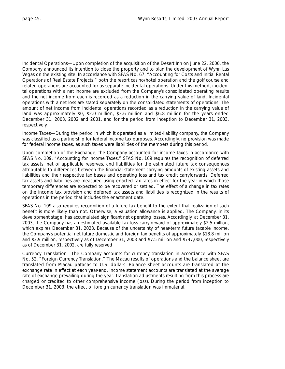*Incidental Operations—*Upon completion of the acquisition of the Desert Inn on June 22, 2000, the Company announced its intention to close the property and to plan the development of Wynn Las Vegas on the existing site. In accordance with SFAS No. 67, "Accounting for Costs and Initial Rental Operations of Real Estate Projects," both the resort casino/hotel operation and the golf course and related operations are accounted for as separate incidental operations. Under this method, incidental operations with a net income are excluded from the Company's consolidated operating results and the net income from each is recorded as a reduction in the carrying value of land. Incidental operations with a net loss are stated separately on the consolidated statements of operations. The amount of net income from incidental operations recorded as a reduction in the carrying value of land was approximately \$0, \$2.0 million, \$3.6 million and \$6.8 million for the years ended December 31, 2003, 2002 and 2001, and for the period from inception to December 31, 2003, respectively.

*Income Taxes—*During the period in which it operated as a limited-liability company, the Company was classified as a partnership for federal income tax purposes. Accordingly, no provision was made for federal income taxes, as such taxes were liabilities of the members during this period.

Upon completion of the Exchange, the Company accounted for income taxes in accordance with SFAS No. 109, "Accounting for Income Taxes." SFAS No. 109 requires the recognition of deferred tax assets, net of applicable reserves, and liabilities for the estimated future tax consequences attributable to differences between the financial statement carrying amounts of existing assets and liabilities and their respective tax bases and operating loss and tax credit carryforwards. Deferred tax assets and liabilities are measured using enacted tax rates in effect for the year in which those temporary differences are expected to be recovered or settled. The effect of a change in tax rates on the income tax provision and deferred tax assets and liabilities is recognized in the results of operations in the period that includes the enactment date.

SFAS No. 109 also requires recognition of a future tax benefit to the extent that realization of such benefit is more likely than not. Otherwise, a valuation allowance is applied. The Company, in its development stage, has accumulated significant net operating losses. Accordingly, at December 31, 2003, the Company has an estimated available tax loss carryforward of approximately \$2.5 million, which expires December 31, 2023. Because of the uncertainty of near-term future taxable income, the Company's potential net future domestic and foreign tax benefits of approximately \$18.8 million and \$2.9 million, respectively as of December 31, 2003 and \$7.5 million and \$747,000, respectively as of December 31, 2002, are fully reserved.

*Currency Translation—*The Company accounts for currency translation in accordance with SFAS No. 52, "Foreign Currency Translation." The Macau results of operations and the balance sheet are translated from Macau patacas to U.S. dollars. Balance sheet accounts are translated at the exchange rate in effect at each year-end. Income statement accounts are translated at the average rate of exchange prevailing during the year. Translation adjustments resulting from this process are charged or credited to other comprehensive income (loss). During the period from inception to December 31, 2003, the effect of foreign currency translation was immaterial.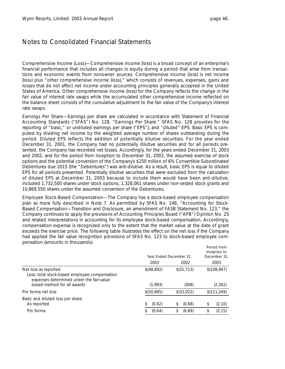*Comprehensive Income (Loss)—*Comprehensive income (loss) is a broad concept of an enterprise's financial performance that includes all changes in equity during a period that arise from transactions and economic events from nonowner sources. Comprehensive income (loss) is net income (loss) plus "other comprehensive income (loss)," which consists of revenues, expenses, gains and losses that do not affect net income under accounting principles generally accepted in the United States of America. Other comprehensive income (loss) for the Company reflects the change in the fair value of interest rate swaps while the accumulated other comprehensive income reflected on the balance sheet consists of the cumulative adjustment to the fair value of the Company's interest rate swaps.

*Earnings Per Share—*Earnings per share are calculated in accordance with Statement of Financial Accounting Standards ("SFAS") No. 128, "Earnings Per Share." SFAS No. 128 provides for the reporting of "basic," or undiluted earnings per share ("EPS"), and "diluted" EPS. Basic EPS is computed by dividing net income by the weighted average number of shares outstanding during the period. Diluted EPS reflects the addition of potentially dilutive securities. For the year ended December 31, 2001, the Company had no potentially dilutive securities and for all periods presented, the Company has recorded net losses. Accordingly, for the years ended December 31, 2003 and 2002, and for the period from inception to December 31, 2003, the assumed exercise of stock options and the potential conversion of the Company's \$250 million of 6% Convertible Subordinated Debentures due 2015 (the "Debentures") was anti-dilutive. As a result, basic EPS is equal to diluted EPS for all periods presented. Potentially dilutive securities that were excluded from the calculation of diluted EPS at December 31, 2003 because to include them would have been anti-dilutive, included 1,732,500 shares under stock options, 1,328,061 shares under non-vested stock grants and 10,869,550 shares under the assumed conversion of the Debentures.

*Employee Stock-Based Compensation—*The Company has a stock-based employee compensation plan as more fully described in Note 7. As permitted by SFAS No. 148, "Accounting for Stock-Based Compensation—Transition and Disclosure, an amendment of FASB Statement No. 123," the Company continues to apply the provisions of Accounting Principles Board ("APB") Opinion No. 25 and related interpretations in accounting for its employee stock-based compensation. Accordingly, compensation expense is recognized only to the extent that the market value at the date of grant exceeds the exercise price. The following table illustrates the effect on the net loss if the Company had applied the fair value recognition provisions of SFAS No. 123 to stock-based employee compensation (amounts in thousands).

|                                                                                                                   |              | Year Ended December 31. | Period from<br>Inception to<br>December 31. |
|-------------------------------------------------------------------------------------------------------------------|--------------|-------------------------|---------------------------------------------|
|                                                                                                                   | 2003         | 2002                    | 2003                                        |
| Net loss as reported<br>Less: total stock-based employee compensation<br>expenses determined under the fair-value | \$(48,892)   | \$(31, 713)             | \$(108, 947)                                |
| based method for all awards                                                                                       | (1,993)      | (309)                   | (2,302)                                     |
| Pro forma net loss                                                                                                | \$(50,885)   | \$ (32,022)             | \$(111, 249)                                |
| Basic and diluted loss per share:<br>As reported                                                                  | (0.62)<br>\$ | (0.68)<br>\$            | (2.10)<br>\$                                |
| Pro forma                                                                                                         | (0.64)       | (0.69)<br>\$            | (2.15)<br>S                                 |
|                                                                                                                   |              |                         |                                             |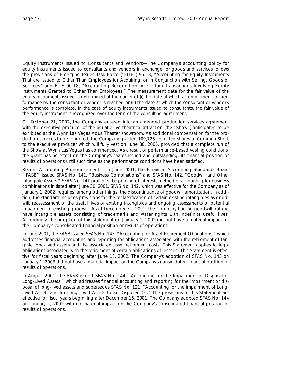*Equity Instruments Issued to Consultants and Vendors—*The Company's accounting policy for equity instruments issued to consultants and vendors in exchange for goods and services follows the provisions of Emerging Issues Task Force ("EITF") 96-18, "Accounting for Equity Instruments That are Issued to Other Than Employees for Acquiring, or in Conjunction with Selling, Goods or Services" and EITF 00-18, "Accounting Recognition for Certain Transactions Involving Equity Instruments Granted to Other Than Employees." The measurement date for the fair value of the equity instruments issued is determined at the earlier of (i) the date at which a commitment for performance by the consultant or vendor is reached or (ii) the date at which the consultant or vendor's performance is complete. In the case of equity instruments issued to consultants, the fair value of the equity instrument is recognized over the term of the consulting agreement.

On October 21, 2002, the Company entered into an amended production services agreement with the executive producer of the aquatic live theatrical attraction (the "Show") anticipated to be exhibited at the Wynn Las Vegas Aqua Theater showroom. As additional compensation for the production services to be rendered, the Company granted 189,723 restricted shares of Common Stock to the executive producer which will fully vest on June 30, 2006, provided that a complete run of the Show at Wynn Las Vegas has commenced. As a result of performance-based vesting conditions, the grant has no effect on the Company's shares issued and outstanding, its financial position or results of operations until such time as the performance conditions have been satisfied.

*Recent Accounting Pronouncements—*In June 2001, the Financial Accounting Standards Board ("FASB") issued SFAS No. 141, "Business Combinations" and SFAS No. 142, "Goodwill and Other Intangible Assets." SFAS No. 141 prohibits the pooling of interests method of accounting for business combinations initiated after June 30, 2001. SFAS No. 142, which was effective for the Company as of January 1, 2002, requires, among other things, the discontinuance of goodwill amortization. In addition, the standard includes provisions for the reclassification of certain existing intangibles as goodwill, reassessment of the useful lives of existing intangibles and ongoing assessments of potential impairment of existing goodwill. As of December 31, 2001, the Company had no goodwill but did have intangible assets consisting of trademarks and water rights with indefinite useful lives. Accordingly, the adoption of this statement on January 1, 2002 did not have a material impact on the Company's consolidated financial position or results of operations.

In June 2001, the FASB issued SFAS No. 143, "Accounting for Asset Retirement Obligations," which addresses financial accounting and reporting for obligations associated with the retirement of tangible long-lived assets and the associated asset retirement costs. This Statement applies to legal obligations associated with the retirement of certain obligations of lessees. This Statement is effective for fiscal years beginning after June 15, 2002. The Company's adoption of SFAS No. 143 on January 1, 2003 did not have a material impact on the Company's consolidated financial position or results of operations.

In August 2001, the FASB issued SFAS No. 144, "Accounting for the Impairment or Disposal of Long-Lived Assets," which addresses financial accounting and reporting for the impairment or disposal of long-lived assets and supersedes SFAS No. 121, "Accounting for the Impairment of Long-Lived Assets and for Long-Lived Assets to Be Disposed Of." The provisions of this Statement are effective for fiscal years beginning after December 15, 2001. The Company adopted SFAS No. 144 on January 1, 2002 with no material impact on the Company's consolidated financial position or results of operations.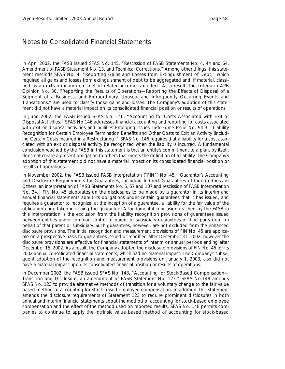In April 2002, the FASB issued SFAS No. 145, "Rescission of FASB Statements No. 4, 44 and 64, Amendment of FASB Statement No. 13, and Technical Corrections." Among other things, this statement rescinds SFAS No. 4, "Reporting Gains and Losses from Extinguishment of Debt," which required all gains and losses from extinguishment of debt to be aggregated and, if material, classified as an extraordinary item, net of related income tax effect. As a result, the criteria in APB Opinion No. 30, "Reporting the Results of Operations—Reporting the Effects of Disposal of a Segment of a Business, and Extraordinary, Unusual and Infrequently Occurring Events and Transactions," are used to classify those gains and losses. The Company's adoption of this statement did not have a material impact on its consolidated financial position or results of operations.

In June 2002, the FASB issued SFAS No. 146, "Accounting for Costs Associated with Exit or Disposal Activities." SFAS No.146 addresses financial accounting and reporting for costs associated with exit or disposal activities and nullifies Emerging Issues Task Force Issue No. 94-3, "Liability Recognition for Certain Employee Termination Benefits and Other Costs to Exit an Activity (including Certain Costs Incurred in a Restructuring)." SFAS No. 146 requires that a liability for a cost associated with an exit or disposal activity be recognized when the liability is incurred. A fundamental conclusion reached by the FASB in this statement is that an entity's commitment to a plan, by itself, does not create a present obligation to others that meets the definition of a liability. The Company's adoption of this statement did not have a material impact on its consolidated financial position or results of operations.

In November 2002, the FASB issued FASB Interpretation ("FIN") No. 45, "Guarantor's Accounting and Disclosure Requirements for Guarantees, Including Indirect Guarantees of Indebtedness of Others, an interpretation of FASB Statements No. 5, 57 and 107 and rescission of FASB Interpretation No. 34." FIN No. 45 elaborates on the disclosures to be made by a guarantor in its interim and annual financial statements about its obligations under certain guarantees that it has issued, and requires a guarantor to recognize, at the inception of a guarantee, a liability for the fair value of the obligation undertaken in issuing the guarantee. A fundamental conclusion reached by the FASB in this interpretation is the exclusion from the liability recognition provisions of guarantees issued between entities under common control or parent or subsidiary guarantees of third party debt on behalf of that parent or subsidiary. Such guarantees, however, are not excluded from the enhanced disclosure provisions. The initial recognition and measurement provisions of FIN No. 45 are applicable on a prospective basis to guarantees issued or modified after December 31, 2002, however the disclosure provisions are effective for financial statements of interim or annual periods ending after December 15, 2002. As a result, the Company adopted the disclosure provisions of FIN No. 45 for its 2002 annual consolidated financial statements, which had no material impact. The Company's subsequent adoption of the recognition and measurement provisions on January 1, 2003, also did not have a material impact upon its consolidated financial position or results of operations.

In December 2002, the FASB issued SFAS No. 148, "Accounting for Stock-Based Compensation— Transition and Disclosure, an amendment of FASB Statement No. 123." SFAS No.148 amends SFAS No. 123 to provide alternative methods of transition for a voluntary change to the fair value based method of accounting for stock-based employee compensation. In addition, this statement amends the disclosure requirements of Statement 123 to require prominent disclosures in both annual and interim financial statements about the method of accounting for stock-based employee compensation and the effect of the method used on reported results. SFAS No. 148 permits companies to continue to apply the intrinsic value based method of accounting for stock-based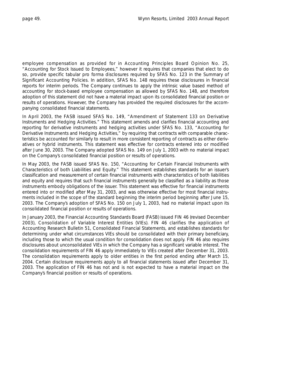employee compensation as provided for in Accounting Principles Board Opinion No. 25, "Accounting for Stock Issued to Employees," however it requires that companies that elect to do so, provide specific tabular pro forma disclosures required by SFAS No. 123 in the Summary of Significant Accounting Policies. In addition, SFAS No. 148 requires these disclosures in financial reports for interim periods. The Company continues to apply the intrinsic value based method of accounting for stock-based employee compensation as allowed by SFAS No. 148, and therefore adoption of this statement did not have a material impact upon its consolidated financial position or results of operations. However, the Company has provided the required disclosures for the accompanying consolidated financial statements.

In April 2003, the FASB issued SFAS No. 149, "Amendment of Statement 133 on Derivative Instruments and Hedging Activities." This statement amends and clarifies financial accounting and reporting for derivative instruments and hedging activities under SFAS No. 133, "Accounting for Derivative Instruments and Hedging Activities," by requiring that contracts with comparable characteristics be accounted for similarly to result in more consistent reporting of contracts as either derivatives or hybrid instruments. This statement was effective for contracts entered into or modified after June 30, 2003. The Company adopted SFAS No. 149 on July 1, 2003 with no material impact on the Company's consolidated financial position or results of operations.

In May 2003, the FASB issued SFAS No. 150, "Accounting for Certain Financial Instruments with Characteristics of both Liabilities and Equity." This statement establishes standards for an issuer's classification and measurement of certain financial instruments with characteristics of both liabilities and equity and requires that such financial instruments generally be classified as a liability as those instruments embody obligations of the issuer. This statement was effective for financial instruments entered into or modified after May 31, 2003, and was otherwise effective for most financial instruments included in the scope of the standard beginning the interim period beginning after June 15, 2003. The Company's adoption of SFAS No. 150 on July 1, 2003, had no material impact upon its consolidated financial position or results of operations.

In January 2003, the Financial Accounting Standards Board (FASB) issued FIN 46 (revised December 2003), *Consolidation of Variable Interest Entities* (VIEs). FIN 46 clarifies the application of Accounting Research Bulletin 51, *Consolidated Financial Statements,* and establishes standards for determining under what circumstances VIEs should be consolidated with their primary beneficiary, including those to which the usual condition for consolidation does not apply. FIN 46 also requires disclosures about unconsolidated VIEs in which the Company has a significant variable interest. The consolidation requirements of FIN 46 apply immediately to VIEs created after December 31, 2003. The consolidation requirements apply to older entities in the first period ending after March 15, 2004. Certain disclosure requirements apply to all financial statements issued after December 31, 2003. The application of FIN 46 has not and is not expected to have a material impact on the Company's financial position or results of operations.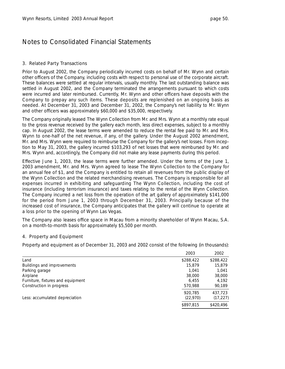### 3. Related Party Transactions

Prior to August 2002, the Company periodically incurred costs on behalf of Mr. Wynn and certain other officers of the Company, including costs with respect to personal use of the corporate aircraft. These balances were settled at regular intervals, usually monthly. The last outstanding balance was settled in August 2002, and the Company terminated the arrangements pursuant to which costs were incurred and later reimbursed. Currently, Mr. Wynn and other officers have deposits with the Company to prepay any such items. These deposits are replenished on an ongoing basis as needed. At December 31, 2003 and December 31, 2002, the Company's net liability to Mr. Wynn and other officers was approximately \$60,000 and \$35,000, respectively.

The Company originally leased The Wynn Collection from Mr. and Mrs. Wynn at a monthly rate equal to the gross revenue received by the gallery each month, less direct expenses, subject to a monthly cap. In August 2002, the lease terms were amended to reduce the rental fee paid to Mr. and Mrs. Wynn to one-half of the net revenue, if any, of the gallery. Under the August 2002 amendment, Mr. and Mrs. Wynn were required to reimburse the Company for the gallery's net losses. From inception to May 31, 2003, the gallery incurred \$103,293 of net losses that were reimbursed by Mr. and Mrs. Wynn and, accordingly, the Company did not make any lease payments during this period.

Effective June 1, 2003, the lease terms were further amended. Under the terms of the June 1, 2003 amendment, Mr. and Mrs. Wynn agreed to lease The Wynn Collection to the Company for an annual fee of \$1, and the Company is entitled to retain all revenues from the public display of the Wynn Collection and the related merchandising revenues. The Company is responsible for all expenses incurred in exhibiting and safeguarding The Wynn Collection, including the cost of insurance (including terrorism insurance) and taxes relating to the rental of the Wynn Collection. The Company incurred a net loss from the operation of the art gallery of approximately \$141,000 for the period from June 1, 2003 through December 31, 2003. Principally because of the increased cost of insurance, the Company anticipates that the gallery will continue to operate at a loss prior to the opening of Wynn Las Vegas.

The Company also leases office space in Macau from a minority shareholder of Wynn Macau, S.A. on a month-to-month basis for approximately \$5,500 per month.

### 4. Property and Equipment

Property and equipment as of December 31, 2003 and 2002 consist of the following (in thousands):

|                                   | 2003      | 2002      |
|-----------------------------------|-----------|-----------|
| Land                              | \$288,422 | \$288,422 |
| Buildings and improvements        | 15,879    | 15,879    |
| Parking garage                    | 1.041     | 1.041     |
| Airplane                          | 38,000    | 38,000    |
| Furniture, fixtures and equipment | 6.455     | 4.192     |
| Construction in progress          | 570,988   | 90,189    |
|                                   | 920.785   | 437,723   |
| Less: accumulated depreciation    | (22, 970) | (17, 227) |
|                                   | \$897,815 | \$420,496 |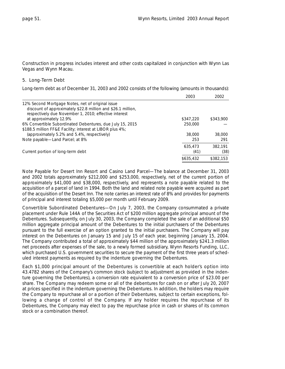Construction in progress includes interest and other costs capitalized in conjunction with Wynn Las Vegas and Wynn Macau.

#### 5. Long-Term Debt

Long-term debt as of December 31, 2003 and 2002 consists of the following (amounts in thousands):

|                                                              | 2003      | 2002      |
|--------------------------------------------------------------|-----------|-----------|
| 12% Second Mortgage Notes, net of original issue             |           |           |
| discount of approximately \$22.8 million and \$26.1 million, |           |           |
| respectively due November 1, 2010; effective interest        |           |           |
| at approximately 12.9%                                       | \$347,220 | \$343,900 |
| 6% Convertible Subordinated Debentures, due July 15, 2015    | 250,000   |           |
| \$188.5 million FF&E Facility; interest at LIBOR plus 4%;    |           |           |
| (approximately 5.2% and 5.4%, respectively)                  | 38,000    | 38,000    |
| Note payable-Land Parcel; at 8%                              | 253       | 291       |
|                                                              | 635,473   | 382.191   |
| Current portion of long-term debt                            | (41)      | (38)      |
|                                                              | \$635,432 | \$382,153 |

*Note Payable for Desert Inn Resort and Casino Land Parcel—*The balance at December 31, 2003 and 2002 totals approximately \$212,000 and \$253,000, respectively, net of the current portion of approximately \$41,000 and \$38,000, respectively, and represents a note payable related to the acquisition of a parcel of land in 1994. Both the land and related note payable were acquired as part of the acquisition of the Desert Inn. The note carries an interest rate of 8% and provides for payments of principal and interest totaling \$5,000 per month until February 2009.

*Convertible Subordinated Debentures—*On July 7, 2003, the Company consummated a private placement under Rule 144A of the Securities Act of \$200 million aggregate principal amount of the Debentures. Subsequently, on July 30, 2003, the Company completed the sale of an additional \$50 million aggregate principal amount of the Debentures to the initial purchasers of the Debentures pursuant to the full exercise of an option granted to the initial purchasers. The Company will pay interest on the Debentures on January 15 and July 15 of each year, beginning January 15, 2004. The Company contributed a total of approximately \$44 million of the approximately \$241.3 million net proceeds after expenses of the sale, to a newly formed subsidiary, Wynn Resorts Funding, LLC, which purchased U.S. government securities to secure the payment of the first three years of scheduled interest payments as required by the indenture governing the Debentures.

Each \$1,000 principal amount of the Debentures is convertible at each holder's option into 43.4782 shares of the Company's common stock (subject to adjustment as provided in the indenture governing the Debentures), a conversion rate equivalent to a conversion price of \$23.00 per share. The Company may redeem some or all of the debentures for cash on or after July 20, 2007 at prices specified in the indenture governing the Debentures. In addition, the holders may require the Company to repurchase all or a portion of their Debentures, subject to certain exceptions, following a change of control of the Company. If any holder requires the repurchase of its Debentures, the Company may elect to pay the repurchase price in cash or shares of its common stock or a combination thereof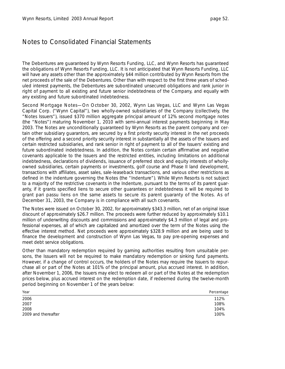The Debentures are guaranteed by Wynn Resorts Funding, LLC, and Wynn Resorts has guaranteed the obligations of Wynn Resorts Funding, LLC. It is not anticipated that Wynn Resorts Funding, LLC will have any assets other than the approximately \$44 million contributed by Wynn Resorts from the net proceeds of the sale of the Debentures. Other than with respect to the first three years of scheduled interest payments, the Debentures are subordinated unsecured obligations and rank junior in right of payment to all existing and future senior indebtedness of the Company, and equally with any existing and future subordinated indebtedness.

*Second Mortgage Notes—*On October 30, 2002, Wynn Las Vegas, LLC and Wynn Las Vegas Capital Corp. ("Wynn Capital"), two wholly-owned subsidiaries of the Company (collectively, the "Notes Issuers"), issued \$370 million aggregate principal amount of 12% second mortgage notes (the "Notes") maturing November 1, 2010 with semi-annual interest payments beginning in May 2003. The Notes are unconditionally guaranteed by Wynn Resorts as the parent company and certain other subsidiary guarantors, are secured by a first priority security interest in the net proceeds of the offering and a second priority security interest in substantially all the assets of the Issuers and certain restricted subsidiaries, and rank senior in right of payment to all of the Issuers' existing and future subordinated indebtedness. In addition, the Notes contain certain affirmative and negative covenants applicable to the Issuers and the restricted entities, including limitations on additional indebtedness, declarations of dividends, issuance of preferred stock and equity interests of whollyowned subsidiaries, certain payments or investments, golf course and Phase II land development, transactions with affiliates, asset sales, sale-leaseback transactions, and various other restrictions as defined in the indenture governing the Notes (the "Indenture"). While Wynn Resorts is not subject to a majority of the restrictive covenants in the Indenture, pursuant to the terms of its parent guaranty, if it grants specified liens to secure other guarantees or indebtedness it will be required to grant *pari passu* liens on the same assets to secure its parent guaranty of the Notes. As of December 31, 2003, the Company is in compliance with all such covenants.

The Notes were issued on October 30, 2002, for approximately \$343.3 million, net of an original issue discount of approximately \$26.7 million. The proceeds were further reduced by approximately \$10.1 million of underwriting discounts and commissions and approximately \$4.3 million of legal and professional expenses, all of which are capitalized and amortized over the term of the Notes using the effective interest method. Net proceeds were approximately \$328.9 million and are being used to finance the development and construction of Wynn Las Vegas, to pay pre-opening expenses and meet debt service obligations.

Other than mandatory redemption required by gaming authorities resulting from unsuitable persons, the Issuers will not be required to make mandatory redemption or sinking fund payments. However, if a change of control occurs, the holders of the Notes may require the Issuers to repurchase all or part of the Notes at 101% of the principal amount, plus accrued interest. In addition, after November 1, 2006, the Issuers may elect to redeem all or part of the Notes at the redemption prices below, plus accrued interest on the redemption date, if redeemed during the twelve-month period beginning on November 1 of the years below:

| Year                | Percentage |
|---------------------|------------|
| 2006                | 112%       |
| 2007                | 108%       |
| 2008                | 104%       |
| 2009 and thereafter | 100%       |
|                     |            |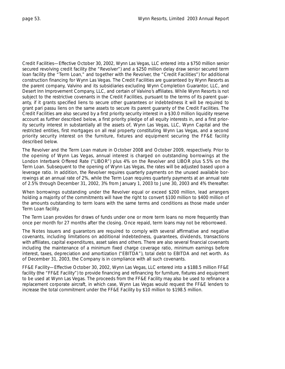*Credit Facilities—*Effective October 30, 2002, Wynn Las Vegas, LLC entered into a \$750 million senior secured revolving credit facility (the "Revolver") and a \$250 million delay draw senior secured term loan facility (the "Term Loan," and together with the Revolver, the "Credit Facilities") for additional construction financing for Wynn Las Vegas. The Credit Facilities are guaranteed by Wynn Resorts as the parent company, Valvino and its subsidiaries excluding Wynn Completion Guarantor, LLC, and Desert Inn Improvement Company, LLC, and certain of Valvino's affiliates. While Wynn Resorts is not subject to the restrictive covenants in the Credit Facilities, pursuant to the terms of its parent guaranty, if it grants specified liens to secure other guarantees or indebtedness it will be required to grant *pari passu* liens on the same assets to secure its parent guaranty of the Credit Facilities. The Credit Facilities are also secured by a first priority security interest in a \$30.0 million liquidity reserve account as further described below, a first priority pledge of all equity interests in, and a first priority security interest in substantially all the assets of, Wynn Las Vegas, LLC, Wynn Capital and the restricted entities, first mortgages on all real property constituting Wynn Las Vegas, and a second priority security interest on the furniture, fixtures and equipment securing the FF&E facility described below.

The Revolver and the Term Loan mature in October 2008 and October 2009, respectively. Prior to the opening of Wynn Las Vegas, annual interest is charged on outstanding borrowings at the London Interbank Offered Rate ("LIBOR") plus 4% on the Revolver and LIBOR plus 5.5% on the Term Loan. Subsequent to the opening of Wynn Las Vegas, the rates will be adjusted based upon a leverage ratio. In addition, the Revolver requires quarterly payments on the unused available borrowings at an annual rate of 2%, while the Term Loan requires quarterly payments at an annual rate of 2.5% through December 31, 2002, 3% from January 1, 2003 to June 30, 2003 and 4% thereafter.

When borrowings outstanding under the Revolver equal or exceed \$200 million, lead arrangers holding a majority of the commitments will have the right to convert \$100 million to \$400 million of the amounts outstanding to term loans with the same terms and conditions as those made under Term Loan facility.

The Term Loan provides for draws of funds under one or more term loans no more frequently than once per month for 27 months after the closing. Once repaid, term loans may not be reborrowed.

The Notes Issuers and guarantors are required to comply with several affirmative and negative covenants, including limitations on additional indebtedness, guarantees, dividends, transactions with affiliates, capital expenditures, asset sales and others. There are also several financial covenants including the maintenance of a minimum fixed charge coverage ratio, minimum earnings before interest, taxes, depreciation and amortization ("EBITDA"), total debt to EBITDA and net worth. As of December 31, 2003, the Company is in compliance with all such covenants.

*FF&E Facility—*Effective October 30, 2002, Wynn Las Vegas, LLC entered into a \$188.5 million FF&E facility (the "FF&E Facility") to provide financing and refinancing for furniture, fixtures and equipment to be used at Wynn Las Vegas. The proceeds from the FF&E Facility may also be used to refinance a replacement corporate aircraft, in which case, Wynn Las Vegas would request the FF&E lenders to increase the total commitment under the FF&E Facility by \$10 million to \$198.5 million.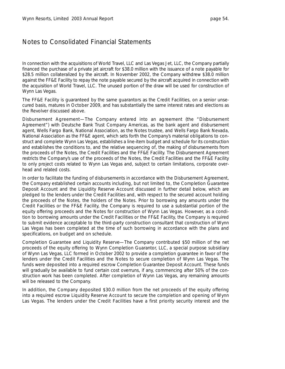In connection with the acquisitions of World Travel, LLC and Las Vegas Jet, LLC, the Company partially financed the purchase of a private jet aircraft for \$38.0 million with the issuance of a note payable for \$28.5 million collateralized by the aircraft. In November 2002, the Company withdrew \$38.0 million against the FF&E Facility to repay the note payable secured by the aircraft acquired in connection with the acquisition of World Travel, LLC. The unused portion of the draw will be used for construction of Wynn Las Vegas.

The FF&E Facility is guaranteed by the same guarantors as the Credit Facilities, on a senior unsecured basis, matures in October 2009, and has substantially the same interest rates and elections as the Revolver discussed above.

*Disbursement Agreement—*The Company entered into an agreement (the "Disbursement Agreement") with Deutsche Bank Trust Company Americas, as the bank agent and disbursement agent, Wells Fargo Bank, National Association, as the Notes trustee, and Wells Fargo Bank Nevada, National Association as the FF&E agent, which sets forth the Company's material obligations to construct and complete Wynn Las Vegas, establishes a line-item budget and schedule for its construction and establishes the conditions to, and the relative sequencing of, the making of disbursements from the proceeds of the Notes, the Credit Facilities and the FF&E Facility. The Disbursement Agreement restricts the Company's use of the proceeds of the Notes, the Credit Facilities and the FF&E Facility to only project costs related to Wynn Las Vegas and, subject to certain limitations, corporate overhead and related costs.

In order to facilitate the funding of disbursements in accordance with the Disbursement Agreement, the Company established certain accounts including, but not limited to, the Completion Guarantee Deposit Account and the Liquidity Reserve Account discussed in further detail below, which are pledged to the lenders under the Credit Facilities and, with respect to the secured account holding the proceeds of the Notes, the holders of the Notes. Prior to borrowing any amounts under the Credit Facilities or the FF&E Facility, the Company is required to use a substantial portion of the equity offering proceeds and the Notes for construction of Wynn Las Vegas. However, as a condition to borrowing amounts under the Credit Facilities or the FF&E Facility, the Company is required to submit evidence acceptable to the third-party construction consultant that construction of Wynn Las Vegas has been completed at the time of such borrowing in accordance with the plans and specifications, on budget and on schedule.

*Completion Guarantee and Liquidity Reserve—*The Company contributed \$50 million of the net proceeds of the equity offering to Wynn Completion Guarantor, LLC, a special purpose subsidiary of Wynn Las Vegas, LLC formed in October 2002 to provide a completion guarantee in favor of the lenders under the Credit Facilities and the Notes to secure completion of Wynn Las Vegas. The funds were deposited into a required escrow Completion Guarantee Deposit Account. These funds will gradually be available to fund certain cost overruns, if any, commencing after 50% of the construction work has been completed. After completion of Wynn Las Vegas, any remaining amounts will be released to the Company.

In addition, the Company deposited \$30.0 million from the net proceeds of the equity offering into a required escrow Liquidity Reserve Account to secure the completion and opening of Wynn Las Vegas. The lenders under the Credit Facilities have a first priority security interest and the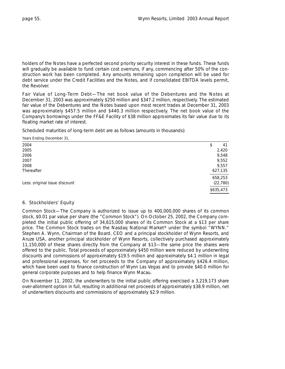holders of the Notes have a perfected second priority security interest in these funds. These funds will gradually be available to fund certain cost overruns, if any, commencing after 50% of the construction work has been completed. Any amounts remaining upon completion will be used for debt service under the Credit Facilities and the Notes, and if consolidated EBITDA levels permit, the Revolver.

*Fair Value of Long-Term Debt—*The net book value of the Debentures and the Notes at December 31, 2003 was approximately \$250 million and \$347.2 million, respectively. The estimated fair value of the Debentures and the Notes based upon most recent trades at December 31, 2003 was approximately \$457.5 million and \$440.3 million respectively. The net book value of the Company's borrowings under the FF&E Facility of \$38 million approximates its fair value due to its floating market rate of interest.

Scheduled maturities of long-term debt are as follows (amounts in thousands):

| Years Ending December 31,     |           |
|-------------------------------|-----------|
| 2004                          | 41<br>\$  |
| 2005                          | 2,420     |
| 2006                          | 9,548     |
| 2007                          | 9,552     |
| 2008                          | 9,557     |
| Thereafter                    | 627,135   |
|                               | 658,253   |
| Less: original issue discount | (22, 780) |
|                               | \$635.473 |

### 6. Stockholders' Equity

*Common Stock—*The Company is authorized to issue up to 400,000,000 shares of its common stock, \$0.01 par value per share (the "Common Stock"). On October 25, 2002, the Company completed the initial public offering of 34,615,000 shares of its Common Stock at a \$13 per share price. The Common Stock trades on the Nasdaq National Market® under the symbol "WYNN." Stephen A. Wynn, Chairman of the Board, CEO and a principal stockholder of Wynn Resorts, and Aruze USA, another principal stockholder of Wynn Resorts, collectively purchased approximately 11,150,000 of these shares directly from the Company at \$13—the same price the shares were offered to the public. Total proceeds of approximately \$450 million were reduced by underwriting discounts and commissions of approximately \$19.5 million and approximately \$4.1 million in legal and professional expenses, for net proceeds to the Company of approximately \$426.4 million, which have been used to finance construction of Wynn Las Vegas and to provide \$40.0 million for general corporate purposes and to help finance Wynn Macau.

On November 11, 2002, the underwriters to the initial public offering exercised a 3,219,173 share over-allotment option in full, resulting in additional net proceeds of approximately \$38.9 million, net of underwriters discounts and commissions of approximately \$2.9 million.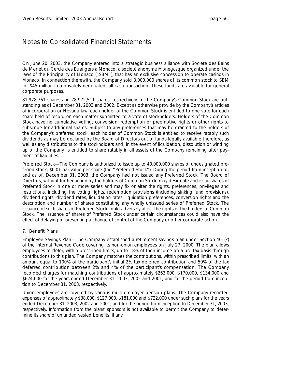On June 20, 2003, the Company entered into a strategic business alliance with Société des Bains de Mer et du Cercle des Etrangers à Monaco, a société anonyme Monegasque organized under the laws of the Principality of Monaco ("SBM"), that has an exclusive concession to operate casinos in Monaco. In connection therewith, the Company sold 3,000,000 shares of its common stock to SBM for \$45 million in a privately negotiated, all-cash transaction. These funds are available for general corporate purposes.

81,978,761 shares and 78,972,511 shares, respectively, of the Company's Common Stock are outstanding as of December 31, 2003 and 2002. Except as otherwise provide by the Company's articles of incorporation or Nevada law, each holder of the Common Stock is entitled to one vote for each share held of record on each matter submitted to a vote of stockholders. Holders of the Common Stock have no cumulative voting, conversion, redemption or preemptive rights or other rights to subscribe for additional shares. Subject to any preferences that may be granted to the holders of the Company's preferred stock, each holder of Common Stock is entitled to receive ratably such dividends as may be declared by the Board of Directors out of funds legally available therefore, as well as any distributions to the stockholders and, in the event of liquidation, dissolution or winding up of the Company, is entitled to share ratably in all assets of the Company remaining after payment of liabilities.

*Preferred Stock—*The Company is authorized to issue up to 40,000,000 shares of undesignated preferred stock, \$0.01 par value per share (the "Preferred Stock"). During the period from inception to, and as of, December 31, 2003, the Company had not issued any Preferred Stock. The Board of Directors, without further action by the holders of Common Stock, may designate and issue shares of Preferred Stock in one or more series and may fix or alter the rights, preferences, privileges and restrictions, including the voting rights, redemption provisions (including sinking fund provisions), dividend rights, dividend rates, liquidation rates, liquidation preferences, conversion rights and the description and number of shares constituting any wholly unissued series of Preferred Stock. The issuance of such shares of Preferred Stock could adversely affect the rights of the holders of Common Stock. The issuance of shares of Preferred Stock under certain circumstances could also have the effect of delaying or preventing a change of control of the Company or other corporate action.

### 7. Benefit Plans

*Employee Savings Plan—*The Company established a retirement savings plan under Section 401(k) of the Internal Revenue Code covering its non-union employees on July 27, 2000. The plan allows employees to defer, within prescribed limits, up to 18% of their income on a pre-tax basis through contributions to this plan. The Company matches the contributions, within prescribed limits, with an amount equal to 100% of the participant's initial 2% tax deferred contribution and 50% of the tax deferred contribution between 2% and 4% of the participant's compensation. The Company recorded charges for matching contributions of approximately \$263,000, \$170,000, \$134,000 and \$624,000 for the years ended December 31, 2003, 2002 and 2001, and for the period from inception to December 31, 2003, respectively.

Union employees are covered by various multi-employer pension plans. The Company recorded expenses of approximately \$38,000, \$127,000, \$181,000 and \$722,000 under such plans for the years ended December 31, 2003, 2002 and 2001, and for the period from inception to December 31, 2003, respectively. Information from the plans' sponsors is not available to permit the Company to determine its share of unfunded vested benefits, if any.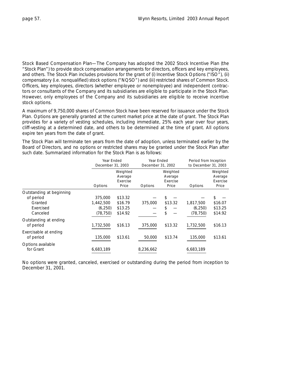*Stock Based Compensation Plan—*The Company has adopted the 2002 Stock Incentive Plan (the "Stock Plan") to provide stock compensation arrangements for directors, officers and key employees, and others. The Stock Plan includes provisions for the grant of (i) Incentive Stock Options ("ISO"), (ii) compensatory (i.e. nonqualified) stock options ("NQSO") and (iii) restricted shares of Common Stock. Officers, key employees, directors (whether employee or nonemployee) and independent contractors or consultants of the Company and its subsidiaries are eligible to participate in the Stock Plan. However, only employees of the Company and its subsidiaries are eligible to receive incentive stock options.

A maximum of 9,750,000 shares of Common Stock have been reserved for issuance under the Stock Plan. Options are generally granted at the current market price at the date of grant. The Stock Plan provides for a variety of vesting schedules, including immediate, 25% each year over four years, cliff-vesting at a determined date, and others to be determined at the time of grant. All options expire ten years from the date of grant.

The Stock Plan will terminate ten years from the date of adoption, unless terminated earlier by the Board of Directors, and no options or restricted shares may be granted under the Stock Plan after such date. Summarized information for the Stock Plan is as follows:

|                          |           | Year Ended<br>December 31, 2003          |           | Year Ended<br>December 31, 2002          |           | Period from Inception<br>to December 31, 2003 |  |
|--------------------------|-----------|------------------------------------------|-----------|------------------------------------------|-----------|-----------------------------------------------|--|
|                          | Options   | Weighted<br>Average<br>Exercise<br>Price | Options   | Weighted<br>Average<br>Exercise<br>Price | Options   | Weighted<br>Average<br>Exercise<br>Price      |  |
| Outstanding at beginning |           |                                          |           |                                          |           |                                               |  |
| of period                | 375,000   | \$13.32                                  |           | \$                                       |           | \$                                            |  |
| Granted                  | 1,442,500 | \$16.79                                  | 375,000   | \$13.32                                  | 1,817,500 | \$16.07                                       |  |
| Exercised                | (6, 250)  | \$13.25                                  |           | \$                                       | (6,250)   | \$13.25                                       |  |
| Canceled                 | (78, 750) | \$14.92                                  |           | \$                                       | (78,750)  | \$14.92                                       |  |
| Outstanding at ending    |           |                                          |           |                                          |           |                                               |  |
| of period                | 1,732,500 | \$16.13                                  | 375,000   | \$13.32                                  | 1,732,500 | \$16.13                                       |  |
| Exercisable at ending    |           |                                          |           |                                          |           |                                               |  |
| of period                | 135,000   | \$13.61                                  | 50,000    | \$13.74                                  | 135,000   | \$13.61                                       |  |
| Options available        |           |                                          |           |                                          |           |                                               |  |
| for Grant                | 6,683,189 |                                          | 8,236,662 |                                          | 6,683,189 |                                               |  |

No options were granted, canceled, exercised or outstanding during the period from inception to December 31, 2001.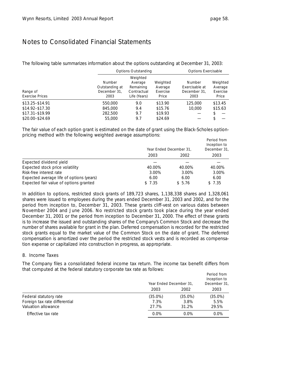The following table summarizes information about the options outstanding at December 31, 2003:

|                        |                | <b>Options Outstanding</b> | <b>Options Exercisable</b> |                |          |  |
|------------------------|----------------|----------------------------|----------------------------|----------------|----------|--|
|                        |                | Weighted                   |                            |                |          |  |
|                        | Number         | Average                    | Weighted                   | Number         | Weighted |  |
| Range of               | Outstanding at | Remaining                  | Average                    | Exercisable at | Average  |  |
|                        | December 31,   | Contractual                | Exercise                   | December 31,   | Exercise |  |
| <b>Exercise Prices</b> | 2003           | Life (Years)               | Price                      | 2003           | Price    |  |
| $$13.25 - $14.91$      | 550,000        | 9.0                        | \$13.90                    | 125,000        | \$13.45  |  |
| \$14.92-\$17.30        | 845,000        | 9.4                        | \$15.76                    | 10,000         | \$15.63  |  |
| $$17.31 - $19.99$      | 282,500        | 9.7                        | \$19.93                    |                |          |  |
| \$20.00-\$24.69        | 55,000         | 9.7                        | \$24.69                    |                |          |  |

The fair value of each option grant is estimated on the date of grant using the Black-Scholes optionpricing method with the following weighted average assumptions:

|                                          | Year Ended December 31, | Period from<br>Inception to<br>December 31, |        |
|------------------------------------------|-------------------------|---------------------------------------------|--------|
|                                          | 2003                    | 2002                                        | 2003   |
| Expected dividend yield                  |                         |                                             |        |
| Expected stock price volatility          | 40.00%                  | 40.00%                                      | 40.00% |
| Risk-free interest rate                  | 3.00%                   | 3.00%                                       | 3.00%  |
| Expected average life of options (years) | 6.00                    | 6.00                                        | 6.00   |
| Expected fair value of options granted   | \$7.35                  | \$5.76                                      | \$7.35 |

In addition to options, restricted stock grants of 189,723 shares, 1,138,338 shares and 1,328,061 shares were issued to employees during the years ended December 31, 2003 and 2002, and for the period from inception to, December 31, 2003. These grants cliff-vest on various dates between November 2004 and June 2006. No restricted stock grants took place during the year ended December 31, 2001 or the period from inception to December 31, 2000. The effect of these grants is to increase the issued and outstanding shares of the Company's Common Stock and decrease the number of shares available for grant in the plan. Deferred compensation is recorded for the restricted stock grants equal to the market value of the Common Stock on the date of grant. The deferred compensation is amortized over the period the restricted stock vests and is recorded as compensation expense or capitalized into construction in progress, as appropriate.

### 8. Income Taxes

The Company files a consolidated federal income tax return. The income tax benefit differs from that computed at the federal statutory corporate tax rate as follows:

|                               | Year Ended December 31, |            | Period from<br>Inception to<br>December 31, |
|-------------------------------|-------------------------|------------|---------------------------------------------|
|                               | 2003                    | 2002       | 2003                                        |
| Federal statutory rate        | $(35.0\%)$              | $(35.0\%)$ | $(35.0\%)$                                  |
| Foreign tax rate differential | 7.3%                    | 3.8%       | 5.5%                                        |
| Valuation allowance           | 27.7%                   | 31.2%      | 29.5%                                       |
| Effective tax rate            | $0.0\%$                 | $0.0\%$    | $0.0\%$                                     |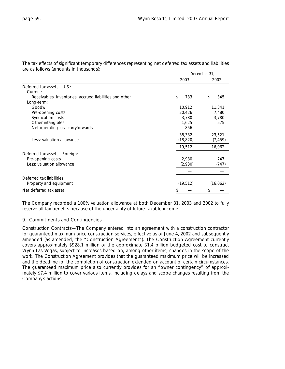The tax effects of significant temporary differences representing net deferred tax assets and liabilities are as follows (amounts in thousands):

|                                                         | December 31, |           |  |  |  |
|---------------------------------------------------------|--------------|-----------|--|--|--|
|                                                         | 2003         | 2002      |  |  |  |
| Deferred tax assets-U.S.:                               |              |           |  |  |  |
| Current:                                                |              |           |  |  |  |
| Receivables, inventories, accrued liabilities and other | \$<br>733    | \$<br>345 |  |  |  |
| Long-term:                                              |              |           |  |  |  |
| Goodwill                                                | 10,912       | 11,341    |  |  |  |
| Pre-opening costs                                       | 20,426       | 7,480     |  |  |  |
| Syndication costs                                       | 3,780        | 3,780     |  |  |  |
| Other intangibles                                       | 1,625        | 575       |  |  |  |
| Net operating loss carryforwards                        | 856          |           |  |  |  |
|                                                         | 38,332       | 23,521    |  |  |  |
| Less: valuation allowance                               | (18, 820)    | (7, 459)  |  |  |  |
|                                                         | 19,512       | 16,062    |  |  |  |
| Deferred tax assets-Foreign:                            |              |           |  |  |  |
| Pre-opening costs                                       | 2,930        | 747       |  |  |  |
| Less: valuation allowance                               | (2,930)      | (747)     |  |  |  |
|                                                         |              |           |  |  |  |
| Deferred tax liabilities:                               |              |           |  |  |  |
| Property and equipment                                  | (19, 512)    | (16,062)  |  |  |  |
| Net deferred tax asset                                  | S            | \$        |  |  |  |

The Company recorded a 100% valuation allowance at both December 31, 2003 and 2002 to fully reserve all tax benefits because of the uncertainty of future taxable income.

#### 9. Commitments and Contingencies

*Construction Contracts—*The Company entered into an agreement with a construction contractor for guaranteed maximum price construction services, effective as of June 4, 2002 and subsequently amended (as amended, the "Construction Agreement"). The Construction Agreement currently covers approximately \$928.1 million of the approximate \$1.4 billion budgeted cost to construct Wynn Las Vegas, subject to increases based on, among other items, changes in the scope of the work. The Construction Agreement provides that the guaranteed maximum price will be increased and the deadline for the completion of construction extended on account of certain circumstances. The guaranteed maximum price also currently provides for an "owner contingency" of approximately \$7.4 million to cover various items, including delays and scope changes resulting from the Company's actions.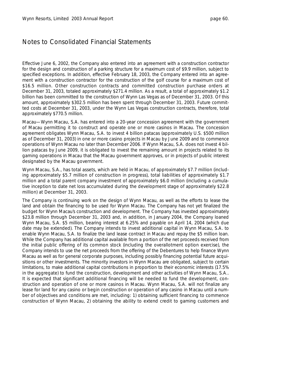Effective June 6, 2002, the Company also entered into an agreement with a construction contractor for the design and construction of a parking structure for a maximum cost of \$9.9 million, subject to specified exceptions. In addition, effective February 18, 2003, the Company entered into an agreement with a construction contractor for the construction of the golf course for a maximum cost of \$16.5 million. Other construction contracts and committed construction purchase orders at December 31, 2003, totaled approximately \$271.4 million. As a result, a total of approximately \$1.2 billion has been committed to the construction of Wynn Las Vegas as of December 31, 2003. Of this amount, approximately \$302.5 million has been spent through December 31, 2003. Future committed costs at December 31, 2003, under the Wynn Las Vegas construction contracts, therefore, total approximately \$770.5 million.

*Macau—*Wynn Macau, S.A. has entered into a 20-year concession agreement with the government of Macau permitting it to construct and operate one or more casinos in Macau. The concession agreement obligates Wynn Macau, S.A. to invest 4 billion patacas (approximately U.S. \$500 million as of December 31, 2003) in one or more casino projects in Macau by June 2009 and to commence operations of Wynn Macau no later than December 2006. If Wynn Macau, S.A. does not invest 4 billion patacas by June 2009, it is obligated to invest the remaining amount in projects related to its gaming operations in Macau that the Macau government approves, or in projects of public interest designated by the Macau government.

Wynn Macau, S.A., has total assets, which are held in Macau, of approximately \$7.7 million (including approximately \$5.7 million of construction in progress), total liabilities of approximately \$1.7 million and a total parent company investment of approximately \$6.0 million (including a cumulative inception to date net loss accumulated during the development stage of approximately \$22.8 million) at December 31, 2003.

The Company is continuing work on the design of Wynn Macau, as well as the efforts to lease the land and obtain the financing to be used for Wynn Macau. The Company has not yet finalized the budget for Wynn Macau's construction and development. The Company has invested approximately \$23.8 million through December 31, 2003 and, in addition, in January 2004, the Company loaned Wynn Macau, S.A. \$5 million, bearing interest at 6.25% and payable on April 14, 2004 (which due date may be extended). The Company intends to invest additional capital in Wynn Macau, S.A. to enable Wynn Macau, S.A. to finalize the land lease contract in Macau and repay the \$5 million loan. While the Company has additional capital available from a portion of the net proceeds received from the initial public offering of its common stock (including the overallotment option exercise), the Company intends to use the net proceeds from the offering of the Debentures to help finance Wynn Macau as well as for general corporate purposes, including possibly financing potential future acquisitions or other investments. The minority investors in Wynn Macau are obligated, subject to certain limitations, to make additional capital contributions in proportion to their economic interests (17.5% in the aggregate) to fund the construction, development and other activities of Wynn Macau, S.A.. It is expected that significant additional financing will be needed to fund the development, construction and operation of one or more casinos in Macau. Wynn Macau, S.A. will not finalize any lease for land for any casino or begin construction or operation of any casino in Macau until a number of objectives and conditions are met, including: 1) obtaining sufficient financing to commence construction of Wynn Macau, 2) obtaining the ability to extend credit to gaming customers and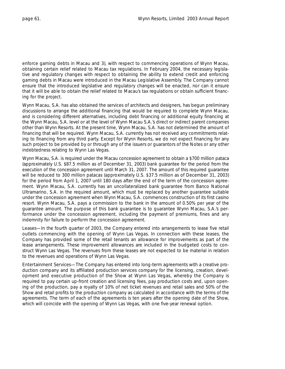enforce gaming debts in Macau and 3), with respect to commencing operations of Wynn Macau, obtaining certain relief related to Macau tax regulations. In February 2004, the necessary legislative and regulatory changes with respect to obtaining the ability to extend credit and enforcing gaming debts in Macau were introduced in the Macau Legislative Assembly. The Company cannot ensure that the introduced legislative and regulatory changes will be enacted, nor can it ensure that it will be able to obtain the relief related to Macau's tax regulations or obtain sufficient financing for the project.

Wynn Macau, S.A. has also obtained the services of architects and designers, has begun preliminary discussions to arrange the additional financing that would be required to complete Wynn Macau, and is considering different alternatives, including debt financing or additional equity financing at the Wynn Macau, S.A. level or at the level of Wynn Macau S.A.'s direct or indirect parent companies other than Wynn Resorts. At the present time, Wynn Macau, S.A. has not determined the amount of financing that will be required. Wynn Macau, S.A. currently has not received any commitments relating to financing from any third party. Except for Wynn Resorts, we do not expect financing for any such project to be provided by or through any of the issuers or guarantors of the Notes or any other indebtedness relating to Wynn Las Vegas.

Wynn Macau, S.A. is required under the Macau concession agreement to obtain a \$700 million pataca (approximately U.S. \$87.5 million as of December 31, 2003) bank guarantee for the period from the execution of the concession agreement until March 31, 2007. The amount of this required guarantee will be reduced to 300 million patacas (approximately U.S. \$37.5 million as of December 31, 2003) for the period from April 1, 2007 until 180 days after the end of the term of the concession agreement. Wynn Macau, S.A. currently has an uncollateralized bank guarantee from Banco National Ultramarino, S.A. in the required amount, which must be replaced by another guarantee suitable under the concession agreement when Wynn Macau, S.A. commences construction of its first casino resort. Wynn Macau, S.A. pays a commission to the bank in the amount of 0.50% per year of the guarantee amount. The purpose of this bank guarantee is to guarantee Wynn Macau, S.A.'s performance under the concession agreement, including the payment of premiums, fines and any indemnity for failure to perform the concession agreement.

*Leases—*In the fourth quarter of 2003, the Company entered into arrangements to lease five retail outlets commencing with the opening of Wynn Las Vegas. In connection with these leases, the Company has provided some of the retail tenants an allowance for improvements as part of the lease arrangements. These improvement allowances are included in the budgeted costs to construct Wynn Las Vegas. The revenues from these leases are not expected to be material in relation to the revenues and operations of Wynn Las Vegas.

*Entertainment Services—*The Company has entered into long-term agreements with a creative production company and its affiliated production services company for the licensing, creation, development and executive production of the Show at Wynn Las Vegas, whereby the Company is required to pay certain up-front creation and licensing fees, pay production costs and, upon opening of the production, pay a royalty of 10% of net ticket revenues and retail sales and 50% of the Show and retail profits to the production company as calculated in accordance with the terms of the agreements. The term of each of the agreements is ten years after the opening date of the Show, which will coincide with the opening of Wynn Las Vegas, with one five-year renewal option.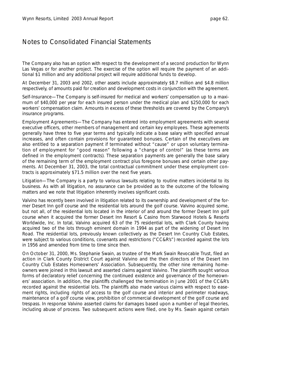The Company also has an option with respect to the development of a second production for Wynn Las Vegas or for another project. The exercise of the option will require the payment of an additional \$1 million and any additional project will require additional funds to develop.

At December 31, 2003 and 2002, other assets include approximately \$8.7 million and \$4.8 million respectively, of amounts paid for creation and development costs in conjunction with the agreement.

*Self-Insurance—*The Company is self-insured for medical and workers' compensation up to a maximum of \$40,000 per year for each insured person under the medical plan and \$250,000 for each workers' compensation claim. Amounts in excess of these thresholds are covered by the Company's insurance programs.

*Employment Agreements—*The Company has entered into employment agreements with several executive officers, other members of management and certain key employees. These agreements generally have three to five year terms and typically indicate a base salary with specified annual increases, and often contain provisions for guaranteed bonuses. Certain of the executives are also entitled to a separation payment if terminated without "cause" or upon voluntary termination of employment for "good reason" following a "change of control" (as these terms are defined in the employment contracts). These separation payments are generally the base salary of the remaining term of the employment contract plus foregone bonuses and certain other payments. At December 31, 2003, the total contractual commitment under these employment contracts is approximately \$71.5 million over the next five years.

*Litigation—*The Company is a party to various lawsuits relating to routine matters incidental to its business. As with all litigation, no assurance can be provided as to the outcome of the following matters and we note that litigation inherently involves significant costs.

Valvino has recently been involved in litigation related to its ownership and development of the former Desert Inn golf course and the residential lots around the golf course. Valvino acquired some, but not all, of the residential lots located in the interior of and around the former Desert Inn golf course when it acquired the former Desert Inn Resort & Casino from Starwood Hotels & Resorts Worldwide, Inc. In total, Valvino acquired 63 of the 75 residential lots, with Clark County having acquired two of the lots through eminent domain in 1994 as part of the widening of Desert Inn Road. The residential lots, previously known collectively as the Desert Inn Country Club Estates, were subject to various conditions, covenants and restrictions ("CC&R's") recorded against the lots in 1956 and amended from time to time since then.

On October 31, 2000, Ms. Stephanie Swain, as trustee of the Mark Swain Revocable Trust, filed an action in Clark County District Court against Valvino and the then directors of the Desert Inn Country Club Estates Homeowners' Association. Subsequently, the other nine remaining homeowners were joined in this lawsuit and asserted claims against Valvino. The plaintiffs sought various forms of declaratory relief concerning the continued existence and governance of the homeowners' association. In addition, the plaintiffs challenged the termination in June 2001 of the CC&R's recorded against the residential lots. The plaintiffs also made various claims with respect to easement rights, including rights of access to the golf course and interior and perimeter roadways, maintenance of a golf course view, prohibition of commercial development of the golf course and trespass. In response Valvino asserted claims for damages based upon a number of legal theories, including abuse of process. Two subsequent actions were filed, one by Ms. Swain against certain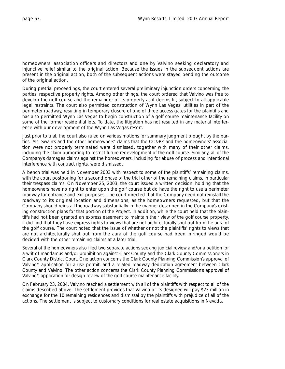homeowners' association officers and directors and one by Valvino seeking declaratory and injunctive relief similar to the original action. Because the issues in the subsequent actions are present in the original action, both of the subsequent actions were stayed pending the outcome of the original action.

During pretrial proceedings, the court entered several preliminary injunction orders concerning the parties' respective property rights. Among other things, the court ordered that Valvino was free to develop the golf course and the remainder of its property as it deems fit, subject to all applicable legal restraints. The court also permitted construction of Wynn Las Vegas' utilities in part of the perimeter roadway, resulting in temporary closure of one of three access gates for the plaintiffs and has also permitted Wynn Las Vegas to begin construction of a golf course maintenance facility on some of the former residential lots. To date, the litigation has not resulted in any material interference with our development of the Wynn Las Vegas resort.

Just prior to trial, the court also ruled on various motions for summary judgment brought by the parties. Ms. Swain's and the other homeowners' claims that the CC&R's and the homeowners' association were not properly terminated were dismissed, together with many of their other claims, including the claim purporting to restrict future redevelopment of the golf course. Similarly, all of the Company's damages claims against the homeowners, including for abuse of process and intentional interference with contract rights, were dismissed.

A bench trial was held in November 2003 with respect to some of the plaintiffs' remaining claims, with the court postponing for a second phase of the trial other of the remaining claims, in particular their trespass claims. On November 25, 2003, the court issued a written decision, holding that the homeowners have no right to enter upon the golf course but do have the right to use a perimeter roadway for entrance and exit purposes. The court directed that the Company need not reinstall the roadway to its original location and dimensions, as the homeowners requested, but that the Company should reinstall the roadway substantially in the manner described in the Company's existing construction plans for that portion of the Project. In addition, while the court held that the plaintiffs had not been granted an express easement to maintain their view of the golf course property, it did find that they have express rights to views that are not architecturally shut out from the aura of the golf course. The court noted that the issue of whether or not the plaintiffs' rights to views that are not architecturally shut out from the aura of the golf course had been infringed would be decided with the other remaining claims at a later trial.

Several of the homeowners also filed two separate actions seeking judicial review and/or a petition for a writ of mandamus and/or prohibition against Clark County and the Clark County Commissioners in Clark County District Court. One action concerns the Clark County Planning Commission's approval of Valvino's application for a use permit, and a related roadway dedication agreement between Clark County and Valvino. The other action concerns the Clark County Planning Commission's approval of Valvino's application for design review of the golf course maintenance facility.

On February 23, 2004, Valvino reached a settlement with all of the plaintiffs with respect to all of the claims described above. The settlement provides that Valvino or its designee will pay \$23 million in exchange for the 10 remaining residences and dismissal by the plaintiffs with prejudice of all of the actions. The settlement is subject to customary conditions for real estate acquisitions in Nevada.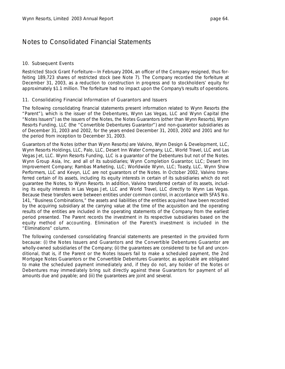### 10. Subsequent Events

*Restricted Stock Grant Forfeiture—*In February 2004, an officer of the Company resigned, thus forfeiting 189,723 shares of restricted stock (see Note 7). The Company recorded the forfeiture at December 31, 2003, as a reduction to construction in progress and to stockholders' equity for approximately \$1.1 million. The forfeiture had no impact upon the Company's results of operations.

### 11. Consolidating Financial Information of Guarantors and Issuers

The following consolidating financial statements present information related to Wynn Resorts (the "Parent"), which is the issuer of the Debentures, Wynn Las Vegas, LLC and Wynn Capital (the "Notes Issuers") as the issuers of the Notes, the Notes Guarantors (other than Wynn Resorts), Wynn Resorts Funding, LLC (the "Convertible Debentures Guarantor") and non-guarantor subsidiaries as of December 31, 2003 and 2002, for the years ended December 31, 2003, 2002 and 2001 and for the period from inception to December 31, 2003.

Guarantors of the Notes (other than Wynn Resorts) are Valvino, Wynn Design & Development, LLC, Wynn Resorts Holdings, LLC, Palo, LLC, Desert Inn Water Company, LLC, World Travel, LLC and Las Vegas Jet, LLC. Wynn Resorts Funding, LLC is a guarantor of the Debentures but not of the Notes. Wynn Group Asia, Inc. and all of its subsidiaries; Wynn Completion Guarantor, LLC; Desert Inn Improvement Company; Rambas Marketing, LLC; Worldwide Wynn, LLC; Toasty, LLC, Wynn Show Performers, LLC and Kevyn, LLC are not guarantors of the Notes. In October 2002, Valvino transferred certain of its assets, including its equity interests in certain of its subsidiaries which do not guarantee the Notes, to Wynn Resorts. In addition, Valvino transferred certain of its assets, including its equity interests in Las Vegas Jet, LLC and World Travel, LLC directly to Wynn Las Vegas. Because these transfers were between entities under common control, in accordance with SFAS No. 141, "Business Combinations," the assets and liabilities of the entities acquired have been recorded by the acquiring subsidiary at the carrying value at the time of the acquisition and the operating results of the entities are included in the operating statements of the Company from the earliest period presented. The Parent records the investment in its respective subsidiaries based on the equity method of accounting. Elimination of the Parent's investment is included in the "Eliminations" column.

The following condensed consolidating financial statements are presented in the provided form because: (i) the Notes Issuers and Guarantors and the Convertible Debentures Guarantor are wholly-owned subsidiaries of the Company; (ii) the guarantees are considered to be full and unconditional, that is, if the Parent or the Notes Issuers fail to make a scheduled payment, the 2nd Mortgage Notes Guarantors or the Convertible Debentures Guarantor, as applicable are obligated to make the scheduled payment immediately and, if they do not, any holder of the Notes or Debentures may immediately bring suit directly against these Guarantors for payment of all amounts due and payable; and (iii) the guarantees are joint and several.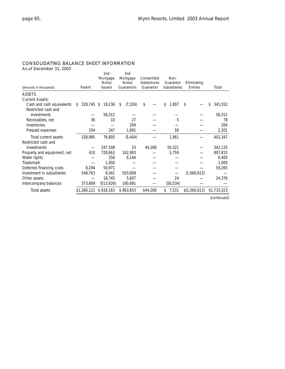### CONSOLIDATING BALANCE SHEET INFORMATION

As of December 31, 2003

| (amounts in thousands)                           | Parent           | 2nd<br>Mortgage<br><b>Notes</b><br><b>Issuers</b> | 2nd<br>Mortgage<br><b>Notes</b><br>Guarantors | Convertible<br>Debentures<br>Guarantor | Non-<br>Guarantor<br><b>Subsidiaries</b> | Eliminating<br><b>Entries</b> | Total         |
|--------------------------------------------------|------------------|---------------------------------------------------|-----------------------------------------------|----------------------------------------|------------------------------------------|-------------------------------|---------------|
| <b>ASSETS</b>                                    |                  |                                                   |                                               |                                        |                                          |                               |               |
| <b>Current Assets:</b>                           |                  |                                                   |                                               |                                        |                                          |                               |               |
| Cash and cash equivalents<br>Restricted cash and | 328,745 \$<br>\$ | 18,236                                            | (7, 326)<br>\$                                | \$                                     | \$<br>1,897                              | \$                            | 341,552<br>\$ |
| investments                                      |                  | 58,312                                            |                                               |                                        |                                          |                               | 58,312        |
| Receivables, net                                 | 36               | 10                                                | 27                                            |                                        | 5                                        |                               | 78            |
| Inventories                                      |                  |                                                   | 204                                           |                                        |                                          |                               | 204           |
| Prepaid expenses                                 | 204              | 247                                               | 1,691                                         |                                        | 59                                       |                               | 2,201         |
| Total current assets                             | 328,985          | 76,805                                            | (5, 404)                                      |                                        | 1,961                                    |                               | 402,347       |
| Restricted cash and                              |                  |                                                   |                                               |                                        |                                          |                               |               |
| investments                                      |                  | 247,508                                           | 23                                            | 44,268                                 | 50,321                                   |                               | 342,120       |
| Property and equipment, net                      | 410              | 728,663                                           | 162,983                                       |                                        | 5,759                                    |                               | 897,815       |
| Water rights                                     |                  | 256                                               | 6,144                                         |                                        |                                          |                               | 6,400         |
| <b>Trademark</b>                                 |                  | 1,000                                             |                                               |                                        |                                          |                               | 1,000         |
| Deferred financing costs                         | 8,294            | 50,971                                            |                                               |                                        |                                          |                               | 59,265        |
| Investment in subsidiaries                       | 548,763          | 8,041                                             | 503,809                                       |                                        |                                          | (1,060,613)                   |               |
| Other assets                                     |                  | 18,745                                            | 5,607                                         |                                        | 24                                       |                               | 24,376        |
| Intercompany balances                            | 373,669          | (513, 826)                                        | 190,691                                       |                                        | (50, 534)                                |                               |               |
| Total assets                                     | \$1,260,121      | \$618,163                                         | \$863,853                                     | \$44,268                               | 7,531<br>\$                              | \$(1,060,613)                 | \$1,733,323   |

*(continued)*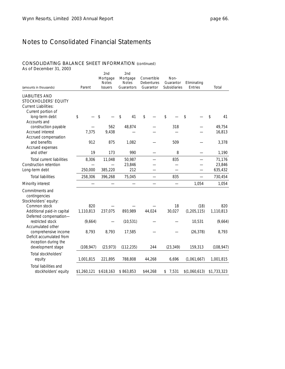### CONSOLIDATING BALANCE SHEET INFORMATION (continued)

As of December 31, 2003

| (amounts in thousands)                                                               | Parent           | 2nd<br>Mortgage<br><b>Notes</b><br><b>Issuers</b> | 2nd<br>Mortgage<br><b>Notes</b><br>Guarantors | Convertible<br>Debentures<br>Guarantor | Non-<br>Guarantor<br>Subsidiaries | Eliminating<br><b>Entries</b> | Total                |
|--------------------------------------------------------------------------------------|------------------|---------------------------------------------------|-----------------------------------------------|----------------------------------------|-----------------------------------|-------------------------------|----------------------|
| <b>LIABILITIES AND</b><br><b>STOCKHOLDERS' EQUITY</b><br><b>Current Liabilities:</b> |                  |                                                   |                                               |                                        |                                   |                               |                      |
| Current portion of<br>long-term debt<br>Accounts and                                 | \$               | \$                                                | 41<br>\$                                      | \$                                     | \$                                | \$                            | $\updownarrow$<br>41 |
| construction payable                                                                 |                  | 562                                               | 48,874                                        |                                        | 318                               |                               | 49,754               |
| Accrued interest<br>Accrued compensation                                             | 7,375            | 9,438                                             |                                               |                                        |                                   |                               | 16,813               |
| and benefits<br>Accrued expenses                                                     | 912              | 875                                               | 1,082                                         |                                        | 509                               |                               | 3,378                |
| and other                                                                            | 19               | 173                                               | 990                                           |                                        | 8                                 |                               | 1,190                |
| <b>Total current liabilities</b>                                                     | 8,306            | 11,048                                            | 50,987                                        |                                        | 835                               |                               | 71,176               |
| Construction retention                                                               |                  |                                                   | 23,846                                        |                                        |                                   |                               | 23,846               |
| Long-term debt                                                                       | 250,000          | 385,220                                           | 212                                           |                                        |                                   |                               | 635,432              |
| <b>Total liabilities</b>                                                             | 258,306          | 396,268                                           | 75,045                                        | $\overline{\phantom{0}}$               | 835                               | $\overline{\phantom{0}}$      | 730,454              |
| Minority interest                                                                    |                  |                                                   |                                               |                                        |                                   | 1,054                         | 1,054                |
| Commitments and<br>contingencies<br>Stockholders' equity:                            |                  |                                                   |                                               |                                        |                                   |                               |                      |
| Common stock<br>Additional paid-in capital                                           | 820<br>1,110,813 | 237,075                                           | 893,989                                       | 44,024                                 | 18<br>30,027                      | (18)<br>(1, 205, 115)         | 820<br>1,110,813     |
| Deferred compensation-<br>restricted stock<br>Accumulated other                      | (9,664)          |                                                   | (10, 531)                                     |                                        |                                   | 10,531                        | (9,664)              |
| comprehensive income<br>Deficit accumulated from<br>inception during the             | 8,793            | 8,793                                             | 17,585                                        |                                        |                                   | (26, 378)                     | 8,793                |
| development stage                                                                    | (108, 947)       | (23, 973)                                         | (112, 235)                                    | 244                                    | (23, 349)                         | 159,313                       | (108, 947)           |
| Total stockholders'<br>equity                                                        | 1,001,815        | 221,895                                           | 788,808                                       | 44,268                                 | 6,696                             | (1,061,667)                   | 1,001,815            |
| Total liabilities and<br>stockholders' equity                                        | \$1,260,121      | \$618,163                                         | \$863,853                                     | \$44,268                               | 7,531<br>\$                       | \$(1,060,613)                 | \$1,733,323          |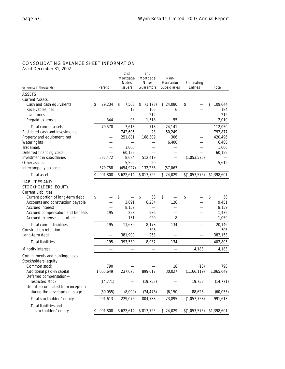### CONSOLIDATING BALANCE SHEET INFORMATION

As of December 31, 2002

|                                                                                                                                                                                                                                                       |                                            | 2nd<br>Mortgage<br><b>Notes</b>                | 2nd<br>Mortgage<br><b>Notes</b>       | Non-<br>Guarantor         |          | Eliminating    |                                           |                                                           |
|-------------------------------------------------------------------------------------------------------------------------------------------------------------------------------------------------------------------------------------------------------|--------------------------------------------|------------------------------------------------|---------------------------------------|---------------------------|----------|----------------|-------------------------------------------|-----------------------------------------------------------|
| (amounts in thousands)                                                                                                                                                                                                                                | Parent                                     | <b>Issuers</b>                                 | Guarantors                            | <b>Subsidiaries</b>       |          | <b>Entries</b> |                                           | Total                                                     |
| <b>ASSETS</b><br><b>Current Assets:</b>                                                                                                                                                                                                               |                                            |                                                |                                       |                           |          |                |                                           |                                                           |
| Cash and cash equivalents<br>Receivables, net<br>Inventories<br>Prepaid expenses                                                                                                                                                                      | \$<br>79,234<br>344                        | \$<br>7,508<br>12<br>93                        | \$<br>(1, 178)<br>166<br>212<br>1,518 | \$24,080                  | 6<br>55  | \$             |                                           | \$<br>109,644<br>184<br>212<br>2,010                      |
| Total current assets<br>Restricted cash and investments<br>Property and equipment, net<br>Water rights<br><b>Trademark</b><br>Deferred financing costs                                                                                                | 79,578                                     | 7,613<br>742,605<br>251,881<br>1,000<br>60,159 | 718<br>23<br>168,309<br>—             | 24,141<br>50,249<br>6,400 | 306      |                | —<br>$\overline{\phantom{0}}$             | 112,050<br>792,877<br>420,496<br>6,400<br>1,000<br>60,159 |
| Investment in subsidiaries<br>Other assets<br>Intercompany balances                                                                                                                                                                                   | 532,472<br>379,758                         | 8,684<br>5,599<br>(454, 927)                   | 512,419<br>20<br>132,236              | (57,067)                  |          |                | (1,053,575)                               | 5,619                                                     |
| Total assets                                                                                                                                                                                                                                          | \$<br>991,808                              | \$622,614                                      | \$813,725                             | \$24,029                  |          | \$(1,053,575)  |                                           | \$1,398,601                                               |
| <b>LIABILITIES AND</b><br>STOCKHOLDERS' EQUITY<br><b>Current Liabilities:</b><br>Current portion of long-term debt<br>Accounts and construction payable<br><b>Accrued interest</b><br>Accrued compensation and benefits<br>Accrued expenses and other | \$<br>195                                  | \$<br>3,091<br>8,159<br>258<br>131             | \$<br>38<br>6,234<br>986<br>920       | \$                        | 126<br>8 | \$             |                                           | \$<br>38<br>9,451<br>8,159<br>1,439<br>1,059              |
| <b>Total current liabilities</b><br>Construction retention<br>Long-term debt                                                                                                                                                                          | 195                                        | 11,639<br>381,900                              | 8,178<br>506<br>253                   |                           | 134      |                |                                           | 20,146<br>506<br>382,153                                  |
| <b>Total liabilities</b>                                                                                                                                                                                                                              | 195                                        | 393,539                                        | 8,937                                 |                           | 134      |                | $\overline{\phantom{0}}$                  | 402,805                                                   |
| Minority interest                                                                                                                                                                                                                                     |                                            |                                                |                                       |                           |          |                | 4,183                                     | 4,183                                                     |
| Commitments and contingencies<br>Stockholders' equity:<br>Common stock<br>Additional paid-in capital<br>Deferred compensation-<br>restricted stock<br>Deficit accumulated from inception<br>during the development stage                              | 790<br>1,065,649<br>(14, 771)<br>(60, 055) | 237,075<br>(8,000)                             | 899,017<br>(19, 753)<br>(74, 476)     | 30,027<br>(6, 150)        | 18       |                | (18)<br>(1, 166, 119)<br>19,753<br>88,626 | 790<br>1,065,649<br>(14, 771)<br>(60, 055)                |
| Total stockholders' equity                                                                                                                                                                                                                            | 991,613                                    | 229,075                                        | 804,788                               | 23,895                    |          |                | (1,057,758)                               | 991,613                                                   |
| Total liabilities and<br>stockholders' equity                                                                                                                                                                                                         | \$991,808                                  | \$622,614                                      | \$813,725                             | \$24,029                  |          | \$(1,053,575)  |                                           | \$1,398,601                                               |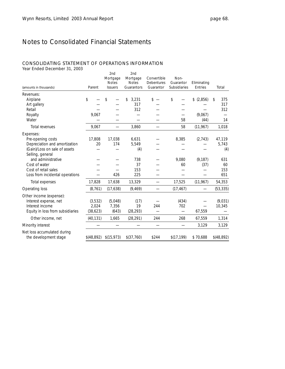#### CONSOLIDATING STATEMENT OF OPERATIONS INFORMATION

Year Ended December 31, 2003

| ical Ended Deceniber 91, 2009<br>(amounts in thousands) | Parent     | 2nd<br>Mortgage<br><b>Notes</b><br><b>Issuers</b> | 2nd<br>Mortgage<br><b>Notes</b><br>Guarantors | Convertible<br>Debentures<br>Guarantor | Non-<br>Guarantor<br>Subsidiaries | Eliminating<br>Entries | Total      |
|---------------------------------------------------------|------------|---------------------------------------------------|-----------------------------------------------|----------------------------------------|-----------------------------------|------------------------|------------|
| Revenues:                                               |            |                                                   |                                               |                                        |                                   |                        |            |
| Airplane                                                | \$         | \$                                                | 3,231<br>\$                                   | \$                                     | \$                                | \$ (2,856)             | 375<br>\$  |
| Art gallery                                             |            |                                                   | 317                                           |                                        |                                   |                        | 317        |
| Retail                                                  |            |                                                   | 312                                           |                                        |                                   |                        | 312        |
| Royalty                                                 | 9,067      |                                                   |                                               |                                        |                                   | (9,067)                |            |
| Water                                                   |            |                                                   |                                               |                                        | 58                                | (44)                   | 14         |
| Total revenues                                          | 9,067      |                                                   | 3,860                                         |                                        | 58                                | (11, 967)              | 1,018      |
| Expenses:                                               |            |                                                   |                                               |                                        |                                   |                        |            |
| Pre-opening costs                                       | 17,808     | 17,038                                            | 6,631                                         |                                        | 8,385                             | (2, 743)               | 47,119     |
| Depreciation and amortization                           | 20         | 174                                               | 5,549                                         |                                        |                                   |                        | 5,743      |
| (Gain)/Loss on sale of assets                           |            |                                                   | (4)                                           |                                        |                                   |                        | (4)        |
| Selling, general<br>and administrative                  |            |                                                   | 738                                           |                                        | 9,080                             | (9, 187)               | 631        |
| Cost of water                                           |            |                                                   | 37                                            |                                        | 60                                | (37)                   | 60         |
| Cost of retail sales                                    |            |                                                   | 153                                           |                                        |                                   |                        | 153        |
| Loss from incidental operations                         |            | 426                                               | 225                                           |                                        |                                   |                        | 651        |
| Total expenses                                          | 17,828     | 17,638                                            | 13,329                                        |                                        | 17,525                            | (11,967)               | 54,353     |
| Operating loss                                          | (8, 761)   | (17, 638)                                         | (9, 469)                                      |                                        | (17, 467)                         |                        | (53, 335)  |
| Other income (expense):                                 |            |                                                   |                                               |                                        |                                   |                        |            |
| Interest expense, net                                   | (3, 532)   | (5,048)                                           | (17)                                          |                                        | (434)                             |                        | (9,031)    |
| Interest income                                         | 2.024      | 7,356                                             | 19                                            | 244                                    | 702                               |                        | 10,345     |
| Equity in loss from subsidiaries                        | (38, 623)  | (643)                                             | (28, 293)                                     |                                        | $\overline{\phantom{0}}$          | 67,559                 |            |
| Other income, net                                       | (40, 131)  | 1,665                                             | (28, 291)                                     | 244                                    | 268                               | 67,559                 | 1,314      |
| Minority interest                                       |            |                                                   |                                               |                                        |                                   | 3,129                  | 3,129      |
| Net loss accumulated during<br>the development stage    | \$(48,892) | \$(15,973)                                        | \$(37,760)                                    | \$244                                  | \$(17, 199)                       | \$70,688               | \$(48,892) |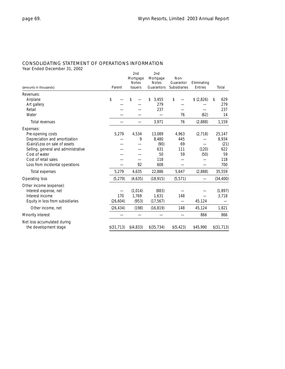### CONSOLIDATING STATEMENT OF OPERATIONS INFORMATION

Year Ended December 31, 2002

| (amounts in thousands)              | Parent     | 2nd<br>Mortgage<br><b>Notes</b><br><b>Issuers</b> | 2nd<br>Mortgage<br><b>Notes</b><br>Guarantors | Non-<br>Guarantor<br>Subsidiaries | Eliminating<br>Entries | Total       |
|-------------------------------------|------------|---------------------------------------------------|-----------------------------------------------|-----------------------------------|------------------------|-------------|
| Revenues:                           |            |                                                   |                                               |                                   |                        |             |
| Airplane                            | \$         | \$                                                | \$<br>3,455                                   | \$                                | \$ (2,826)             | 629<br>\$   |
| Art gallery                         |            |                                                   | 279                                           |                                   |                        | 279         |
| Retail                              |            |                                                   | 237                                           |                                   |                        | 237         |
| Water                               |            |                                                   |                                               | 76                                | (62)                   | 14          |
| Total revenues                      |            |                                                   | 3,971                                         | 76                                | (2,888)                | 1,159       |
| Expenses:                           |            |                                                   |                                               |                                   |                        |             |
| Pre-opening costs                   | 5,279      | 4,534                                             | 13,089                                        | 4,963                             | (2,718)                | 25,147      |
| Depreciation and amortization       |            | 9                                                 | 8,480                                         | 445                               |                        | 8,934       |
| (Gain)/Loss on sale of assets       |            |                                                   | (90)                                          | 69                                |                        | (21)        |
| Selling, general and administrative |            |                                                   | 631                                           | 111                               | (120)                  | 622         |
| Cost of water                       |            |                                                   | 50                                            | 59                                | (50)                   | 59          |
| Cost of retail sales                |            |                                                   | 118                                           |                                   |                        | 118         |
| Loss from incidental operations     |            | 92                                                | 608                                           |                                   |                        | 700         |
| Total expenses                      | 5,279      | 4,635                                             | 22,886                                        | 5,647                             | (2,888)                | 35,559      |
| Operating loss                      | (5, 279)   | (4,635)                                           | (18, 915)                                     | (5, 571)                          |                        | (34, 400)   |
| Other income (expense):             |            |                                                   |                                               |                                   |                        |             |
| Interest expense, net               |            | (1, 014)                                          | (883)                                         |                                   |                        | (1, 897)    |
| Interest income                     | 170        | 1.769                                             | 1,631                                         | 148                               |                        | 3,718       |
| Equity in loss from subsidiaries    | (26, 604)  | (953)                                             | (17, 567)                                     |                                   | 45,124                 |             |
| Other income, net                   | (26, 434)  | (198)                                             | (16, 819)                                     | 148                               | 45,124                 | 1,821       |
| Minority interest                   |            |                                                   |                                               |                                   | 866                    | 866         |
| Net loss accumulated during         |            |                                                   |                                               |                                   |                        |             |
| the development stage               | \$(31,713) | \$(4,833)                                         | \$(35,734)                                    | \$(5,423)                         | \$45,990               | \$(31, 713) |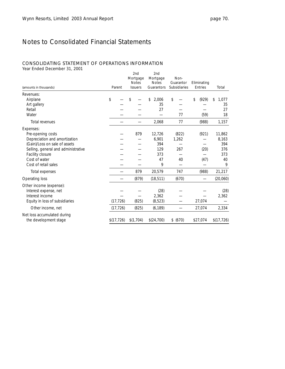### CONSOLIDATING STATEMENT OF OPERATIONS INFORMATION

Year Ended December 31, 2001

| (amounts in thousands)              | Parent      | 2nd<br>Mortgage<br><b>Notes</b><br><b>Issuers</b> | 2nd<br>Mortgage<br><b>Notes</b><br>Guarantors | Non-<br>Guarantor<br><b>Subsidiaries</b> | Eliminating<br>Entries | Total       |
|-------------------------------------|-------------|---------------------------------------------------|-----------------------------------------------|------------------------------------------|------------------------|-------------|
| Revenues:                           |             |                                                   |                                               |                                          |                        |             |
| Airplane                            | \$          | \$                                                | \$<br>2,006                                   | \$                                       | (929)<br>\$            | \$<br>1,077 |
| Art gallery                         |             |                                                   | 35                                            |                                          |                        | 35          |
| Retail                              |             |                                                   | 27                                            |                                          |                        | 27          |
| Water                               |             |                                                   |                                               | 77                                       | (59)                   | 18          |
| Total revenues                      |             |                                                   | 2,068                                         | 77                                       | (988)                  | 1,157       |
| Expenses:                           |             |                                                   |                                               |                                          |                        |             |
| Pre-opening costs                   |             | 879                                               | 12,726                                        | (822)                                    | (921)                  | 11,862      |
| Depreciation and amortization       |             |                                                   | 6,901                                         | 1,262                                    |                        | 8,163       |
| (Gain)/Loss on sale of assets       |             |                                                   | 394                                           |                                          |                        | 394         |
| Selling, general and administrative |             |                                                   | 129                                           | 267                                      | (20)                   | 376         |
| Facility closure                    |             |                                                   | 373                                           |                                          |                        | 373         |
| Cost of water                       |             |                                                   | 47                                            | 40                                       | (47)                   | 40          |
| Cost of retail sales                |             |                                                   | 9                                             |                                          |                        | 9           |
| Total expenses                      |             | 879                                               | 20,579                                        | 747                                      | (988)                  | 21,217      |
| Operating loss                      |             | (879)                                             | (18, 511)                                     | (670)                                    |                        | (20,060)    |
| Other income (expense):             |             |                                                   |                                               |                                          |                        |             |
| Interest expense, net               |             |                                                   | (28)                                          |                                          |                        | (28)        |
| Interest income                     |             |                                                   | 2,362                                         |                                          |                        | 2,362       |
| Equity in loss of subsidiaries      | (17, 726)   | (825)                                             | (8, 523)                                      |                                          | 27,074                 |             |
| Other income, net                   | (17, 726)   | (825)                                             | (6, 189)                                      |                                          | 27,074                 | 2,334       |
| Net loss accumulated during         |             |                                                   |                                               |                                          |                        |             |
| the development stage               | \$(17, 726) | \$(1,704)                                         | \$(24,700)                                    | \$ (670)                                 | \$27,074               | \$(17,726)  |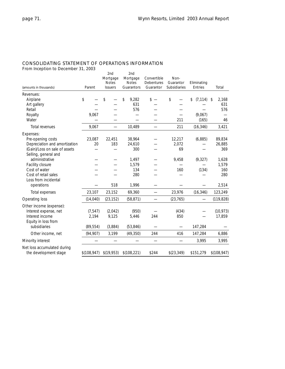### CONSOLIDATING STATEMENT OF OPERATIONS INFORMATION

From Inception to December 31, 2003

| (amounts in thousands)                 | Parent       | 2 <sub>nd</sub><br>Mortgage<br><b>Notes</b><br><b>Issuers</b> | 2 <sub>nd</sub><br>Mortgage<br><b>Notes</b><br>Guarantors | Convertible<br><b>Debentures</b><br>Guarantor | Non-<br>Guarantor<br>Subsidiaries | Eliminating<br>Entries | Total          |
|----------------------------------------|--------------|---------------------------------------------------------------|-----------------------------------------------------------|-----------------------------------------------|-----------------------------------|------------------------|----------------|
| Revenues:                              |              |                                                               |                                                           |                                               |                                   |                        |                |
| Airplane                               | \$           | \$                                                            | \$<br>9,282                                               | $s -$                                         | \$                                | \$<br>(7, 114)         | \$<br>2,168    |
| Art gallery                            |              |                                                               | 631                                                       |                                               |                                   |                        | 631            |
| Retail                                 |              |                                                               | 576                                                       |                                               |                                   |                        | 576            |
| Royalty                                | 9,067        |                                                               |                                                           |                                               |                                   | (9.067)                |                |
| Water                                  |              |                                                               |                                                           |                                               | 211                               | (165)                  | 46             |
| Total revenues                         | 9,067        | $\equiv$                                                      | 10,489                                                    |                                               | 211                               | (16, 346)              | 3,421          |
| Expenses:                              |              |                                                               |                                                           |                                               |                                   |                        |                |
| Pre-opening costs                      | 23,087       | 22,451                                                        | 38,964                                                    |                                               | 12,217                            | (6,885)                | 89,834         |
| Depreciation and amortization          | 20           | 183                                                           | 24,610                                                    |                                               | 2,072                             |                        | 26,885         |
| (Gain)/Loss on sale of assets          |              |                                                               | 300                                                       |                                               | 69                                |                        | 369            |
| Selling, general and<br>administrative |              |                                                               |                                                           |                                               |                                   |                        |                |
|                                        |              |                                                               | 1,497<br>1,579                                            |                                               | 9,458                             | (9, 327)               | 1,628<br>1,579 |
| Facility closure<br>Cost of water      |              |                                                               | 134                                                       |                                               | 160                               | (134)                  | 160            |
| Cost of retail sales                   |              |                                                               | 280                                                       |                                               |                                   |                        | 280            |
| Loss from incidental                   |              |                                                               |                                                           |                                               |                                   |                        |                |
| operations                             |              | 518                                                           | 1,996                                                     |                                               |                                   |                        | 2,514          |
| Total expenses                         | 23,107       | 23,152                                                        | 69,360                                                    | $\overline{\phantom{0}}$                      | 23,976                            | (16, 346)              | 123,249        |
| Operating loss                         | (14, 040)    | (23, 152)                                                     | (58, 871)                                                 | $\overline{\phantom{0}}$                      | (23, 765)                         |                        | (119, 828)     |
| Other income (expense):                |              |                                                               |                                                           |                                               |                                   |                        |                |
| Interest expense, net                  | (7, 547)     | (2,042)                                                       | (950)                                                     |                                               | (434)                             |                        | (10, 973)      |
| Interest income                        | 2,194        | 9,125                                                         | 5,446                                                     | 244                                           | 850                               |                        | 17,859         |
| Equity in loss from                    |              |                                                               |                                                           |                                               |                                   |                        |                |
| subsidiaries                           | (89, 554)    | (3,884)                                                       | (53, 846)                                                 |                                               |                                   | 147,284                |                |
| Other income, net                      | (94, 907)    | 3,199                                                         | (49, 350)                                                 | 244                                           | 416                               | 147,284                | 6,886          |
| Minority interest                      |              |                                                               |                                                           |                                               |                                   | 3,995                  | 3,995          |
| Net loss accumulated during            |              |                                                               |                                                           |                                               |                                   |                        |                |
| the development stage                  | \$(108, 947) | \$(19, 953)                                                   | \$(108, 221)                                              | \$244                                         | \$(23,349)                        | \$151,279              | \$(108, 947)   |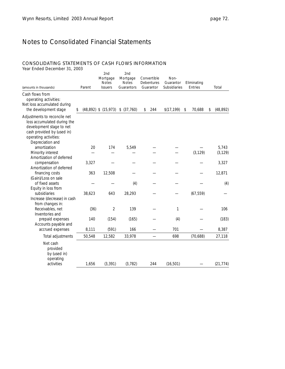## CONSOLIDATING STATEMENTS OF CASH FLOWS INFORMATION

| (amounts in thousands)                                                                                                                                             | Parent | 2nd<br>Mortgage<br><b>Notes</b><br><b>Issuers</b> | 2nd<br>Mortgage<br><b>Notes</b><br>Guarantors | Convertible<br><b>Debentures</b><br>Guarantor | Non-<br>Guarantor<br><b>Subsidiaries</b> | Eliminating<br>Entries | Total           |
|--------------------------------------------------------------------------------------------------------------------------------------------------------------------|--------|---------------------------------------------------|-----------------------------------------------|-----------------------------------------------|------------------------------------------|------------------------|-----------------|
| Cash flows from<br>operating activities:<br>Net loss accumulated during<br>the development stage                                                                   | \$     | $(48,892)$ \$ $(15,973)$                          | \$ (37,760)                                   | \$<br>244                                     | \$(17, 199)                              | \$<br>70,688           | \$<br>(48, 892) |
| Adjustments to reconcile net<br>loss accumulated during the<br>development stage to net<br>cash provided by (used in)<br>operating activities:<br>Depreciation and |        |                                                   |                                               |                                               |                                          |                        |                 |
| amortization                                                                                                                                                       | 20     | 174                                               | 5,549                                         |                                               |                                          |                        | 5,743           |
| Minority interest                                                                                                                                                  |        |                                                   |                                               |                                               |                                          | (3, 129)               | (3, 129)        |
| Amortization of deferred                                                                                                                                           |        |                                                   |                                               |                                               |                                          |                        |                 |
| compensation<br>Amortization of deferred                                                                                                                           | 3,327  |                                                   |                                               |                                               |                                          |                        | 3,327           |
| financing costs                                                                                                                                                    | 363    | 12,508                                            |                                               |                                               |                                          |                        | 12,871          |
| (Gain)/Loss on sale                                                                                                                                                |        |                                                   |                                               |                                               |                                          |                        |                 |
| of fixed assets                                                                                                                                                    |        |                                                   | (4)                                           |                                               |                                          |                        | (4)             |
| Equity in loss from                                                                                                                                                |        |                                                   |                                               |                                               |                                          |                        |                 |
| subsidiaries                                                                                                                                                       | 38,623 | 643                                               | 28,293                                        |                                               |                                          | (67, 559)              |                 |
| Increase (decrease) in cash                                                                                                                                        |        |                                                   |                                               |                                               |                                          |                        |                 |
| from changes in:<br>Receivables, net                                                                                                                               | (36)   | $\overline{2}$                                    | 139                                           |                                               | 1                                        |                        | 106             |
| Inventories and                                                                                                                                                    |        |                                                   |                                               |                                               |                                          |                        |                 |
| prepaid expenses                                                                                                                                                   | 140    | (154)                                             | (165)                                         |                                               | (4)                                      |                        | (183)           |
| Accounts payable and                                                                                                                                               |        |                                                   |                                               |                                               |                                          |                        |                 |
| accrued expenses                                                                                                                                                   | 8,111  | (591)                                             | 166                                           |                                               | 701                                      |                        | 8,387           |
| Total adjustments                                                                                                                                                  | 50,548 | 12,582                                            | 33,978                                        |                                               | 698                                      | (70, 688)              | 27,118          |
| Net cash<br>provided<br>by (used in)<br>operating<br>activities                                                                                                    | 1,656  | (3, 391)                                          | (3, 782)                                      | 244                                           | (16, 501)                                |                        | (21, 774)       |
|                                                                                                                                                                    |        |                                                   |                                               |                                               |                                          |                        |                 |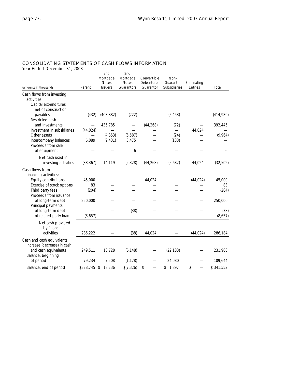## CONSOLIDATING STATEMENTS OF CASH FLOWS INFORMATION

| ICAL LINCA DECENIDEL 31, 2003                       |              |                                                   |                                               |                                        |                                   |                        |                 |
|-----------------------------------------------------|--------------|---------------------------------------------------|-----------------------------------------------|----------------------------------------|-----------------------------------|------------------------|-----------------|
| (amounts in thousands)                              | Parent       | 2nd<br>Mortgage<br><b>Notes</b><br><b>Issuers</b> | 2nd<br>Mortgage<br><b>Notes</b><br>Guarantors | Convertible<br>Debentures<br>Guarantor | Non-<br>Guarantor<br>Subsidiaries | Eliminating<br>Entries | Total           |
| Cash flows from investing                           |              |                                                   |                                               |                                        |                                   |                        |                 |
| activities:                                         |              |                                                   |                                               |                                        |                                   |                        |                 |
| Capital expenditures,<br>net of construction        |              |                                                   |                                               |                                        |                                   |                        |                 |
| payables                                            | (432)        | (408, 882)                                        | (222)                                         |                                        | (5, 453)                          |                        | (414, 989)      |
| Restricted cash                                     |              |                                                   |                                               |                                        |                                   |                        |                 |
| and Investments                                     |              | 436,785                                           |                                               | (44, 268)                              | (72)                              |                        | 392,445         |
| Investment in subsidiaries                          | (44, 024)    |                                                   |                                               |                                        | $\overline{\phantom{0}}$          | 44,024                 |                 |
| Other assets                                        |              | (4, 353)                                          | (5, 587)                                      |                                        | (24)                              |                        | (9,964)         |
| Intercompany balances                               | 6,089        | (9, 431)                                          | 3,475                                         |                                        | (133)                             |                        |                 |
| Proceeds from sale                                  |              |                                                   |                                               |                                        |                                   |                        |                 |
| of equipment                                        |              |                                                   | 6                                             |                                        |                                   |                        | 6               |
| Net cash used in                                    |              |                                                   |                                               |                                        |                                   |                        |                 |
| investing activities                                | (38, 367)    | 14,119                                            | (2, 328)                                      | (44, 268)                              | (5,682)                           | 44,024                 | (32, 502)       |
| Cash flows from                                     |              |                                                   |                                               |                                        |                                   |                        |                 |
| financing activities:                               |              |                                                   |                                               |                                        |                                   |                        |                 |
| Equity contributions                                | 45,000       |                                                   |                                               | 44,024                                 |                                   | (44, 024)              | 45,000          |
| Exercise of stock options                           | 83           |                                                   |                                               |                                        |                                   |                        | 83              |
| Third party fees                                    | (204)        |                                                   |                                               |                                        |                                   |                        | (204)           |
| Proceeds from issuance                              |              |                                                   |                                               |                                        |                                   |                        |                 |
| of long-term debt                                   | 250,000      |                                                   |                                               |                                        |                                   |                        | 250,000         |
| Principal payments                                  |              |                                                   |                                               |                                        |                                   |                        |                 |
| of long-term debt<br>of related party loan          | (8,657)      |                                                   | (38)                                          |                                        |                                   |                        | (38)<br>(8,657) |
|                                                     |              |                                                   |                                               |                                        |                                   |                        |                 |
| Net cash provided                                   |              |                                                   |                                               |                                        |                                   |                        |                 |
| by financing<br>activities                          | 286,222      |                                                   | (38)                                          | 44,024                                 |                                   | (44, 024)              | 286,184         |
|                                                     |              |                                                   |                                               |                                        |                                   |                        |                 |
| Cash and cash equivalents:                          |              |                                                   |                                               |                                        |                                   |                        |                 |
| Increase (decrease) in cash<br>and cash equivalents | 249,511      | 10,728                                            | (6, 148)                                      |                                        | (22, 183)                         |                        | 231,908         |
| Balance, beginning                                  |              |                                                   |                                               |                                        |                                   |                        |                 |
| of period                                           | 79,234       | 7,508                                             | (1, 178)                                      |                                        | 24,080                            |                        | 109,644         |
| Balance, end of period                              | \$328,745 \$ | 18,236                                            | \$(7,326)                                     | \$                                     | \$1,897                           | \$                     | \$341,552       |
|                                                     |              |                                                   |                                               |                                        |                                   |                        |                 |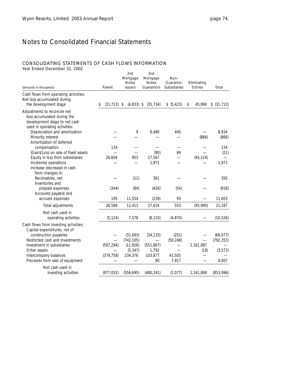## CONSOLIDATING STATEMENTS OF CASH FLOWS INFORMATION

| (amounts in thousands)                                                                                                        | Parent               | 2nd<br>Mortgage<br><b>Notes</b><br><b>Issuers</b> | 2nd<br>Mortgage<br><b>Notes</b><br>Guarantors | Non-<br>Guarantor<br>Subsidiaries | Eliminating<br>Entries | Total                  |
|-------------------------------------------------------------------------------------------------------------------------------|----------------------|---------------------------------------------------|-----------------------------------------------|-----------------------------------|------------------------|------------------------|
| Cash flows from operating activities:<br>Net loss accumulated during<br>the development stage                                 | $(31, 713)$ \$<br>\$ | $(4,833)$ \$                                      | (35, 734)                                     | \$ (5,423)                        | 45,990<br>\$           | \$ (31, 713)           |
| Adjustments to reconcile net<br>loss accumulated during the<br>development stage to net cash<br>used in operating activities: |                      |                                                   |                                               |                                   |                        |                        |
| Depreciation and amortization<br>Minority interest<br>Amortization of deferred                                                |                      | 9                                                 | 8,480                                         | 445                               | (866)                  | 8,934<br>(866)         |
| compensation<br>(Gain)/Loss on sale of fixed assets                                                                           | 134                  |                                                   | (90)                                          | 69                                |                        | 134<br>(21)            |
| Equity in loss from subsidiaries<br>Incidental operations<br>Increase (decrease) in cash                                      | 26,604               | 953                                               | 17,567<br>1,971                               |                                   | (45, 124)              | 1,971                  |
| from changes in:<br>Receivables, net<br>Inventories and                                                                       |                      | (11)                                              | 361                                           |                                   |                        | 350                    |
| prepaid expenses<br>Accounts payable and                                                                                      | (344)                | (94)                                              | (426)                                         | (54)                              |                        | (918)                  |
| accrued expenses                                                                                                              | 195                  | 11,554                                            | (239)                                         | 93                                |                        | 11,603                 |
| Total adjustments                                                                                                             | 26,589               | 12,411                                            | 27,624                                        | 553                               | (45,990)               | 21,187                 |
| Net cash used in<br>operating activities                                                                                      | (5, 124)             | 7,578                                             | (8, 110)                                      | (4, 870)                          |                        | (10, 526)              |
| Cash flows from investing activities:<br>Capital expenditures, net of                                                         |                      |                                                   |                                               |                                   |                        |                        |
| construction payables<br>Restricted cash and Investments                                                                      |                      | (31,693)                                          | (34, 133)                                     | (251)                             |                        | (66, 077)              |
| Investment in subsidiaries<br>Other assets                                                                                    | (597, 294)           | (742, 105)<br>(11, 926)<br>(5, 347)               | (551, 867)<br>1,792                           | (50, 248)                         | 1,161,087<br>(18)      | (792, 353)<br>(3, 573) |
| Intercompany balances<br>Proceeds from sale of equipment                                                                      | (379, 758)           | 234,376                                           | 103,877<br>90                                 | 41,505<br>7,917                   |                        | 8,007                  |
| Net cash used in<br>investing activities                                                                                      | (977, 052)           | (556, 695)                                        | (480, 241)                                    | (1,077)                           | 1,161,069              | (853,996)              |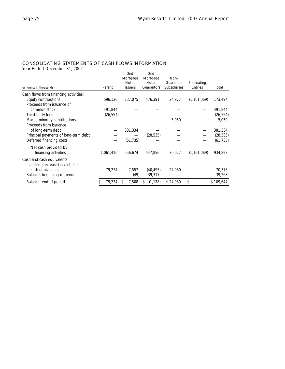### CONSOLIDATING STATEMENTS OF CASH FLOWS INFORMATION

|                                       |           | 2nd            | 2nd           |              |               |           |
|---------------------------------------|-----------|----------------|---------------|--------------|---------------|-----------|
|                                       |           | Mortgage       | Mortgage      | Non-         |               |           |
|                                       |           | <b>Notes</b>   | <b>Notes</b>  | Guarantor    | Eliminating   |           |
| (amounts in thousands)                | Parent    | <b>Issuers</b> | Guarantors    | Subsidiaries | Entries       | Total     |
| Cash flows from financing activities: |           |                |               |              |               |           |
| Equity contributions                  | 596,120   | 237,075        | 476,391       | 24,977       | (1, 161, 069) | 173,494   |
| Proceeds from issuance of             |           |                |               |              |               |           |
| common stock                          | 491,844   |                |               |              |               | 491,844   |
| Third party fees                      | (26, 554) |                |               |              |               | (26, 554) |
| Macau minority contributions          |           |                |               | 5,050        |               | 5,050     |
| Proceeds from issuance                |           |                |               |              |               |           |
| of long-term debt                     |           | 381,334        |               |              |               | 381,334   |
| Principal payments of long-term debt  |           |                | (28, 535)     |              |               | (28, 535) |
| Deferred financing costs              |           | (61, 735)      |               |              |               | (61, 735) |
| Net cash provided by                  |           |                |               |              |               |           |
| financing activities                  | 1,061,410 | 556,674        | 447,856       | 30,027       | (1, 161, 069) | 934,898   |
| Cash and cash equivalents:            |           |                |               |              |               |           |
| Increase (decrease) in cash and       |           |                |               |              |               |           |
| cash equivalents                      | 79,234    | 7,557          | (40, 495)     | 24,080       |               | 70,376    |
| Balance, beginning of period          |           | (49)           | 39,317        |              |               | 39,268    |
| Balance, end of period                | 79,234    | 7,508<br>\$    | (1, 178)<br>S | \$24,080     | \$            | \$109,644 |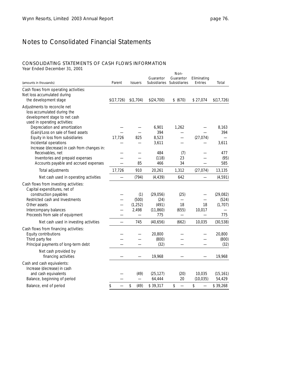### CONSOLIDATING STATEMENTS OF CASH FLOWS INFORMATION

| (amounts in thousands)                                                  | Parent      | <b>Issuers</b> | Guarantor           | Non-<br>Guarantor<br>Subsidiaries Subsidiaries | Eliminating<br>Entries | Total               |
|-------------------------------------------------------------------------|-------------|----------------|---------------------|------------------------------------------------|------------------------|---------------------|
| Cash flows from operating activities:                                   |             |                |                     |                                                |                        |                     |
| Net loss accumulated during                                             |             |                |                     |                                                |                        |                     |
| the development stage                                                   | \$(17, 726) | \$(1,704)      | \$(24,700)          | \$ (670)                                       | \$27,074               | \$(17,726)          |
| Adjustments to reconcile net                                            |             |                |                     |                                                |                        |                     |
| loss accumulated during the                                             |             |                |                     |                                                |                        |                     |
| development stage to net cash                                           |             |                |                     |                                                |                        |                     |
| used in operating activities:                                           |             |                |                     |                                                |                        |                     |
| Depreciation and amortization                                           |             |                | 6,901<br>394        | 1,262                                          |                        | 8,163<br>394        |
| (Gain)/Loss on sale of fixed assets<br>Equity in loss from subsidiaries | 17,726      | 825            | 8,523               |                                                | (27, 074)              |                     |
| Incidental operations                                                   |             |                | 3,611               |                                                |                        | 3,611               |
| Increase (decrease) in cash from changes in:                            |             |                |                     |                                                |                        |                     |
| Receivables, net                                                        |             |                | 484                 | (7)                                            |                        | 477                 |
| Inventories and prepaid expenses                                        |             |                | (118)               | 23                                             |                        | (95)                |
| Accounts payable and accrued expenses                                   |             | 85             | 466                 | 34                                             |                        | 585                 |
| Total adjustments                                                       | 17,726      | 910            | 20,261              | 1,312                                          | (27, 074)              | 13,135              |
| Net cash used in operating activities                                   |             | (794)          | (4, 439)            | 642                                            |                        | (4, 591)            |
| Cash flows from investing activities:<br>Capital expenditures, net of   |             |                |                     |                                                |                        |                     |
| construction payables                                                   |             | (1)            | (29,056)            | (25)                                           |                        | (29,082)            |
| Restricted cash and Investments                                         |             | (500)          | (24)                | $\overline{\phantom{0}}$                       |                        | (524)               |
| Other assets                                                            |             | (1, 252)       | (491)               | 18                                             | 18                     | (1,707)             |
| Intercompany balances                                                   |             | 2,498          | (11, 860)           | (655)                                          | 10,017                 |                     |
| Proceeds from sale of equipment                                         |             |                | 775                 |                                                |                        | 775                 |
| Net cash used in investing activities                                   |             | 745            | (40, 656)           | (662)                                          | 10,035                 | (30, 538)           |
| Cash flows from financing activities:                                   |             |                |                     |                                                |                        |                     |
| Equity contributions                                                    |             |                | 20,800              |                                                |                        | 20,800              |
| Third party fee                                                         |             |                | (800)               |                                                |                        | (800)               |
| Principal payments of long-term debt                                    |             |                | (32)                |                                                |                        | (32)                |
| Net cash provided by<br>financing activities                            |             |                | 19,968              |                                                |                        | 19,968              |
| Cash and cash equivalents:<br>Increase (decrease) in cash               |             |                |                     |                                                |                        |                     |
| and cash equivalents<br>Balance, beginning of period                    |             | (49)           | (25, 127)<br>64,444 | (20)<br>20                                     | 10,035<br>(10, 035)    | (15, 161)<br>54,429 |
| Balance, end of period                                                  | \$          | \$<br>(49)     | \$39,317            | \$                                             | \$                     | \$39,268            |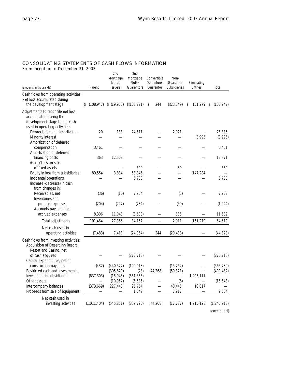## CONSOLIDATING STATEMENTS OF CASH FLOWS INFORMATION

From Inception to December 31, 2003

| (amounts in thousands)                                                                                                                                             | Parent                                 | 2nd<br>Mortgage<br><b>Notes</b><br><b>Issuers</b>             | 2nd<br>Mortgage<br><b>Notes</b><br>Guarantors                   | Convertible<br>Debentures<br>Guarantor | Non-<br>Guarantor<br><b>Subsidiaries</b>                                     | Eliminating<br>Entries                          | Total                                          |
|--------------------------------------------------------------------------------------------------------------------------------------------------------------------|----------------------------------------|---------------------------------------------------------------|-----------------------------------------------------------------|----------------------------------------|------------------------------------------------------------------------------|-------------------------------------------------|------------------------------------------------|
| Cash flows from operating activities:<br>Net loss accumulated during<br>the development stage                                                                      | (108, 947)<br>S                        | \$(19,953)                                                    | \$(108,221)                                                     | \$<br>244                              | \$(23, 349)                                                                  | 151,279<br>\$                                   | (108, 947)<br>\$                               |
| Adjustments to reconcile net loss<br>accumulated during the<br>development stage to net cash<br>used in operating activities:<br>Depreciation and amortization     | 20                                     | 183                                                           | 24,611                                                          |                                        | 2,071                                                                        |                                                 | 26,885                                         |
| Minority interest<br>Amortization of deferred                                                                                                                      |                                        |                                                               |                                                                 |                                        |                                                                              | (3,995)                                         | (3,995)                                        |
| compensation<br>Amortization of deferred                                                                                                                           | 3,461                                  |                                                               |                                                                 |                                        |                                                                              |                                                 | 3.461                                          |
| financing costs<br>(Gain)/Loss on sale                                                                                                                             | 363                                    | 12,508                                                        |                                                                 |                                        |                                                                              |                                                 | 12,871                                         |
| of fixed assets<br>Equity in loss from subsidiaries<br>Incidental operations<br>Increase (decrease) in cash<br>from changes in:                                    | 89,554                                 | 3,884                                                         | 300<br>53,846<br>6,780                                          |                                        | 69                                                                           | (147, 284)                                      | 369<br>6.780                                   |
| Receivables, net<br>Inventories and                                                                                                                                | (36)                                   | (10)                                                          | 7,954                                                           |                                        | (5)                                                                          |                                                 | 7,903                                          |
| prepaid expenses<br>Accounts payable and<br>accrued expenses                                                                                                       | (204)<br>8,306                         | (247)<br>11,048                                               | (734)<br>(8,600)                                                |                                        | (59)<br>835                                                                  |                                                 | (1, 244)<br>11,589                             |
| Total adjustments                                                                                                                                                  | 101,464                                | 27,366                                                        | 84,157                                                          |                                        | 2,911                                                                        | (151, 279)                                      | 64,619                                         |
| Net cash used in<br>operating activities                                                                                                                           | (7, 483)                               | 7,413                                                         | (24,064)                                                        | 244                                    | (20, 438)                                                                    |                                                 | (44, 328)                                      |
| Cash flows from investing activities:<br>Acquisition of Desert Inn Resort<br>Resort and Casino, net                                                                |                                        |                                                               |                                                                 |                                        |                                                                              |                                                 |                                                |
| of cash acquired<br>Capital expenditures, net of                                                                                                                   |                                        |                                                               | (270, 718)                                                      |                                        |                                                                              |                                                 | (270, 718)                                     |
| construction payables<br>Restricted cash and investments<br>Investment in subsidiaries<br>Other assets<br>Intercompany balances<br>Proceeds from sale of equipment | (432)<br>(637, 303)<br>—<br>(373, 669) | (440, 577)<br>(305, 820)<br>(15, 945)<br>(10, 952)<br>227,443 | (109, 018)<br>(23)<br>(551, 863)<br>(5, 585)<br>95,764<br>1,647 | (44, 268)                              | (15, 762)<br>(50, 321)<br>$\overline{\phantom{0}}$<br>(6)<br>40,445<br>7,917 | 1,205,111<br>$\overline{\phantom{0}}$<br>10,017 | (565, 789)<br>(400, 432)<br>(16, 543)<br>9,564 |
| Net cash used in<br>investing activities                                                                                                                           | (1,011,404)                            | (545, 851)                                                    | (839, 796)                                                      | (44, 268)                              | (17, 727)                                                                    | 1,215,128                                       | (1, 243, 918)                                  |

*(continued)*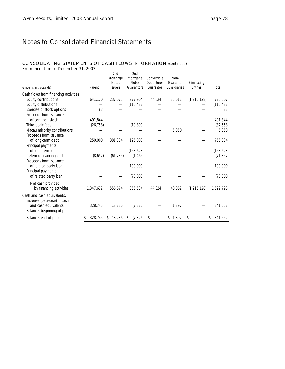## CONSOLIDATING STATEMENTS OF CASH FLOWS INFORMATION (continued)

From Inception to December 31, 2003

| (amounts in thousands)                                    | Parent        | 2nd<br>Mortgage<br><b>Notes</b><br><b>Issuers</b> | 2nd<br>Mortgage<br><b>Notes</b><br>Guarantors | Convertible<br><b>Debentures</b><br>Guarantor | Non-<br>Guarantor<br>Subsidiaries | Eliminating<br>Entries | Total         |
|-----------------------------------------------------------|---------------|---------------------------------------------------|-----------------------------------------------|-----------------------------------------------|-----------------------------------|------------------------|---------------|
| Cash flows from financing activities:                     |               |                                                   |                                               |                                               |                                   |                        |               |
| Equity contributions                                      | 641,120       | 237,075                                           | 977,904                                       | 44,024                                        | 35,012                            | (1, 215, 128)          | 720,007       |
| Equity distributions                                      |               |                                                   | (110, 482)                                    |                                               |                                   |                        | (110, 482)    |
| Exercise of stock options<br>Proceeds from issuance       | 83            |                                                   |                                               |                                               |                                   |                        | 83            |
| of common stock                                           | 491.844       |                                                   |                                               |                                               |                                   |                        | 491,844       |
| Third party fees                                          | (26, 758)     |                                                   | (10, 800)                                     |                                               |                                   |                        | (37, 558)     |
| Macau minority contributions                              |               |                                                   |                                               |                                               | 5,050                             |                        | 5,050         |
| Proceeds from issuance                                    |               |                                                   |                                               |                                               |                                   |                        |               |
| of long-term debt                                         | 250,000       | 381,334                                           | 125,000                                       |                                               |                                   |                        | 756,334       |
| Principal payments                                        |               |                                                   |                                               |                                               |                                   |                        |               |
| of long-term debt                                         |               |                                                   | (153, 623)                                    |                                               |                                   |                        | (153, 623)    |
| Deferred financing costs                                  | (8,657)       | (61, 735)                                         | (1, 465)                                      |                                               |                                   |                        | (71, 857)     |
| Proceeds from issuance                                    |               |                                                   |                                               |                                               |                                   |                        |               |
| of related party loan                                     |               |                                                   | 100,000                                       |                                               |                                   |                        | 100,000       |
| Principal payments                                        |               |                                                   |                                               |                                               |                                   |                        |               |
| of related party loan                                     |               |                                                   | (70,000)                                      |                                               |                                   |                        | (70,000)      |
| Net cash provided                                         |               |                                                   |                                               |                                               |                                   |                        |               |
| by financing activities                                   | 1,347,632     | 556,674                                           | 856,534                                       | 44,024                                        | 40,062                            | (1, 215, 128)          | 1,629,798     |
| Cash and cash equivalents:<br>Increase (decrease) in cash |               |                                                   |                                               |                                               |                                   |                        |               |
| and cash equivalents<br>Balance, beginning of period      | 328,745       | 18,236                                            | (7, 326)                                      |                                               | 1,897                             |                        | 341,552       |
| Balance, end of period                                    | 328,745<br>\$ | 18,236<br>\$                                      | (7, 326)<br>\$                                | \$                                            | 1,897<br>\$                       | \$                     | 341,552<br>\$ |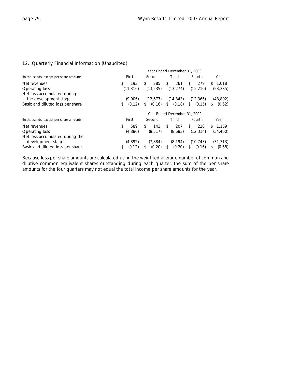### 12. Quarterly Financial Information (Unaudited)

|                                                      | Year Ended December 31, 2003 |                              |              |              |              |  |  |  |  |
|------------------------------------------------------|------------------------------|------------------------------|--------------|--------------|--------------|--|--|--|--|
| (in thousands, except per share amounts)             | First                        | Second                       | Third        | Fourth       | Year         |  |  |  |  |
| Net revenues                                         | \$<br>193                    | 285<br>\$                    | 261<br>\$    | \$<br>279    | 1.018<br>\$  |  |  |  |  |
| Operating loss                                       | (11, 316)                    | (13, 535)                    | (13, 274)    | (15, 210)    | (53, 335)    |  |  |  |  |
| Net loss accumulated during                          |                              |                              |              |              |              |  |  |  |  |
| the development stage                                | (9.006)                      | (12.677)                     | (14, 843)    | (12, 366)    | (48, 892)    |  |  |  |  |
| Basic and diluted loss per share                     | \$<br>(0.12)                 | (0.16)<br>\$                 | (0.18)<br>\$ | (0.15)<br>\$ | (0.62)<br>\$ |  |  |  |  |
|                                                      |                              | Year Ended December 31, 2002 |              |              |              |  |  |  |  |
| (in thousands, except per share amounts)             | First                        | Second                       | Third        | Fourth       | Year         |  |  |  |  |
| Net revenues                                         | \$<br>589                    | 143<br>\$                    | \$<br>207    | \$<br>220    | 1.159<br>S.  |  |  |  |  |
| Operating loss                                       | (4,886)                      | (8, 517)                     | (8,683)      | (12, 314)    | (34, 400)    |  |  |  |  |
| Net loss accumulated during the<br>development stage | (4.892)                      | (7.884)                      | (8.194)      | (10, 743)    | (31, 713)    |  |  |  |  |
| Basic and diluted loss per share                     | (0.12)<br>\$                 | (0.20)<br>\$                 | (0.20)<br>\$ | (0.16)<br>\$ | (0.68)<br>\$ |  |  |  |  |

Because loss per share amounts are calculated using the weighted average number of common and dilutive common equivalent shares outstanding during each quarter, the sum of the per share amounts for the four quarters may not equal the total income per share amounts for the year.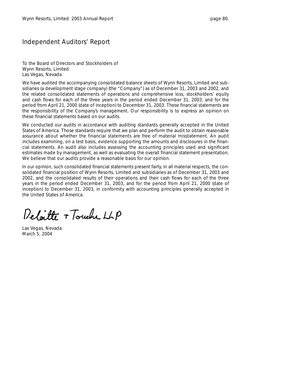## Independent Auditors' Report

To the Board of Directors and Stockholders of Wynn Resorts, Limited Las Vegas, Nevada

We have audited the accompanying consolidated balance sheets of Wynn Resorts, Limited and subsidiaries (a development stage company) (the "Company") as of December 31, 2003 and 2002, and the related consolidated statements of operations and comprehensive loss, stockholders' equity and cash flows for each of the three years in the period ended December 31, 2003, and for the period from April 21, 2000 (date of inception) to December 31, 2003. These financial statements are the responsibility of the Company's management. Our responsibility is to express an opinion on these financial statements based on our audits.

We conducted our audits in accordance with auditing standards generally accepted in the United States of America. Those standards require that we plan and perform the audit to obtain reasonable assurance about whether the financial statements are free of material misstatement. An audit includes examining, on a test basis, evidence supporting the amounts and disclosures in the financial statements. An audit also includes assessing the accounting principles used and significant estimates made by management, as well as evaluating the overall financial statement presentation. We believe that our audits provide a reasonable basis for our opinion.

In our opinion, such consolidated financial statements present fairly, in all material respects, the consolidated financial position of Wynn Resorts, Limited and subsidiaries as of December 31, 2003 and 2002, and the consolidated results of their operations and their cash flows for each of the three years in the period ended December 31, 2003, and for the period from April 21, 2000 (date of inception) to December 31, 2003, in conformity with accounting principles generally accepted in the United States of America.

Deloitte + Touche LLP

Las Vegas, Nevada March 5, 2004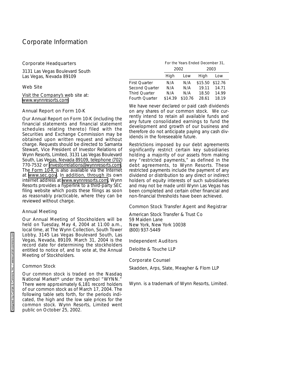#### Corporate Headquarters

3131 Las Vegas Boulevard South Las Vegas, Nevada 89109

#### Web Site

Visit the Company's web site at: [www.wynnresorts.com](http://www.wynnresorts.com)

#### Annual Report on Form 10-K

Our Annual Report on Form 10-K (including the financial statements and financial statement schedules relating thereto) filed with the Securities and Exchange Commission may be obtained upon written request and without charge. Requests should be directed to Samanta Stewart, Vice President of Investor Relations of Wynn Resorts, Limited, 3131 Las Vegas Boulevard South, Las Vegas, Nevada 89109, telephone (702) 770-7532 or [investorrelations@wynnresorts.com.](mailto:investorrelations@wynnresorts.com) The Form 10-K is also available via the Internet at [www.sec.gov](http://www.sec.gov). In addition, through its own internet address at [www.wynnresorts.com,](http://www.wynnresorts.com) Wynn Resorts provides a hyperlink to a third-party SEC filing website which posts these filings as soon as reasonably practicable, where they can be reviewed without charge.

#### Annual Meeting

Our Annual Meeting of Stockholders will be held on Tuesday, May 4, 2004 at 11:00 a.m., local time, at The Wynn Collection, South Tower Lobby, 3145 Las Vegas Boulevard South, Las Vegas, Nevada, 89109. March 31, 2004 is the record date for determining the stockholders entitled to notice of, and to vote at, the Annual Meeting of Stockholders.

#### Common Stock

Our common stock is traded on the Nasdaq National Market® under the symbol "WYNN." There were approximately 6,181 record holders of our common stock as of March 17, 2004. The following table sets forth, for the periods indicated, the high and the low sale prices for the common stock. Wynn Resorts, Limited went public on October 25, 2002.

For the Years Ended December 31, 2002 2003

|                | High    | Low     | High            | Low   |  |
|----------------|---------|---------|-----------------|-------|--|
| First Ouarter  | N/A     | N/A     | \$15.50 \$12.76 |       |  |
| Second Ouarter | N/A     | N/A     | 19.11           | 14.71 |  |
| Third Ouarter  | N/A     | N/A     | 18.50           | 14.99 |  |
| Fourth Quarter | \$14.39 | \$10.76 | 28.61           | 18.19 |  |

We have never declared or paid cash dividends on any shares of our common stock. We currently intend to retain all available funds and any future consolidated earnings to fund the development and growth of our business and therefore do not anticipate paying any cash dividends in the foreseeable future.

Restrictions imposed by our debt agreements significantly restrict certain key subsidiaries holding a majority of our assets from making any "restricted payments," as defined in the debt agreements, to Wynn Resorts. These restricted payments include the payment of any dividend or distribution to any direct or indirect holders of equity interests of such subsidiaries and may not be made until Wynn Las Vegas has been completed and certain other financial and non-financial thresholds have been achieved.

#### Common Stock Transfer Agent and Registrar

American Stock Transfer & Trust Co 59 Maiden Lane New York, New York 10038 (800) 937-5449

#### Independent Auditors

Deloitte & Touche LLP

#### Corporate Counsel

Skadden, Arps, Slate, Meagher & Flom LLP

Wynn. is a trademark of Wynn Resorts, Limited.